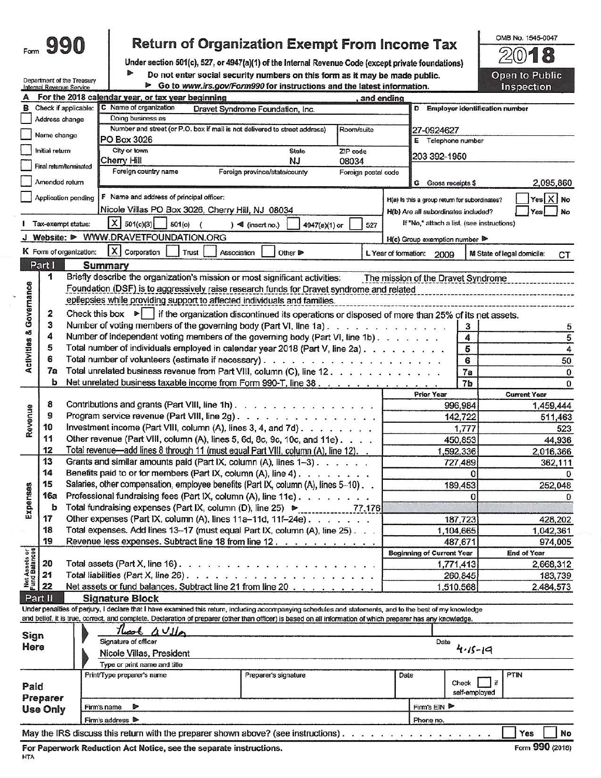|      | <b>C</b> |
|------|----------|
| Form | K        |

### **Return of Organization Exempt From Income Tax**

Under section 501(c), 527, or 4947(a)(1) of the Internal Revenue Code (except private foundations)

Department of the Treasury

▶ Do not enter social security numbers on this form as it may be made public. ▶ Go to www.irs.gov/Form990 for instructions and the latest information.

Open to Public Inspection

OMB No. 1545-0047

O,

8

 $\widetilde{2}$ 

|                                |                 |                         | For the 2018 calendar year, or tax year beginning                                                                                                            |                                      | , and ending        |                      |                                                     |                          |                                  |
|--------------------------------|-----------------|-------------------------|--------------------------------------------------------------------------------------------------------------------------------------------------------------|--------------------------------------|---------------------|----------------------|-----------------------------------------------------|--------------------------|----------------------------------|
| в                              |                 | Check if applicable:    | C Name of organization                                                                                                                                       | Dravet Syndrome Foundation, Inc.     |                     |                      | D Employer identification number                    |                          |                                  |
|                                | Address change  |                         | Doing business as                                                                                                                                            |                                      |                     |                      |                                                     |                          |                                  |
|                                |                 |                         | Number and street (or P.O. box if mail is not delivered to street address)                                                                                   |                                      | Room/suite          |                      | 27-0924627                                          |                          |                                  |
|                                | Name change     |                         | PO Box 3026                                                                                                                                                  |                                      |                     |                      | E Telephone number                                  |                          |                                  |
|                                | Initial return  |                         | City or town                                                                                                                                                 | <b>State</b>                         | ZIP code            |                      |                                                     |                          |                                  |
|                                |                 | Final return/terminated | Cherry Hill                                                                                                                                                  | <b>NJ</b>                            | 08034               |                      | 203 392-1950                                        |                          |                                  |
|                                |                 |                         | Foreign country name                                                                                                                                         | Foreign province/state/county        | Foreign postal code |                      |                                                     |                          |                                  |
|                                | Amended return  |                         |                                                                                                                                                              |                                      |                     |                      | G Gross receipts \$                                 |                          | 2,095,860                        |
|                                |                 | Application pending     | F Name and address of principal officer:                                                                                                                     |                                      |                     |                      | H(a) Is this a group return for subordinates?       |                          | $Yes \mid X \mid No$             |
|                                |                 |                         | Nicole Villas PO Box 3026, Cherry Hill, NJ 08034                                                                                                             |                                      |                     |                      | H(b) Are all subordinates included?                 |                          | No<br>Yes,                       |
|                                |                 | I Tax-exempt status:    | X   501(c)(3)<br>$501(c)$ (                                                                                                                                  | 4947(a)(1) or<br>$\sim$ (insert no.) |                     |                      | If "No," attach a list. (see instructions)          |                          |                                  |
|                                |                 |                         |                                                                                                                                                              |                                      | 527                 |                      |                                                     |                          |                                  |
|                                |                 |                         | J Website: > WWW.DRAVETFOUNDATION.ORG                                                                                                                        |                                      |                     |                      | $H(c)$ Group exemption number $\blacktriangleright$ |                          |                                  |
|                                |                 | K Form of organization: | x <br>Corporation<br>Trust<br>Association                                                                                                                    | Other D                              |                     | L Year of formation: | 2009                                                |                          | M State of legal domicile:<br>СT |
|                                | Part I          |                         | <b>Summary</b>                                                                                                                                               |                                      |                     |                      |                                                     |                          |                                  |
|                                | 1               |                         | Briefly describe the organization's mission or most significant activities:                                                                                  |                                      |                     |                      | The mission of the Dravet Syndrome                  |                          |                                  |
|                                |                 |                         | Foundation (DSF) is to aggressively raise research funds for Dravet syndrome and related                                                                     |                                      |                     |                      |                                                     |                          |                                  |
| Activities & Governance        |                 |                         | epilepsies while providing support to affected individuals and families.                                                                                     |                                      |                     |                      |                                                     |                          |                                  |
|                                | 2               |                         | Check this box ▶   if the organization discontinued its operations or disposed of more than 25% of its net assets.                                           |                                      |                     |                      |                                                     |                          |                                  |
|                                | 3               |                         | Number of voting members of the governing body (Part VI, line 1a).                                                                                           |                                      |                     |                      |                                                     | 3                        | 5                                |
|                                | 4               |                         | Number of independent voting members of the governing body (Part VI, line 1b).                                                                               |                                      |                     |                      |                                                     | 4                        | 5                                |
|                                | 5               |                         | Total number of individuals employed in calendar year 2018 (Part V, line 2a).                                                                                |                                      |                     |                      |                                                     | 5                        | 4                                |
|                                | 6               |                         |                                                                                                                                                              |                                      |                     |                      |                                                     | 6                        | 50                               |
|                                | 7a              |                         | Total unrelated business revenue from Part VIII, column (C), line 12.                                                                                        |                                      |                     |                      |                                                     | 7a                       | 0                                |
|                                | b               |                         | Net unrelated business taxable income from Form 990-T, line 38.                                                                                              |                                      |                     |                      |                                                     | 7b                       | 0                                |
|                                |                 |                         |                                                                                                                                                              |                                      |                     |                      | <b>Prior Year</b>                                   |                          | <b>Current Year</b>              |
|                                | 8               |                         | Contributions and grants (Part VIII, line 1h).                                                                                                               |                                      |                     |                      |                                                     | 996,984                  | 1,459,444                        |
|                                | 9               |                         | Program service revenue (Part VIII, line 2g).                                                                                                                |                                      |                     |                      |                                                     | 142,722                  | 511,463                          |
| Revenue                        | 10              |                         | Investment income (Part VIII, column (A), lines 3, 4, and 7d).                                                                                               |                                      |                     |                      |                                                     | 1,777                    | 523                              |
|                                | 11              |                         | Other revenue (Part VIII, column (A), lines 5, 6d, 8c, 9c, 10c, and 11e).                                                                                    |                                      |                     |                      |                                                     | 450,853                  | 44,936                           |
|                                | 12              |                         | Total revenue—add lines 8 through 11 (must equal Part VIII, column (A), line 12). .                                                                          |                                      |                     |                      | 1,592,336                                           |                          | 2,016,366                        |
|                                | 13              |                         | Grants and similar amounts paid (Part IX, column (A), lines 1-3).                                                                                            |                                      |                     |                      |                                                     | 727,489                  | 362,111                          |
|                                | 14              |                         | Benefits paid to or for members (Part IX, column (A), line 4)                                                                                                |                                      |                     |                      |                                                     | 0                        |                                  |
|                                | 15              |                         | Salaries, other compensation, employee benefits (Part IX, column (A), lines 5-10).                                                                           |                                      |                     |                      |                                                     | 189,453                  | 252,048                          |
|                                | 16a             |                         | Professional fundraising fees (Part IX, column (A), line 11e)                                                                                                |                                      |                     |                      |                                                     | 0                        | o                                |
| Expenses                       | b               |                         | Total fundraising expenses (Part IX, column (D), line 25) ▶                                                                                                  |                                      | 77,176              |                      |                                                     |                          |                                  |
|                                | 17              |                         | Other expenses (Part IX, column (A), lines 11a-11d, 11f-24e).                                                                                                |                                      |                     |                      |                                                     | 187,723                  | 428,202                          |
|                                | 18              |                         | Total expenses. Add lines 13-17 (must equal Part IX, column (A), line 25).                                                                                   |                                      |                     |                      | 1,104,665                                           |                          | 1,042,361                        |
|                                | 19              |                         | Revenue less expenses. Subtract line 18 from line 12.                                                                                                        |                                      |                     |                      |                                                     | 487,671                  | 974,005                          |
|                                |                 |                         |                                                                                                                                                              |                                      |                     |                      | <b>Beginning of Current Year</b>                    |                          | <b>End of Year</b>               |
| Net Assets or<br>Fund Balances | 20              |                         | Total assets (Part X, line 16). $\ldots$ $\ldots$ $\ldots$ $\ldots$ $\ldots$ .                                                                               |                                      |                     |                      | 1,771,413                                           |                          | 2,668,312                        |
|                                | 21              |                         | Total liabilities (Part X, line 26). $\ldots$                                                                                                                |                                      |                     |                      |                                                     | 260,845                  | 183,739                          |
|                                | 22              |                         | Net assets or fund balances. Subtract line 21 from line 20                                                                                                   |                                      |                     |                      | 1,510,568                                           |                          | 2,484,573                        |
|                                | Part II         |                         | <b>Signature Block</b>                                                                                                                                       |                                      |                     |                      |                                                     |                          |                                  |
|                                |                 |                         | Under penalties of perjury, I declare that I have examined this return, including accompanying schedules and statements, and to the best of my knowledge     |                                      |                     |                      |                                                     |                          |                                  |
|                                |                 |                         | and belief, it is true, correct, and complete. Declaration of preparer (other than officer) is based on all information of which preparer has any knowledge. |                                      |                     |                      |                                                     |                          |                                  |
| Sign                           |                 |                         | V<br><b>Lear</b>                                                                                                                                             |                                      |                     |                      |                                                     |                          |                                  |
| Here                           |                 |                         | Signature of officer                                                                                                                                         |                                      |                     |                      | Date                                                |                          |                                  |
|                                |                 |                         | Nicole Villas, President                                                                                                                                     |                                      |                     |                      |                                                     | $4.15 - 19$              |                                  |
|                                |                 |                         | Type or print name and title                                                                                                                                 |                                      |                     |                      |                                                     |                          |                                  |
|                                |                 |                         | Print/Type preparer's name                                                                                                                                   | Preparer's signature                 |                     | Date                 |                                                     |                          | PTIN                             |
| Paid                           |                 |                         |                                                                                                                                                              |                                      |                     |                      |                                                     | Check  <br>self-employed | if                               |
|                                | Preparer        |                         |                                                                                                                                                              |                                      |                     |                      |                                                     |                          |                                  |
|                                | <b>Use Only</b> |                         | Firm's name<br>⋗                                                                                                                                             |                                      |                     |                      | Firm's EIN                                          |                          |                                  |
|                                |                 |                         | Eirm'e oddroes <b>b</b>                                                                                                                                      |                                      |                     |                      | <b>Dhong</b> no                                     |                          |                                  |

May the IRS discuss this return with the preparer shown above? (see instructions). . . . . . . . . . . . . . . . . . For Paperwork Reduction Act Notice, see the separate instructions.

Form 990 (2018)

No

Yes

HTA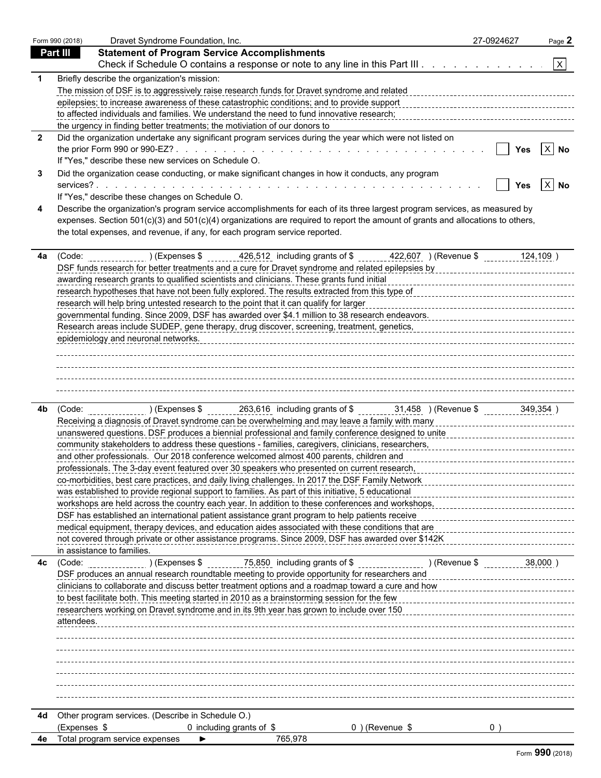|    | Form 990 (2018) | Dravet Syndrome Foundation, Inc.                                                                                                                                                                                                                             | 27-0924627 | Page $2$     |
|----|-----------------|--------------------------------------------------------------------------------------------------------------------------------------------------------------------------------------------------------------------------------------------------------------|------------|--------------|
|    | Part III        | <b>Statement of Program Service Accomplishments</b>                                                                                                                                                                                                          |            |              |
|    |                 | Check if Schedule O contains a response or note to any line in this Part III                                                                                                                                                                                 |            | $\mathbf{x}$ |
|    |                 | Briefly describe the organization's mission:                                                                                                                                                                                                                 |            |              |
|    |                 | The mission of DSF is to aggressively raise research funds for Dravet syndrome and related                                                                                                                                                                   |            |              |
|    |                 | epilepsies; to increase awareness of these catastrophic conditions; and to provide support                                                                                                                                                                   |            |              |
|    |                 | to affected individuals and families. We understand the need to fund innovative research;<br>contract the individuals and families. We understand the need to fund innovative research;                                                                      |            |              |
|    |                 | the urgency in finding better treatments; the motiviation of our donors to                                                                                                                                                                                   |            |              |
|    |                 | Did the organization undertake any significant program services during the year which were not listed on                                                                                                                                                     |            |              |
|    |                 |                                                                                                                                                                                                                                                              | <b>Yes</b> | $ X $ No     |
|    |                 | If "Yes," describe these new services on Schedule O.                                                                                                                                                                                                         |            |              |
|    |                 | Did the organization cease conducting, or make significant changes in how it conducts, any program                                                                                                                                                           |            |              |
|    |                 |                                                                                                                                                                                                                                                              | <b>Yes</b> | $ X $ No     |
|    |                 | If "Yes," describe these changes on Schedule O.                                                                                                                                                                                                              |            |              |
|    |                 | Describe the organization's program service accomplishments for each of its three largest program services, as measured by<br>expenses. Section 501(c)(3) and 501(c)(4) organizations are required to report the amount of grants and allocations to others, |            |              |
|    |                 | the total expenses, and revenue, if any, for each program service reported.                                                                                                                                                                                  |            |              |
|    |                 |                                                                                                                                                                                                                                                              |            |              |
| 4a | (Code:          | ) (Expenses \$ 426,512 including grants of \$ 422,607 ) (Revenue \$                                                                                                                                                                                          |            | 124,109      |
|    |                 | DSF funds research for better treatments and a cure for Dravet syndrome and related epilepsies by                                                                                                                                                            |            |              |
|    |                 | awarding research grants to qualified scientists and clinicians. These grants fund initial                                                                                                                                                                   |            |              |
|    |                 | research hypotheses that have not been fully explored. The results extracted from this type of<br>research hypotheses that have not been fully explored. The results extracted from this type of                                                             |            |              |
|    |                 | research will help bring untested research to the point that it can qualify for larger                                                                                                                                                                       |            |              |
|    |                 | governmental funding. Since 2009, DSF has awarded over \$4.1 million to 38 research endeavors.                                                                                                                                                               |            |              |
|    |                 |                                                                                                                                                                                                                                                              |            |              |
|    |                 | epidemiology and neuronal networks.                                                                                                                                                                                                                          |            |              |
|    |                 |                                                                                                                                                                                                                                                              |            |              |
|    |                 |                                                                                                                                                                                                                                                              |            |              |
|    |                 |                                                                                                                                                                                                                                                              |            |              |
|    |                 |                                                                                                                                                                                                                                                              |            |              |
|    |                 |                                                                                                                                                                                                                                                              |            |              |
| 4b |                 | (Code: (263,616 including grants of \$ 1,458 ) (Revenue \$ 1,49,354 ) (Revenue \$ 1,458 ) (Revenue \$ 1,49,354 )                                                                                                                                             |            |              |
|    |                 | unanswered questions. DSF produces a biennial professional and family conference designed to unite                                                                                                                                                           |            |              |
|    |                 | community stakeholders to address these questions - families, caregivers, clinicians, researchers, executions, and an execution of                                                                                                                           |            |              |
|    |                 | and other professionals. Our 2018 conference welcomed almost 400 parents, children and                                                                                                                                                                       |            |              |
|    |                 | professionals. The 3-day event featured over 30 speakers who presented on current research,                                                                                                                                                                  |            |              |
|    |                 | co-morbidities, best care practices, and daily living challenges. In 2017 the DSF Family Network                                                                                                                                                             |            |              |
|    |                 | was established to provide regional support to families. As part of this initiative, 5 educational                                                                                                                                                           |            |              |
|    |                 | workshops are held across the country each year. In addition to these conferences and workshops,                                                                                                                                                             |            |              |
|    |                 | DSF has established an international patient assistance grant program to help patients receive                                                                                                                                                               |            |              |
|    |                 | medical equipment, therapy devices, and education aides associated with these conditions that are                                                                                                                                                            |            |              |
|    |                 | not covered through private or other assistance programs. Since 2009, DSF has awarded over \$142K                                                                                                                                                            |            |              |
|    |                 | in assistance to families.                                                                                                                                                                                                                                   |            |              |
| 4с | (Code:          | 75,850 including grants of \$<br>) (Expenses \$<br>) (Revenue \$                                                                                                                                                                                             |            | 38,000       |
|    |                 | DSF produces an annual research roundtable meeting to provide opportunity for researchers and                                                                                                                                                                |            |              |
|    |                 | clinicians to collaborate and discuss better treatment options and a roadmap toward a cure and how                                                                                                                                                           |            |              |
|    |                 | to best facilitate both. This meeting started in 2010 as a brainstorming session for the few                                                                                                                                                                 |            |              |
|    |                 | researchers working on Dravet syndrome and in its 9th year has grown to include over 150                                                                                                                                                                     |            |              |
|    | attendees.      |                                                                                                                                                                                                                                                              |            |              |
|    |                 |                                                                                                                                                                                                                                                              |            |              |
|    |                 |                                                                                                                                                                                                                                                              |            |              |
|    |                 |                                                                                                                                                                                                                                                              |            |              |
|    |                 |                                                                                                                                                                                                                                                              |            |              |
|    |                 |                                                                                                                                                                                                                                                              |            |              |
|    |                 |                                                                                                                                                                                                                                                              |            |              |
|    |                 | Other program services. (Describe in Schedule O.)                                                                                                                                                                                                            |            |              |
| 4d | (Expenses \$    | 0 including grants of \$<br>$0$ ) (Revenue \$                                                                                                                                                                                                                | 0)         |              |
| 4e |                 | Total program service expenses<br>765,978                                                                                                                                                                                                                    |            |              |
|    |                 |                                                                                                                                                                                                                                                              |            |              |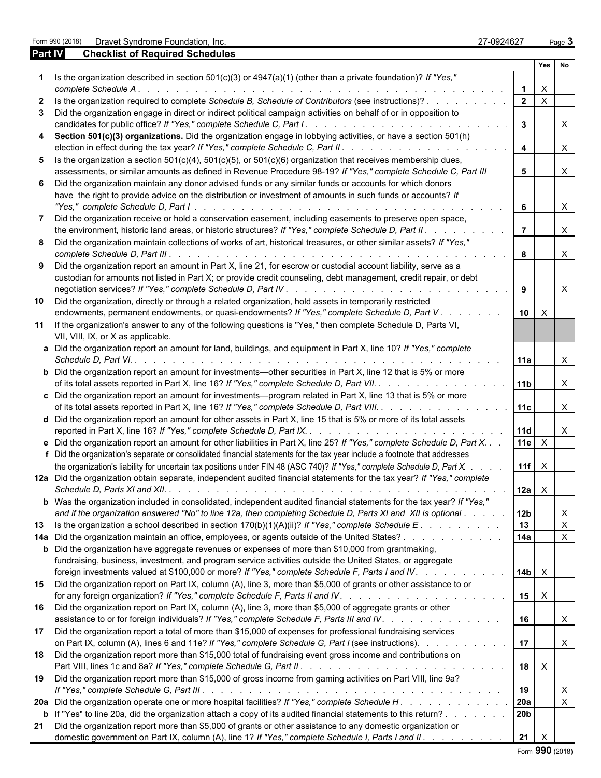Form 990 (2018) Dravet Syndrome Foundation, Inc. 27-0924627 Page **3**

| <b>Part IV</b> | <b>Checklist of Required Schedules</b>                                                                                                                                                                                                                |                         |                              |              |
|----------------|-------------------------------------------------------------------------------------------------------------------------------------------------------------------------------------------------------------------------------------------------------|-------------------------|------------------------------|--------------|
|                |                                                                                                                                                                                                                                                       |                         |                              | Yes No       |
|                | Is the organization described in section $501(c)(3)$ or $4947(a)(1)$ (other than a private foundation)? If "Yes,"                                                                                                                                     | $\overline{\mathbf{1}}$ | $\boldsymbol{\mathsf{X}}$    |              |
| $\mathbf{2}$   | Is the organization required to complete Schedule B, Schedule of Contributors (see instructions)?                                                                                                                                                     | $\overline{2}$          | $\overline{X}$               |              |
| 3              | Did the organization engage in direct or indirect political campaign activities on behalf of or in opposition to                                                                                                                                      | $\mathbf{3}$            |                              | $\mathsf{X}$ |
|                |                                                                                                                                                                                                                                                       |                         |                              |              |
| 4              | Section 501(c)(3) organizations. Did the organization engage in lobbying activities, or have a section 501(h)                                                                                                                                         | $\overline{\mathbf{4}}$ |                              | $\mathsf{X}$ |
|                | 5 Is the organization a section $501(c)(4)$ , $501(c)(5)$ , or $501(c)(6)$ organization that receives membership dues,                                                                                                                                |                         |                              |              |
|                | assessments, or similar amounts as defined in Revenue Procedure 98-19? If "Yes," complete Schedule C, Part III                                                                                                                                        | 5 <sup>5</sup>          |                              | $\mathsf{X}$ |
| 6.             | Did the organization maintain any donor advised funds or any similar funds or accounts for which donors<br>have the right to provide advice on the distribution or investment of amounts in such funds or accounts? If                                | $6\overline{6}$         |                              | $\mathsf{X}$ |
|                | Did the organization receive or hold a conservation easement, including easements to preserve open space,                                                                                                                                             |                         |                              |              |
|                | the environment, historic land areas, or historic structures? If "Yes," complete Schedule D, Part II.                                                                                                                                                 | $\overline{7}$          |                              | $\mathsf{X}$ |
|                | 8 Did the organization maintain collections of works of art, historical treasures, or other similar assets? If "Yes,"                                                                                                                                 | 8                       |                              | $\mathsf{X}$ |
| 9              | Did the organization report an amount in Part X, line 21, for escrow or custodial account liability, serve as a                                                                                                                                       |                         |                              |              |
|                | custodian for amounts not listed in Part X; or provide credit counseling, debt management, credit repair, or debt                                                                                                                                     | 9                       |                              | $\mathsf{X}$ |
|                |                                                                                                                                                                                                                                                       |                         |                              |              |
| 10             | Did the organization, directly or through a related organization, hold assets in temporarily restricted<br>endowments, permanent endowments, or quasi-endowments? If "Yes," complete Schedule D, Part V.                                              |                         | $10$ $\overline{)}$ $\times$ |              |
|                | 11 If the organization's answer to any of the following questions is "Yes," then complete Schedule D, Parts VI,<br>VII, VIII, IX, or X as applicable.                                                                                                 |                         |                              |              |
|                | a Did the organization report an amount for land, buildings, and equipment in Part X, line 10? If "Yes," complete                                                                                                                                     | l 11a                   |                              | $\mathsf{X}$ |
|                | <b>b</b> Did the organization report an amount for investments—other securities in Part X, line 12 that is 5% or more<br>of its total assets reported in Part X, line 16? If "Yes," complete Schedule D, Part VII.                                    | 11b                     |                              | $\mathsf{X}$ |
|                | c Did the organization report an amount for investments—program related in Part X, line 13 that is 5% or more                                                                                                                                         |                         |                              |              |
|                | of its total assets reported in Part X, line 16? If "Yes," complete Schedule D, Part VIII.                                                                                                                                                            | 11c                     |                              | $\mathsf{X}$ |
|                | d Did the organization report an amount for other assets in Part X, line 15 that is 5% or more of its total assets                                                                                                                                    | 11d                     |                              | $\mathsf{X}$ |
|                | e Did the organization report an amount for other liabilities in Part X, line 25? If "Yes," complete Schedule D, Part X.<br>f Did the organization's separate or consolidated financial statements for the tax year include a footnote that addresses | $11e$ X                 |                              |              |
|                | the organization's liability for uncertain tax positions under FIN 48 (ASC 740)? If "Yes," complete Schedule D, Part X.                                                                                                                               | 11 $f \mid X$           |                              |              |
|                | 12a Did the organization obtain separate, independent audited financial statements for the tax year? If "Yes," complete                                                                                                                               |                         | $12a \mid X$                 |              |
|                | <b>b</b> Was the organization included in consolidated, independent audited financial statements for the tax year? If "Yes,"<br>and if the organization answered "No" to line 12a, then completing Schedule D, Parts XI and XII is optional           | 12 <sub>b</sub>         |                              | X            |
| 13             | Is the organization a school described in section $170(b)(1)(A)(ii)?$ If "Yes," complete Schedule E.                                                                                                                                                  | 13                      |                              | $\mathsf X$  |
|                | 14a Did the organization maintain an office, employees, or agents outside of the United States?                                                                                                                                                       | 14a                     |                              | $\mathsf X$  |
|                | <b>b</b> Did the organization have aggregate revenues or expenses of more than \$10,000 from grantmaking,                                                                                                                                             |                         |                              |              |
|                | fundraising, business, investment, and program service activities outside the United States, or aggregate<br>foreign investments valued at \$100,000 or more? If "Yes," complete Schedule F, Parts I and IV.                                          | $14b \times$            |                              |              |
| 15             | Did the organization report on Part IX, column (A), line 3, more than \$5,000 of grants or other assistance to or                                                                                                                                     |                         |                              |              |
| 16             | Did the organization report on Part IX, column (A), line 3, more than \$5,000 of aggregate grants or other                                                                                                                                            | 15 <sup>1</sup>         | $\mathsf{X}$                 |              |
| 17             | assistance to or for foreign individuals? If "Yes," complete Schedule F, Parts III and IV.<br>Did the organization report a total of more than \$15,000 of expenses for professional fundraising services                                             | 16                      |                              | $\mathsf{X}$ |
| 18             | on Part IX, column (A), lines 6 and 11e? If "Yes," complete Schedule G, Part I (see instructions).<br>Did the organization report more than \$15,000 total of fundraising event gross income and contributions on                                     | 17                      |                              | $\mathsf{X}$ |
|                |                                                                                                                                                                                                                                                       | 18                      | $\boldsymbol{\mathsf{X}}$    |              |
| 19             | Did the organization report more than \$15,000 of gross income from gaming activities on Part VIII, line 9a?                                                                                                                                          | 19                      |                              | Χ            |
|                | 20a Did the organization operate one or more hospital facilities? If "Yes," complete Schedule H.                                                                                                                                                      | 20a                     |                              | $\mathsf{X}$ |
|                | <b>b</b> If "Yes" to line 20a, did the organization attach a copy of its audited financial statements to this return?                                                                                                                                 | 20b                     |                              |              |
| 21             | Did the organization report more than \$5,000 of grants or other assistance to any domestic organization or<br>domestic government on Part IX, column (A), line 1? If "Yes," complete Schedule I, Parts I and II.                                     | 21                      |                              |              |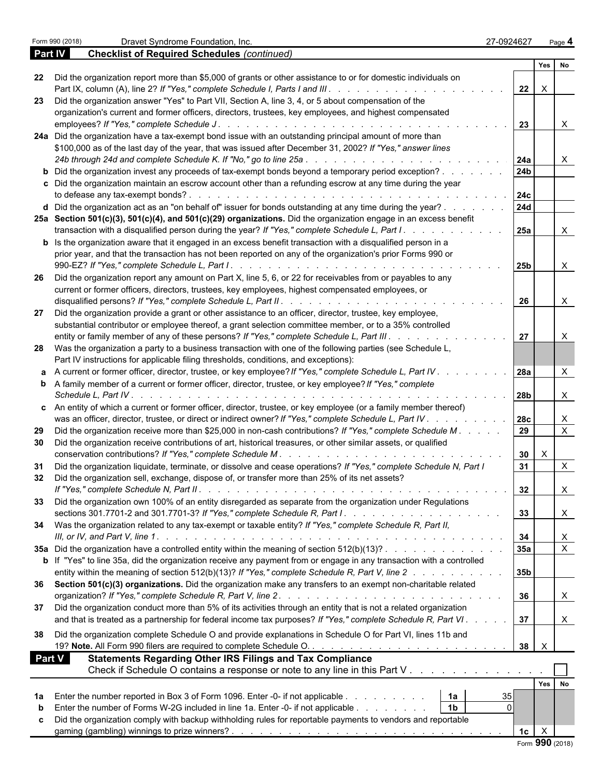|    | Part IV<br><b>Checklist of Required Schedules (continued)</b>                                                                                                                                                                                                                                           |                 |                           |                           |  |
|----|---------------------------------------------------------------------------------------------------------------------------------------------------------------------------------------------------------------------------------------------------------------------------------------------------------|-----------------|---------------------------|---------------------------|--|
|    |                                                                                                                                                                                                                                                                                                         |                 | Yes                       | No                        |  |
|    | 22 Did the organization report more than \$5,000 of grants or other assistance to or for domestic individuals on                                                                                                                                                                                        |                 |                           |                           |  |
|    |                                                                                                                                                                                                                                                                                                         | 22              | $\mathsf{X}$              |                           |  |
| 23 | Did the organization answer "Yes" to Part VII, Section A, line 3, 4, or 5 about compensation of the                                                                                                                                                                                                     |                 |                           |                           |  |
|    | organization's current and former officers, directors, trustees, key employees, and highest compensated                                                                                                                                                                                                 |                 |                           |                           |  |
|    | employees? If "Yes," complete Schedule J<br>the contract of the contract of the contract of the contract of the contract of the contract of the contract of the contract of the contract of the contract of the contract of the contract of the contract of the contract o                              | 23              |                           | $\times$                  |  |
|    | 24a Did the organization have a tax-exempt bond issue with an outstanding principal amount of more than                                                                                                                                                                                                 |                 |                           |                           |  |
|    | \$100,000 as of the last day of the year, that was issued after December 31, 2002? If "Yes," answer lines                                                                                                                                                                                               |                 |                           |                           |  |
|    |                                                                                                                                                                                                                                                                                                         | 24a             |                           | X                         |  |
|    | <b>b</b> Did the organization invest any proceeds of tax-exempt bonds beyond a temporary period exception?                                                                                                                                                                                              | 24b             |                           |                           |  |
|    | c Did the organization maintain an escrow account other than a refunding escrow at any time during the year                                                                                                                                                                                             |                 |                           |                           |  |
|    | to defease any tax-exempt bonds?<br>de la caractería de la caractería de la caractería de la                                                                                                                                                                                                            | 24c             |                           |                           |  |
|    | d Did the organization act as an "on behalf of" issuer for bonds outstanding at any time during the year?.                                                                                                                                                                                              | <b>24d</b>      |                           |                           |  |
|    | 25a Section 501(c)(3), 501(c)(4), and 501(c)(29) organizations. Did the organization engage in an excess benefit                                                                                                                                                                                        |                 |                           |                           |  |
|    | transaction with a disqualified person during the year? If "Yes," complete Schedule L, Part I.                                                                                                                                                                                                          | 25a             |                           | X                         |  |
|    | <b>b</b> Is the organization aware that it engaged in an excess benefit transaction with a disqualified person in a                                                                                                                                                                                     |                 |                           |                           |  |
|    |                                                                                                                                                                                                                                                                                                         |                 |                           |                           |  |
|    | prior year, and that the transaction has not been reported on any of the organization's prior Forms 990 or                                                                                                                                                                                              |                 |                           |                           |  |
|    | 990-EZ? If "Yes," complete Schedule L, Part I                                                                                                                                                                                                                                                           | 25b             |                           | X                         |  |
| 26 | Did the organization report any amount on Part X, line 5, 6, or 22 for receivables from or payables to any                                                                                                                                                                                              |                 |                           |                           |  |
|    | current or former officers, directors, trustees, key employees, highest compensated employees, or                                                                                                                                                                                                       |                 |                           |                           |  |
|    | disqualified persons? If "Yes," complete Schedule L, Part II. .<br><u>in the series of the series of the series of the series of the series of the series of the series of the series of the series of the series of the series of the series of the series of the series of the series of the seri</u> | 26              |                           | X                         |  |
| 27 | Did the organization provide a grant or other assistance to an officer, director, trustee, key employee,                                                                                                                                                                                                |                 |                           |                           |  |
|    | substantial contributor or employee thereof, a grant selection committee member, or to a 35% controlled                                                                                                                                                                                                 |                 |                           |                           |  |
|    | entity or family member of any of these persons? If "Yes," complete Schedule L, Part III.                                                                                                                                                                                                               | 27              |                           |                           |  |
|    | 28 Was the organization a party to a business transaction with one of the following parties (see Schedule L,                                                                                                                                                                                            |                 |                           |                           |  |
|    | Part IV instructions for applicable filing thresholds, conditions, and exceptions):                                                                                                                                                                                                                     |                 |                           |                           |  |
|    | a A current or former officer, director, trustee, or key employee? If "Yes," complete Schedule L, Part IV.                                                                                                                                                                                              | 28a             |                           | $\times$                  |  |
|    | <b>b</b> A family member of a current or former officer, director, trustee, or key employee? If "Yes," complete                                                                                                                                                                                         |                 |                           |                           |  |
|    | Schedule L, Part IV.                                                                                                                                                                                                                                                                                    | 28b             |                           | $\mathsf{X}$              |  |
|    | c An entity of which a current or former officer, director, trustee, or key employee (or a family member thereof)                                                                                                                                                                                       |                 |                           |                           |  |
|    | was an officer, director, trustee, or direct or indirect owner? If "Yes," complete Schedule L, Part IV.                                                                                                                                                                                                 | 28c             |                           | X                         |  |
|    | Did the organization receive more than \$25,000 in non-cash contributions? If "Yes," complete Schedule M.                                                                                                                                                                                               | 29              |                           | $\mathsf{x}$              |  |
| 29 |                                                                                                                                                                                                                                                                                                         |                 |                           |                           |  |
| 30 | Did the organization receive contributions of art, historical treasures, or other similar assets, or qualified                                                                                                                                                                                          |                 |                           |                           |  |
|    | conservation contributions? If "Yes," complete Schedule M.                                                                                                                                                                                                                                              | 30              | $\times$                  |                           |  |
| 31 | Did the organization liquidate, terminate, or dissolve and cease operations? If "Yes," complete Schedule N, Part I                                                                                                                                                                                      | 31              |                           | $\mathsf{X}$              |  |
| 32 | Did the organization sell, exchange, dispose of, or transfer more than 25% of its net assets?                                                                                                                                                                                                           |                 |                           |                           |  |
|    |                                                                                                                                                                                                                                                                                                         |                 |                           | $\mathbf{X}$              |  |
| 33 | Did the organization own 100% of an entity disregarded as separate from the organization under Regulations                                                                                                                                                                                              |                 |                           |                           |  |
|    |                                                                                                                                                                                                                                                                                                         | 33              |                           | $\times$                  |  |
|    | 34 Was the organization related to any tax-exempt or taxable entity? If "Yes," complete Schedule R, Part II,                                                                                                                                                                                            |                 |                           |                           |  |
|    |                                                                                                                                                                                                                                                                                                         | 34              |                           | X                         |  |
|    | 35a Did the organization have a controlled entity within the meaning of section 512(b)(13)?                                                                                                                                                                                                             | 35a             |                           | $\boldsymbol{\mathsf{X}}$ |  |
|    | <b>b</b> If "Yes" to line 35a, did the organization receive any payment from or engage in any transaction with a controlled                                                                                                                                                                             |                 |                           |                           |  |
|    | entity within the meaning of section 512(b)(13)? If "Yes," complete Schedule R, Part V, line 2.                                                                                                                                                                                                         | 35 <sub>b</sub> |                           |                           |  |
|    |                                                                                                                                                                                                                                                                                                         |                 |                           |                           |  |
|    | 36 Section 501(c)(3) organizations. Did the organization make any transfers to an exempt non-charitable related                                                                                                                                                                                         |                 |                           |                           |  |
|    |                                                                                                                                                                                                                                                                                                         | 36              |                           | X                         |  |
| 37 | Did the organization conduct more than 5% of its activities through an entity that is not a related organization                                                                                                                                                                                        |                 |                           |                           |  |
|    | and that is treated as a partnership for federal income tax purposes? If "Yes," complete Schedule R, Part VI.                                                                                                                                                                                           | 37              |                           | X                         |  |
| 38 | Did the organization complete Schedule O and provide explanations in Schedule O for Part VI, lines 11b and                                                                                                                                                                                              |                 |                           |                           |  |
|    |                                                                                                                                                                                                                                                                                                         | 38              | $\boldsymbol{\mathsf{X}}$ |                           |  |
|    | <b>Statements Regarding Other IRS Filings and Tax Compliance</b><br><b>Part V</b>                                                                                                                                                                                                                       |                 |                           |                           |  |
|    | Check if Schedule O contains a response or note to any line in this Part V                                                                                                                                                                                                                              |                 |                           |                           |  |
|    |                                                                                                                                                                                                                                                                                                         |                 | Yes No                    |                           |  |
|    |                                                                                                                                                                                                                                                                                                         |                 |                           |                           |  |
| 1a | Enter the number reported in Box 3 of Form 1096. Enter -0- if not applicable<br>1а<br>35 <b>I</b>                                                                                                                                                                                                       |                 |                           |                           |  |
| b  | $\Omega$<br>1 <sub>b</sub><br>Enter the number of Forms W-2G included in line 1a. Enter -0- if not applicable                                                                                                                                                                                           |                 |                           |                           |  |
| C  | Did the organization comply with backup withholding rules for reportable payments to vendors and reportable                                                                                                                                                                                             | 1c              |                           |                           |  |
|    |                                                                                                                                                                                                                                                                                                         |                 | $\times$                  |                           |  |

Form **990** (2018)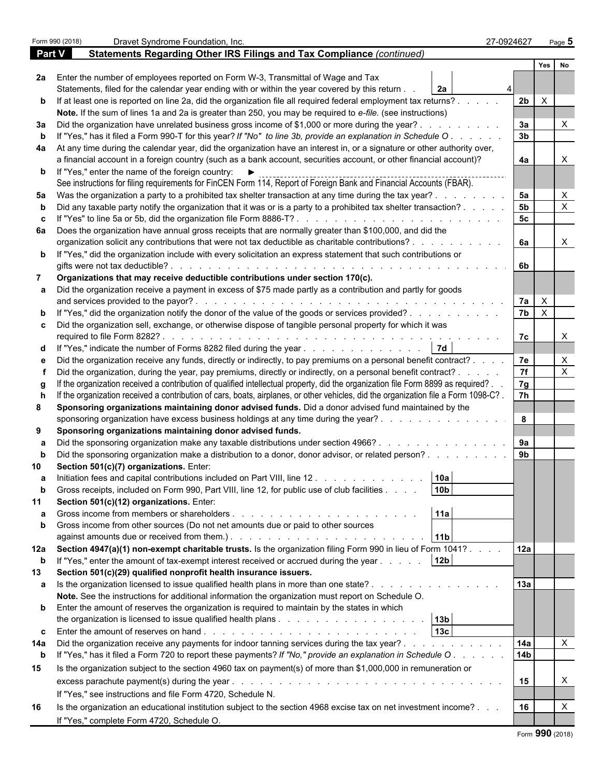|             | Form 990 (2018) | Dravet Syndrome Foundation, Inc.                                                                                                                                                                                                     | 27-0924627           | Page $5$       |  |  |
|-------------|-----------------|--------------------------------------------------------------------------------------------------------------------------------------------------------------------------------------------------------------------------------------|----------------------|----------------|--|--|
| Part V      |                 | Statements Regarding Other IRS Filings and Tax Compliance (continued)                                                                                                                                                                |                      |                |  |  |
|             |                 |                                                                                                                                                                                                                                      |                      | Yes  <br>No    |  |  |
|             |                 | 2a Enter the number of employees reported on Form W-3, Transmittal of Wage and Tax                                                                                                                                                   |                      |                |  |  |
|             |                 | Statements, filed for the calendar year ending with or within the year covered by this return.<br>2а                                                                                                                                 |                      |                |  |  |
|             |                 | b If at least one is reported on line 2a, did the organization file all required federal employment tax returns?.                                                                                                                    | 2 <sub>b</sub>       | $\mathsf{X}$   |  |  |
|             |                 | Note. If the sum of lines 1a and 2a is greater than 250, you may be required to e-file. (see instructions)                                                                                                                           |                      |                |  |  |
| За          |                 | Did the organization have unrelated business gross income of \$1,000 or more during the year?.                                                                                                                                       | 3a                   | Χ              |  |  |
|             |                 | If "Yes," has it filed a Form 990-T for this year? If "No" to line 3b, provide an explanation in Schedule O.                                                                                                                         | 3 <sub>b</sub>       |                |  |  |
|             |                 | 4a At any time during the calendar year, did the organization have an interest in, or a signature or other authority over,                                                                                                           |                      |                |  |  |
|             |                 | a financial account in a foreign country (such as a bank account, securities account, or other financial account)?                                                                                                                   | 4a                   |                |  |  |
|             |                 | <b>b</b> If "Yes," enter the name of the foreign country: $\blacktriangleright$                                                                                                                                                      |                      |                |  |  |
|             |                 | See instructions for filing requirements for FinCEN Form 114, Report of Foreign Bank and Financial Accounts (FBAR).                                                                                                                  |                      |                |  |  |
| 5а          |                 | Was the organization a party to a prohibited tax shelter transaction at any time during the tax year?.                                                                                                                               | 5a<br>5 <sub>b</sub> | X              |  |  |
|             |                 | Did any taxable party notify the organization that it was or is a party to a prohibited tax shelter transaction?.                                                                                                                    |                      | X              |  |  |
|             |                 | If "Yes" to line 5a or 5b, did the organization file Form 8886-T?                                                                                                                                                                    | 5 <sub>c</sub>       |                |  |  |
|             |                 | 6a Does the organization have annual gross receipts that are normally greater than \$100,000, and did the<br>organization solicit any contributions that were not tax deductible as charitable contributions?.                       | 6a                   | $\mathsf{X}$   |  |  |
|             |                 | <b>b</b> If "Yes," did the organization include with every solicitation an express statement that such contributions or                                                                                                              |                      |                |  |  |
|             |                 | gifts were not tax deductible?                                                                                                                                                                                                       | 6b                   |                |  |  |
|             |                 | Organizations that may receive deductible contributions under section 170(c).                                                                                                                                                        |                      |                |  |  |
|             |                 | Did the organization receive a payment in excess of \$75 made partly as a contribution and partly for goods                                                                                                                          |                      |                |  |  |
|             |                 | and services provided to the payor?.                                                                                                                                                                                                 | 7a                   | $\mathsf{X}$   |  |  |
|             |                 | If "Yes," did the organization notify the donor of the value of the goods or services provided?                                                                                                                                      | 7 <sub>b</sub>       | $\overline{X}$ |  |  |
|             |                 | c Did the organization sell, exchange, or otherwise dispose of tangible personal property for which it was                                                                                                                           |                      |                |  |  |
|             |                 |                                                                                                                                                                                                                                      | 7c                   | $\times$       |  |  |
|             |                 | 7d <br>d If "Yes," indicate the number of Forms 8282 filed during the year                                                                                                                                                           |                      |                |  |  |
|             |                 | Did the organization receive any funds, directly or indirectly, to pay premiums on a personal benefit contract?.                                                                                                                     | 7e                   | X              |  |  |
|             |                 | Did the organization, during the year, pay premiums, directly or indirectly, on a personal benefit contract? .                                                                                                                       | $\overline{7f}$      | X              |  |  |
|             |                 | If the organization received a contribution of qualified intellectual property, did the organization file Form 8899 as required?.                                                                                                    | 7g                   |                |  |  |
|             |                 | If the organization received a contribution of cars, boats, airplanes, or other vehicles, did the organization file a Form 1098-C?.                                                                                                  | 7h                   |                |  |  |
| 8           |                 | Sponsoring organizations maintaining donor advised funds. Did a donor advised fund maintained by the                                                                                                                                 |                      |                |  |  |
|             |                 | sponsoring organization have excess business holdings at any time during the year?                                                                                                                                                   | 8                    |                |  |  |
| 9           |                 | Sponsoring organizations maintaining donor advised funds.                                                                                                                                                                            |                      |                |  |  |
|             |                 | Did the sponsoring organization make any taxable distributions under section 4966?.<br>$\frac{1}{2}$ , $\frac{1}{2}$ , $\frac{1}{2}$ , $\frac{1}{2}$ , $\frac{1}{2}$ , $\frac{1}{2}$ , $\frac{1}{2}$ , $\frac{1}{2}$ , $\frac{1}{2}$ | 9a                   |                |  |  |
|             |                 | Did the sponsoring organization make a distribution to a donor, donor advisor, or related person?                                                                                                                                    | 9 <sub>b</sub>       |                |  |  |
|             |                 | Section 501(c)(7) organizations. Enter:                                                                                                                                                                                              |                      |                |  |  |
|             |                 | 10a<br>Initiation fees and capital contributions included on Part VIII, line 12.                                                                                                                                                     |                      |                |  |  |
| b           |                 | 10 <sub>b</sub><br>Gross receipts, included on Form 990, Part VIII, line 12, for public use of club facilities                                                                                                                       |                      |                |  |  |
| 11          |                 | Section 501(c)(12) organizations. Enter:                                                                                                                                                                                             |                      |                |  |  |
|             |                 | 11a<br>Gross income from members or shareholders                                                                                                                                                                                     |                      |                |  |  |
|             |                 | Gross income from other sources (Do not net amounts due or paid to other sources                                                                                                                                                     |                      |                |  |  |
|             |                 | 11 <sub>b</sub>                                                                                                                                                                                                                      |                      |                |  |  |
|             |                 | 12a Section 4947(a)(1) non-exempt charitable trusts. Is the organization filing Form 990 in lieu of Form 1041?.<br>12 <sub>b</sub>                                                                                                   | 12a                  |                |  |  |
| b<br>13     |                 | If "Yes," enter the amount of tax-exempt interest received or accrued during the year<br>Section 501(c)(29) qualified nonprofit health insurance issuers.                                                                            |                      |                |  |  |
|             |                 | <b>a</b> Is the organization licensed to issue qualified health plans in more than one state?                                                                                                                                        | 13a                  |                |  |  |
|             |                 | Note. See the instructions for additional information the organization must report on Schedule O.                                                                                                                                    |                      |                |  |  |
|             |                 | <b>b</b> Enter the amount of reserves the organization is required to maintain by the states in which                                                                                                                                |                      |                |  |  |
|             |                 |                                                                                                                                                                                                                                      |                      |                |  |  |
|             |                 | 13 <sub>c</sub>                                                                                                                                                                                                                      |                      |                |  |  |
| 14a         |                 | Did the organization receive any payments for indoor tanning services during the tax year?.<br>the contract of the contract of the                                                                                                   | 14a                  | $\mathsf{X}$   |  |  |
| $\mathbf b$ |                 | If "Yes," has it filed a Form 720 to report these payments? If "No," provide an explanation in Schedule O.                                                                                                                           | 14 <sub>b</sub>      |                |  |  |
| 15          |                 | Is the organization subject to the section 4960 tax on payment(s) of more than \$1,000,000 in remuneration or                                                                                                                        |                      |                |  |  |
|             |                 |                                                                                                                                                                                                                                      | 15                   | X              |  |  |
|             |                 | If "Yes," see instructions and file Form 4720, Schedule N.                                                                                                                                                                           |                      |                |  |  |
|             |                 |                                                                                                                                                                                                                                      | 16                   |                |  |  |
| 16          |                 | Is the organization an educational institution subject to the section 4968 excise tax on net investment income?                                                                                                                      |                      |                |  |  |
|             |                 | If "Yes," complete Form 4720, Schedule O.                                                                                                                                                                                            |                      |                |  |  |

|  |  | Form 990 (2018) |
|--|--|-----------------|
|--|--|-----------------|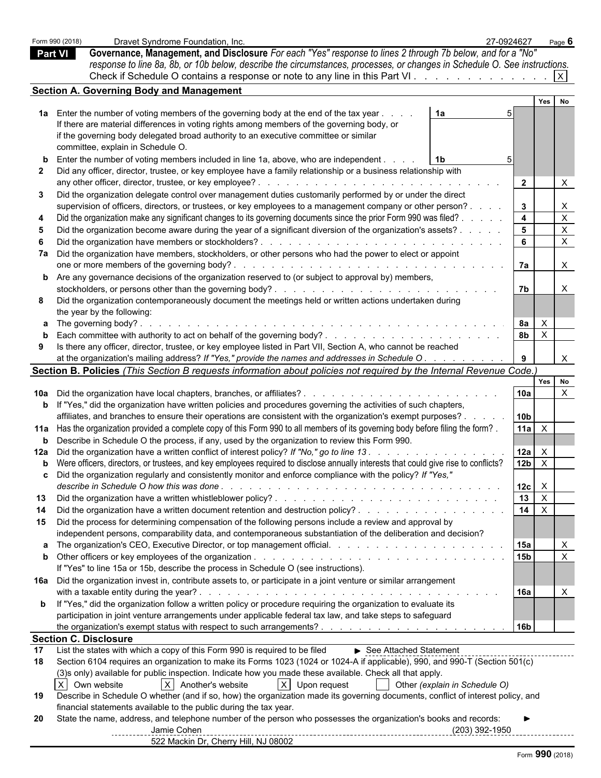|                | Form 990 (2018)              | Dravet Syndrome Foundation, Inc.                                                                                                                                                                                                                                                          | 27-0924627 |                                 | Page 6                    |  |
|----------------|------------------------------|-------------------------------------------------------------------------------------------------------------------------------------------------------------------------------------------------------------------------------------------------------------------------------------------|------------|---------------------------------|---------------------------|--|
| <b>Part VI</b> |                              | Governance, Management, and Disclosure For each "Yes" response to lines 2 through 7b below, and for a "No"                                                                                                                                                                                |            |                                 |                           |  |
|                |                              | response to line 8a, 8b, or 10b below, describe the circumstances, processes, or changes in Schedule O. See instructions.                                                                                                                                                                 |            |                                 |                           |  |
|                |                              | Check if Schedule O contains a response or note to any line in this Part VI. $ X $                                                                                                                                                                                                        |            |                                 |                           |  |
|                |                              | <b>Section A. Governing Body and Management</b>                                                                                                                                                                                                                                           |            |                                 |                           |  |
|                |                              |                                                                                                                                                                                                                                                                                           |            | Yes                             | No                        |  |
|                |                              | 1a Enter the number of voting members of the governing body at the end of the tax year.<br>1a                                                                                                                                                                                             |            |                                 |                           |  |
|                |                              | If there are material differences in voting rights among members of the governing body, or                                                                                                                                                                                                |            |                                 |                           |  |
|                |                              | if the governing body delegated broad authority to an executive committee or similar                                                                                                                                                                                                      |            |                                 |                           |  |
|                |                              | committee, explain in Schedule O.                                                                                                                                                                                                                                                         |            |                                 |                           |  |
|                |                              | <b>b</b> Enter the number of voting members included in line 1a, above, who are independent.<br>1b                                                                                                                                                                                        |            |                                 |                           |  |
| $\mathbf{2}$   |                              | Did any officer, director, trustee, or key employee have a family relationship or a business relationship with                                                                                                                                                                            |            |                                 |                           |  |
|                |                              | any other officer, director, trustee, or key employee?.<br>and a straight and a straight and                                                                                                                                                                                              |            | $\overline{2}$                  | $\boldsymbol{\mathsf{X}}$ |  |
|                |                              | Did the organization delegate control over management duties customarily performed by or under the direct                                                                                                                                                                                 |            |                                 |                           |  |
|                |                              | supervision of officers, directors, or trustees, or key employees to a management company or other person?.                                                                                                                                                                               |            | $\mathbf{3}$                    | $\boldsymbol{\mathsf{X}}$ |  |
|                |                              | Did the organization make any significant changes to its governing documents since the prior Form 990 was filed? .                                                                                                                                                                        |            | $\overline{\mathbf{4}}$         | $\mathsf X$               |  |
|                |                              | Did the organization become aware during the year of a significant diversion of the organization's assets?.                                                                                                                                                                               |            | 5 <sub>5</sub>                  | $\mathsf X$               |  |
|                |                              | Did the organization have members or stockholders?.                                                                                                                                                                                                                                       |            | 6                               | $\boldsymbol{\mathsf{X}}$ |  |
|                |                              | 7a Did the organization have members, stockholders, or other persons who had the power to elect or appoint                                                                                                                                                                                |            |                                 |                           |  |
|                |                              | one or more members of the governing body?.                                                                                                                                                                                                                                               |            | 7a                              | $\boldsymbol{\mathsf{X}}$ |  |
|                |                              | <b>b</b> Are any governance decisions of the organization reserved to (or subject to approval by) members,                                                                                                                                                                                |            |                                 |                           |  |
|                |                              | stockholders, or persons other than the governing body?.<br>and a construction of the construction of the construction of the construction of the construction of the construction of the construction of the construction of the construction of the construction of the construction of |            | 7b                              | $\mathsf{X}$              |  |
|                |                              | Did the organization contemporaneously document the meetings held or written actions undertaken during                                                                                                                                                                                    |            |                                 |                           |  |
|                |                              | the year by the following:                                                                                                                                                                                                                                                                |            |                                 |                           |  |
|                |                              |                                                                                                                                                                                                                                                                                           |            | <b>8a</b><br>$\mathsf{X}$       |                           |  |
|                |                              |                                                                                                                                                                                                                                                                                           |            | 8 <sub>b</sub><br>$\mathsf{X}$  |                           |  |
| 9              |                              | Is there any officer, director, trustee, or key employee listed in Part VII, Section A, who cannot be reached                                                                                                                                                                             |            |                                 |                           |  |
|                |                              | at the organization's mailing address? If "Yes," provide the names and addresses in Schedule O.                                                                                                                                                                                           |            | 9                               | $\mathsf{X}$              |  |
|                |                              | Section B. Policies (This Section B requests information about policies not required by the Internal Revenue Code.)                                                                                                                                                                       |            |                                 |                           |  |
|                |                              |                                                                                                                                                                                                                                                                                           |            | Yes                             | No                        |  |
|                |                              |                                                                                                                                                                                                                                                                                           |            | 10a                             | $\boldsymbol{\mathsf{X}}$ |  |
|                |                              | <b>b</b> If "Yes," did the organization have written policies and procedures governing the activities of such chapters,                                                                                                                                                                   |            |                                 |                           |  |
|                |                              | affiliates, and branches to ensure their operations are consistent with the organization's exempt purposes?.                                                                                                                                                                              |            | 10 <sub>b</sub>                 |                           |  |
|                |                              | 11a Has the organization provided a complete copy of this Form 990 to all members of its governing body before filing the form?.                                                                                                                                                          |            | 11a<br>$\mathsf{X}$             |                           |  |
|                |                              | <b>b</b> Describe in Schedule O the process, if any, used by the organization to review this Form 990.                                                                                                                                                                                    |            |                                 |                           |  |
|                |                              | 12a Did the organization have a written conflict of interest policy? If "No," go to line 13.                                                                                                                                                                                              |            | 12a<br>$\mathsf{X}$             |                           |  |
|                |                              | <b>b</b> Were officers, directors, or trustees, and key employees required to disclose annually interests that could give rise to conflicts?                                                                                                                                              |            | 12 <sub>b</sub><br>$\mathsf{X}$ |                           |  |
|                |                              | Did the organization regularly and consistently monitor and enforce compliance with the policy? If "Yes."                                                                                                                                                                                 |            |                                 |                           |  |
|                |                              |                                                                                                                                                                                                                                                                                           |            | 12c<br>$\mathsf{X}$             |                           |  |
|                |                              |                                                                                                                                                                                                                                                                                           |            | 13<br>$\overline{X}$            |                           |  |
| 14             |                              | Did the organization have a written document retention and destruction policy?                                                                                                                                                                                                            |            | 14<br>$\overline{X}$            |                           |  |
|                |                              | 15 Did the process for determining compensation of the following persons include a review and approval by                                                                                                                                                                                 |            |                                 |                           |  |
|                |                              | independent persons, comparability data, and contemporaneous substantiation of the deliberation and decision?                                                                                                                                                                             |            |                                 |                           |  |
|                |                              |                                                                                                                                                                                                                                                                                           |            | 15a                             | X                         |  |
|                |                              |                                                                                                                                                                                                                                                                                           |            | 15 <sub>b</sub>                 | $\mathsf{X}$              |  |
|                |                              | If "Yes" to line 15a or 15b, describe the process in Schedule O (see instructions).                                                                                                                                                                                                       |            |                                 |                           |  |
|                |                              | 16a Did the organization invest in, contribute assets to, or participate in a joint venture or similar arrangement                                                                                                                                                                        |            |                                 |                           |  |
|                |                              |                                                                                                                                                                                                                                                                                           |            | 16a                             | $\mathsf{X}$              |  |
|                |                              | <b>b</b> If "Yes," did the organization follow a written policy or procedure requiring the organization to evaluate its                                                                                                                                                                   |            |                                 |                           |  |
|                |                              | participation in joint venture arrangements under applicable federal tax law, and take steps to safeguard                                                                                                                                                                                 |            |                                 |                           |  |
|                |                              |                                                                                                                                                                                                                                                                                           |            | 16 <sub>b</sub>                 |                           |  |
|                | <b>Section C. Disclosure</b> |                                                                                                                                                                                                                                                                                           |            |                                 |                           |  |
| 17             |                              | List the states with which a copy of this Form 990 is required to be filed<br>See Attached Statement                                                                                                                                                                                      |            |                                 |                           |  |
| 18             |                              | Section 6104 requires an organization to make its Forms 1023 (1024 or 1024-A if applicable), 990, and 990-T (Section 501(c)                                                                                                                                                               |            |                                 |                           |  |
|                |                              | (3) sonly) available for public inspection. Indicate how you made these available. Check all that apply.                                                                                                                                                                                  |            |                                 |                           |  |
|                | X Own website                | $X$ Another's website<br>$X$ Upon request<br>Other (explain in Schedule O)                                                                                                                                                                                                                |            |                                 |                           |  |
|                |                              | Describe in Schedule O whether (and if so, how) the organization made its governing documents, conflict of interest policy, and                                                                                                                                                           |            |                                 |                           |  |
| 19             |                              |                                                                                                                                                                                                                                                                                           |            |                                 |                           |  |
|                |                              | financial statements available to the public during the tax year.                                                                                                                                                                                                                         |            |                                 |                           |  |
| 20             |                              | State the name, address, and telephone number of the person who possesses the organization's books and records:<br>Jamie Cohen                                                                                                                                                            |            |                                 |                           |  |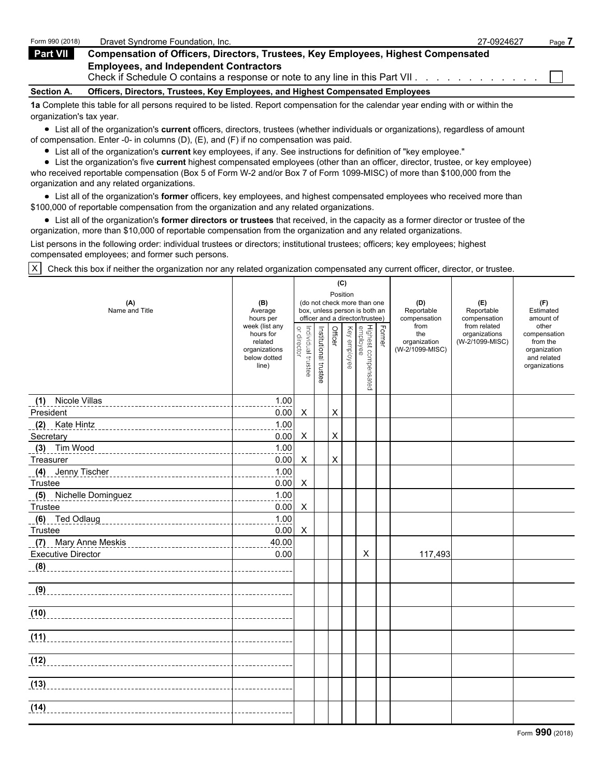| Form 990 (2018)   | Dravet Syndrome Foundation, Inc.                                                                                                  | 27-0924627 | Page |
|-------------------|-----------------------------------------------------------------------------------------------------------------------------------|------------|------|
| <b>Part VII</b>   | <b>Compensation of Officers, Directors, Trustees, Key Employees, Highest Compensated</b>                                          |            |      |
|                   | <b>Employees, and Independent Contractors</b><br>Check if Schedule O contains a response or note to any line in this Part VII.    |            |      |
| <b>Section A.</b> | Officers, Directors, Trustees, Key Employees, and Highest Compensated Employees                                                   |            |      |
|                   | 1a Complete this table for all persons required to be listed. Report compensation for the calendar year ending with or within the |            |      |

organization's tax year. List all of the organization's **current** officers, directors, trustees (whether individuals or organizations), regardless of amount

- of compensation. Enter -0- in columns (D), (E), and (F) if no compensation was paid.
	- List all of the organization's **current** key employees, if any. See instructions for definition of "key employee."

List the organization's five **current** highest compensated employees (other than an officer, director, trustee, or key employee) who received reportable compensation (Box 5 of Form W-2 and/or Box 7 of Form 1099-MISC) of more than \$100,000 from the organization and any related organizations.

List all of the organization's **former** officers, key employees, and highest compensated employees who received more than \$100,000 of reportable compensation from the organization and any related organizations.

List all of the organization's **former directors or trustees** that received, in the capacity as a former director or trustee of the organization, more than \$10,000 of reportable compensation from the organization and any related organizations.

List persons in the following order: individual trustees or directors; institutional trustees; officers; key employees; highest compensated employees; and former such persons.

X Check this box if neither the organization nor any related organization compensated any current officer, director, or trustee.

|                                                         |                                                                |                                   |                       | Position | (C) |                                                              |               |                                        |                                  |                                                                          |
|---------------------------------------------------------|----------------------------------------------------------------|-----------------------------------|-----------------------|----------|-----|--------------------------------------------------------------|---------------|----------------------------------------|----------------------------------|--------------------------------------------------------------------------|
| (A)<br>Name and Title                                   | (B)<br>Average                                                 |                                   |                       |          |     | (do not check more than one<br>box, unless person is both an |               | (D)<br>Reportable                      | (E)<br>Reportable                | (F)<br>Estimated                                                         |
|                                                         | hours per<br>week (list any                                    |                                   |                       |          |     | officer and a director/trustee)                              |               | compensation<br>from                   | compensation<br>from related     | amount of<br>other                                                       |
|                                                         | hours for<br>related<br>organizations<br>below dotted<br>line) | or director<br>Individual trustee | Institutional trustee | Officer  |     | i<br>  Highest compensated<br> <br>  Key employee            | <b>Former</b> | the<br>organization<br>(W-2/1099-MISC) | organizations<br>(W-2/1099-MISC) | compensation<br>from the<br>organization<br>and related<br>organizations |
| (1)<br>Nicole Villas                                    | 1.00                                                           |                                   |                       |          |     |                                                              |               |                                        |                                  |                                                                          |
| President                                               | 0.00                                                           | X                                 |                       | X        |     |                                                              |               |                                        |                                  |                                                                          |
| (2)<br>Kate Hintz                                       | 1.00                                                           |                                   |                       |          |     |                                                              |               |                                        |                                  |                                                                          |
| Secretary                                               | 0.00                                                           | X                                 |                       | X        |     |                                                              |               |                                        |                                  |                                                                          |
| (3) Tim Wood                                            | 1.00                                                           |                                   |                       |          |     |                                                              |               |                                        |                                  |                                                                          |
| Treasurer                                               | 0.00                                                           | Χ                                 |                       | X        |     |                                                              |               |                                        |                                  |                                                                          |
| (4)<br>Jenny Tischer<br>------------------------------- | 1.00                                                           |                                   |                       |          |     |                                                              |               |                                        |                                  |                                                                          |
| Trustee                                                 | 0.00                                                           | Χ                                 |                       |          |     |                                                              |               |                                        |                                  |                                                                          |
| (5)<br>Nichelle Dominguez                               | 1.00                                                           |                                   |                       |          |     |                                                              |               |                                        |                                  |                                                                          |
| Trustee<br>(6) Ted Odlaug                               | 0.00<br>1.00                                                   | X                                 |                       |          |     |                                                              |               |                                        |                                  |                                                                          |
| Trustee                                                 | 0.00                                                           | X                                 |                       |          |     |                                                              |               |                                        |                                  |                                                                          |
| (7) Mary Anne Meskis                                    | 40.00                                                          |                                   |                       |          |     |                                                              |               |                                        |                                  |                                                                          |
| <b>Executive Director</b>                               | 0.00                                                           |                                   |                       |          |     | X                                                            |               | 117,493                                |                                  |                                                                          |
|                                                         |                                                                |                                   |                       |          |     |                                                              |               |                                        |                                  |                                                                          |
| (9)                                                     |                                                                |                                   |                       |          |     |                                                              |               |                                        |                                  |                                                                          |
| (10)                                                    |                                                                |                                   |                       |          |     |                                                              |               |                                        |                                  |                                                                          |
| (11)                                                    |                                                                |                                   |                       |          |     |                                                              |               |                                        |                                  |                                                                          |
| (12)                                                    |                                                                |                                   |                       |          |     |                                                              |               |                                        |                                  |                                                                          |
| (13)                                                    |                                                                |                                   |                       |          |     |                                                              |               |                                        |                                  |                                                                          |
| (14)                                                    |                                                                |                                   |                       |          |     |                                                              |               |                                        |                                  |                                                                          |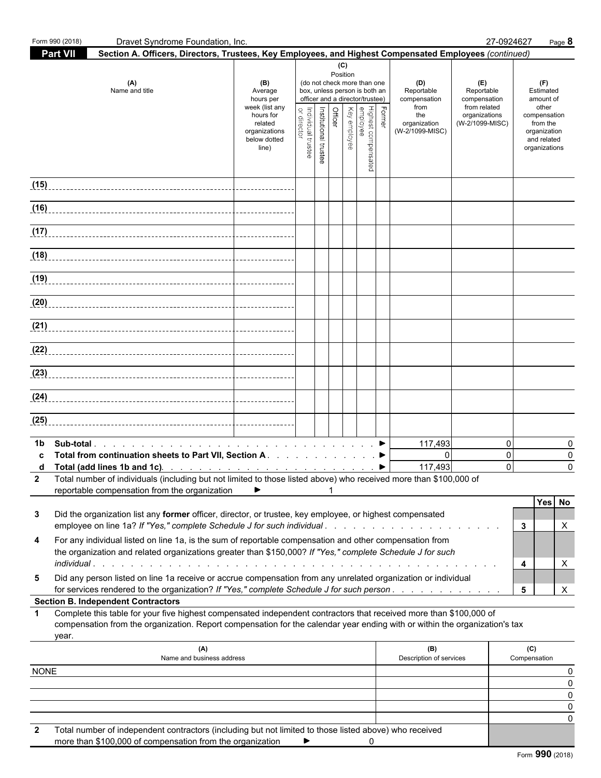| <b>Part VII</b><br>Section A. Officers, Directors, Trustees, Key Employees, and Highest Compensated Employees (continued)<br>(C)<br>Position<br>(A)<br>(do not check more than one<br>(D)<br>(F)<br>(B)<br>(E)<br>Name and title<br>box, unless person is both an<br>Reportable<br>Reportable<br>Estimated<br>Average<br>officer and a director/trustee)<br>hours per<br>compensation<br>compensation<br>amount of<br>from<br>from related<br>week (list any<br>other<br>Former<br>Key employee<br>Highest compensated<br>employee<br>Officer<br>Institutional trustee<br>Individual trustee<br>hours for<br>organizations<br>the<br>compensation<br>director<br>related<br>organization<br>(W-2/1099-MISC)<br>from the<br>(W-2/1099-MISC)<br>organizations<br>organization<br>and related<br>below dotted<br>organizations<br>line)<br>(15)<br>(16)<br>(17)<br>(18)<br>(19)<br>(20)<br>(21)<br>(22)<br>(23)<br>(24)<br>(25)<br>$\Omega$<br>117,493<br>$\mathbf{0}$<br>1b<br>$\Omega$<br>$\Omega$<br>0<br>Total from continuation sheets to Part VII, Section A. ▶<br>$\Omega$<br>117,493<br>$\mathbf{0}$<br>2 Total number of individuals (including but not limited to those listed above) who received more than \$100,000 of<br>reportable compensation from the organization<br>▶<br>Yes No<br>Did the organization list any former officer, director, or trustee, key employee, or highest compensated<br>3<br>employee on line 1a? If "Yes," complete Schedule J for such individual<br>3<br>X<br>For any individual listed on line 1a, is the sum of reportable compensation and other compensation from<br>4<br>the organization and related organizations greater than \$150,000? If "Yes," complete Schedule J for such<br>4<br>X<br>Did any person listed on line 1a receive or accrue compensation from any unrelated organization or individual<br>5<br>for services rendered to the organization? If "Yes," complete Schedule J for such person.<br>X<br>5<br><b>Section B. Independent Contractors</b><br>Complete this table for your five highest compensated independent contractors that received more than \$100,000 of<br>$\mathbf 1$<br>compensation from the organization. Report compensation for the calendar year ending with or within the organization's tax<br>year.<br>(B)<br>(A)<br>(C)<br>Name and business address<br>Description of services<br>Compensation<br><b>NONE</b><br>0<br>0<br>0<br>0<br>0<br>Total number of independent contractors (including but not limited to those listed above) who received<br>more than \$100,000 of compensation from the organization<br>0<br>► | Form 990 (2018) | Dravet Syndrome Foundation, Inc. |  |  |  |  | 27-0924627<br>Page 8 |
|--------------------------------------------------------------------------------------------------------------------------------------------------------------------------------------------------------------------------------------------------------------------------------------------------------------------------------------------------------------------------------------------------------------------------------------------------------------------------------------------------------------------------------------------------------------------------------------------------------------------------------------------------------------------------------------------------------------------------------------------------------------------------------------------------------------------------------------------------------------------------------------------------------------------------------------------------------------------------------------------------------------------------------------------------------------------------------------------------------------------------------------------------------------------------------------------------------------------------------------------------------------------------------------------------------------------------------------------------------------------------------------------------------------------------------------------------------------------------------------------------------------------------------------------------------------------------------------------------------------------------------------------------------------------------------------------------------------------------------------------------------------------------------------------------------------------------------------------------------------------------------------------------------------------------------------------------------------------------------------------------------------------------------------------------------------------------------------------------------------------------------------------------------------------------------------------------------------------------------------------------------------------------------------------------------------------------------------------------------------------------------------------------------------------------------------------------------------------------------------------------------------------------------------------------------------------------------------------------------------------------|-----------------|----------------------------------|--|--|--|--|----------------------|
|                                                                                                                                                                                                                                                                                                                                                                                                                                                                                                                                                                                                                                                                                                                                                                                                                                                                                                                                                                                                                                                                                                                                                                                                                                                                                                                                                                                                                                                                                                                                                                                                                                                                                                                                                                                                                                                                                                                                                                                                                                                                                                                                                                                                                                                                                                                                                                                                                                                                                                                                                                                                                          |                 |                                  |  |  |  |  |                      |
|                                                                                                                                                                                                                                                                                                                                                                                                                                                                                                                                                                                                                                                                                                                                                                                                                                                                                                                                                                                                                                                                                                                                                                                                                                                                                                                                                                                                                                                                                                                                                                                                                                                                                                                                                                                                                                                                                                                                                                                                                                                                                                                                                                                                                                                                                                                                                                                                                                                                                                                                                                                                                          |                 |                                  |  |  |  |  |                      |
|                                                                                                                                                                                                                                                                                                                                                                                                                                                                                                                                                                                                                                                                                                                                                                                                                                                                                                                                                                                                                                                                                                                                                                                                                                                                                                                                                                                                                                                                                                                                                                                                                                                                                                                                                                                                                                                                                                                                                                                                                                                                                                                                                                                                                                                                                                                                                                                                                                                                                                                                                                                                                          |                 |                                  |  |  |  |  |                      |
|                                                                                                                                                                                                                                                                                                                                                                                                                                                                                                                                                                                                                                                                                                                                                                                                                                                                                                                                                                                                                                                                                                                                                                                                                                                                                                                                                                                                                                                                                                                                                                                                                                                                                                                                                                                                                                                                                                                                                                                                                                                                                                                                                                                                                                                                                                                                                                                                                                                                                                                                                                                                                          |                 |                                  |  |  |  |  |                      |
|                                                                                                                                                                                                                                                                                                                                                                                                                                                                                                                                                                                                                                                                                                                                                                                                                                                                                                                                                                                                                                                                                                                                                                                                                                                                                                                                                                                                                                                                                                                                                                                                                                                                                                                                                                                                                                                                                                                                                                                                                                                                                                                                                                                                                                                                                                                                                                                                                                                                                                                                                                                                                          |                 |                                  |  |  |  |  |                      |
|                                                                                                                                                                                                                                                                                                                                                                                                                                                                                                                                                                                                                                                                                                                                                                                                                                                                                                                                                                                                                                                                                                                                                                                                                                                                                                                                                                                                                                                                                                                                                                                                                                                                                                                                                                                                                                                                                                                                                                                                                                                                                                                                                                                                                                                                                                                                                                                                                                                                                                                                                                                                                          |                 |                                  |  |  |  |  |                      |
|                                                                                                                                                                                                                                                                                                                                                                                                                                                                                                                                                                                                                                                                                                                                                                                                                                                                                                                                                                                                                                                                                                                                                                                                                                                                                                                                                                                                                                                                                                                                                                                                                                                                                                                                                                                                                                                                                                                                                                                                                                                                                                                                                                                                                                                                                                                                                                                                                                                                                                                                                                                                                          |                 |                                  |  |  |  |  |                      |
|                                                                                                                                                                                                                                                                                                                                                                                                                                                                                                                                                                                                                                                                                                                                                                                                                                                                                                                                                                                                                                                                                                                                                                                                                                                                                                                                                                                                                                                                                                                                                                                                                                                                                                                                                                                                                                                                                                                                                                                                                                                                                                                                                                                                                                                                                                                                                                                                                                                                                                                                                                                                                          |                 |                                  |  |  |  |  |                      |
|                                                                                                                                                                                                                                                                                                                                                                                                                                                                                                                                                                                                                                                                                                                                                                                                                                                                                                                                                                                                                                                                                                                                                                                                                                                                                                                                                                                                                                                                                                                                                                                                                                                                                                                                                                                                                                                                                                                                                                                                                                                                                                                                                                                                                                                                                                                                                                                                                                                                                                                                                                                                                          |                 |                                  |  |  |  |  |                      |
|                                                                                                                                                                                                                                                                                                                                                                                                                                                                                                                                                                                                                                                                                                                                                                                                                                                                                                                                                                                                                                                                                                                                                                                                                                                                                                                                                                                                                                                                                                                                                                                                                                                                                                                                                                                                                                                                                                                                                                                                                                                                                                                                                                                                                                                                                                                                                                                                                                                                                                                                                                                                                          |                 |                                  |  |  |  |  |                      |
|                                                                                                                                                                                                                                                                                                                                                                                                                                                                                                                                                                                                                                                                                                                                                                                                                                                                                                                                                                                                                                                                                                                                                                                                                                                                                                                                                                                                                                                                                                                                                                                                                                                                                                                                                                                                                                                                                                                                                                                                                                                                                                                                                                                                                                                                                                                                                                                                                                                                                                                                                                                                                          |                 |                                  |  |  |  |  |                      |
|                                                                                                                                                                                                                                                                                                                                                                                                                                                                                                                                                                                                                                                                                                                                                                                                                                                                                                                                                                                                                                                                                                                                                                                                                                                                                                                                                                                                                                                                                                                                                                                                                                                                                                                                                                                                                                                                                                                                                                                                                                                                                                                                                                                                                                                                                                                                                                                                                                                                                                                                                                                                                          |                 |                                  |  |  |  |  |                      |
|                                                                                                                                                                                                                                                                                                                                                                                                                                                                                                                                                                                                                                                                                                                                                                                                                                                                                                                                                                                                                                                                                                                                                                                                                                                                                                                                                                                                                                                                                                                                                                                                                                                                                                                                                                                                                                                                                                                                                                                                                                                                                                                                                                                                                                                                                                                                                                                                                                                                                                                                                                                                                          |                 |                                  |  |  |  |  |                      |
|                                                                                                                                                                                                                                                                                                                                                                                                                                                                                                                                                                                                                                                                                                                                                                                                                                                                                                                                                                                                                                                                                                                                                                                                                                                                                                                                                                                                                                                                                                                                                                                                                                                                                                                                                                                                                                                                                                                                                                                                                                                                                                                                                                                                                                                                                                                                                                                                                                                                                                                                                                                                                          |                 |                                  |  |  |  |  |                      |
|                                                                                                                                                                                                                                                                                                                                                                                                                                                                                                                                                                                                                                                                                                                                                                                                                                                                                                                                                                                                                                                                                                                                                                                                                                                                                                                                                                                                                                                                                                                                                                                                                                                                                                                                                                                                                                                                                                                                                                                                                                                                                                                                                                                                                                                                                                                                                                                                                                                                                                                                                                                                                          |                 |                                  |  |  |  |  |                      |
|                                                                                                                                                                                                                                                                                                                                                                                                                                                                                                                                                                                                                                                                                                                                                                                                                                                                                                                                                                                                                                                                                                                                                                                                                                                                                                                                                                                                                                                                                                                                                                                                                                                                                                                                                                                                                                                                                                                                                                                                                                                                                                                                                                                                                                                                                                                                                                                                                                                                                                                                                                                                                          |                 |                                  |  |  |  |  |                      |
|                                                                                                                                                                                                                                                                                                                                                                                                                                                                                                                                                                                                                                                                                                                                                                                                                                                                                                                                                                                                                                                                                                                                                                                                                                                                                                                                                                                                                                                                                                                                                                                                                                                                                                                                                                                                                                                                                                                                                                                                                                                                                                                                                                                                                                                                                                                                                                                                                                                                                                                                                                                                                          |                 |                                  |  |  |  |  |                      |
|                                                                                                                                                                                                                                                                                                                                                                                                                                                                                                                                                                                                                                                                                                                                                                                                                                                                                                                                                                                                                                                                                                                                                                                                                                                                                                                                                                                                                                                                                                                                                                                                                                                                                                                                                                                                                                                                                                                                                                                                                                                                                                                                                                                                                                                                                                                                                                                                                                                                                                                                                                                                                          |                 |                                  |  |  |  |  |                      |
|                                                                                                                                                                                                                                                                                                                                                                                                                                                                                                                                                                                                                                                                                                                                                                                                                                                                                                                                                                                                                                                                                                                                                                                                                                                                                                                                                                                                                                                                                                                                                                                                                                                                                                                                                                                                                                                                                                                                                                                                                                                                                                                                                                                                                                                                                                                                                                                                                                                                                                                                                                                                                          |                 |                                  |  |  |  |  |                      |
|                                                                                                                                                                                                                                                                                                                                                                                                                                                                                                                                                                                                                                                                                                                                                                                                                                                                                                                                                                                                                                                                                                                                                                                                                                                                                                                                                                                                                                                                                                                                                                                                                                                                                                                                                                                                                                                                                                                                                                                                                                                                                                                                                                                                                                                                                                                                                                                                                                                                                                                                                                                                                          |                 |                                  |  |  |  |  |                      |
|                                                                                                                                                                                                                                                                                                                                                                                                                                                                                                                                                                                                                                                                                                                                                                                                                                                                                                                                                                                                                                                                                                                                                                                                                                                                                                                                                                                                                                                                                                                                                                                                                                                                                                                                                                                                                                                                                                                                                                                                                                                                                                                                                                                                                                                                                                                                                                                                                                                                                                                                                                                                                          |                 |                                  |  |  |  |  |                      |
|                                                                                                                                                                                                                                                                                                                                                                                                                                                                                                                                                                                                                                                                                                                                                                                                                                                                                                                                                                                                                                                                                                                                                                                                                                                                                                                                                                                                                                                                                                                                                                                                                                                                                                                                                                                                                                                                                                                                                                                                                                                                                                                                                                                                                                                                                                                                                                                                                                                                                                                                                                                                                          |                 |                                  |  |  |  |  |                      |
|                                                                                                                                                                                                                                                                                                                                                                                                                                                                                                                                                                                                                                                                                                                                                                                                                                                                                                                                                                                                                                                                                                                                                                                                                                                                                                                                                                                                                                                                                                                                                                                                                                                                                                                                                                                                                                                                                                                                                                                                                                                                                                                                                                                                                                                                                                                                                                                                                                                                                                                                                                                                                          |                 |                                  |  |  |  |  |                      |
|                                                                                                                                                                                                                                                                                                                                                                                                                                                                                                                                                                                                                                                                                                                                                                                                                                                                                                                                                                                                                                                                                                                                                                                                                                                                                                                                                                                                                                                                                                                                                                                                                                                                                                                                                                                                                                                                                                                                                                                                                                                                                                                                                                                                                                                                                                                                                                                                                                                                                                                                                                                                                          |                 |                                  |  |  |  |  |                      |
|                                                                                                                                                                                                                                                                                                                                                                                                                                                                                                                                                                                                                                                                                                                                                                                                                                                                                                                                                                                                                                                                                                                                                                                                                                                                                                                                                                                                                                                                                                                                                                                                                                                                                                                                                                                                                                                                                                                                                                                                                                                                                                                                                                                                                                                                                                                                                                                                                                                                                                                                                                                                                          |                 |                                  |  |  |  |  |                      |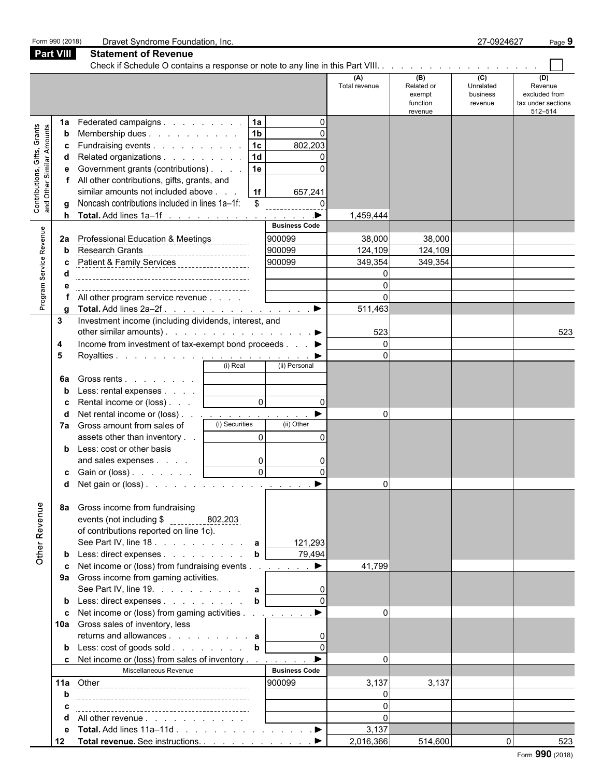|                                                                  | Form 990 (2018)  | Dravet Syndrome Foundation, Inc.                                                                                                                                                                                                                                                                     |                                                              |                                                                     |                      |                                                    | 27-0924627                              | Page 9                                                           |
|------------------------------------------------------------------|------------------|------------------------------------------------------------------------------------------------------------------------------------------------------------------------------------------------------------------------------------------------------------------------------------------------------|--------------------------------------------------------------|---------------------------------------------------------------------|----------------------|----------------------------------------------------|-----------------------------------------|------------------------------------------------------------------|
|                                                                  | <b>Part VIII</b> | <b>Statement of Revenue</b>                                                                                                                                                                                                                                                                          |                                                              |                                                                     |                      |                                                    |                                         |                                                                  |
|                                                                  |                  |                                                                                                                                                                                                                                                                                                      |                                                              |                                                                     | (A)<br>Total revenue | (B)<br>Related or<br>exempt<br>function<br>revenue | (C)<br>Unrelated<br>business<br>revenue | (D)<br>Revenue<br>excluded from<br>tax under sections<br>512-514 |
| Contributions, Gifts, Grants<br>Similar Amounts<br>Other:<br>and | 1a<br>C<br>h     | Federated campaigns<br>Membership dues<br>Fundraising events<br>Related organizations<br>Government grants (contributions)<br>All other contributions, gifts, grants, and<br>similar amounts not included above<br>Noncash contributions included in lines 1a-1f:<br>Total. Add lines 1a-1f <u>.</u> | 1a <br>1 <sub>b</sub><br> 1c <br><b>1d</b><br>1e<br>1f<br>\$ | $\Omega$<br>802,203<br>657,241<br>$\Omega$<br>$\blacktriangleright$ | 1,459,444            |                                                    |                                         |                                                                  |
|                                                                  |                  |                                                                                                                                                                                                                                                                                                      |                                                              | <b>Business Code</b>                                                |                      |                                                    |                                         |                                                                  |
| Program Service Revenue                                          | 2a               | Professional Education & Meetings                                                                                                                                                                                                                                                                    |                                                              | 900099                                                              | 38,000               | 38,000                                             |                                         |                                                                  |
|                                                                  |                  | Research Grants<br>____________________________                                                                                                                                                                                                                                                      |                                                              | 900099                                                              | 124,109              | 124,109                                            |                                         |                                                                  |
|                                                                  |                  | Patient & Family Services                                                                                                                                                                                                                                                                            |                                                              | 900099                                                              | 349,354              | 349,354                                            |                                         |                                                                  |
|                                                                  |                  |                                                                                                                                                                                                                                                                                                      |                                                              |                                                                     |                      |                                                    |                                         |                                                                  |
|                                                                  |                  | All other program service revenue                                                                                                                                                                                                                                                                    |                                                              |                                                                     |                      |                                                    |                                         |                                                                  |
|                                                                  |                  | Total. Add lines 2a-2f.                                                                                                                                                                                                                                                                              |                                                              | $\blacktriangleright$                                               | 511,463              |                                                    |                                         |                                                                  |
|                                                                  | 3                | Investment income (including dividends, interest, and                                                                                                                                                                                                                                                |                                                              |                                                                     |                      |                                                    |                                         |                                                                  |
|                                                                  |                  | other similar amounts). $\ldots$ $\ldots$ $\ldots$ $\ldots$ $\ldots$ $\ldots$                                                                                                                                                                                                                        |                                                              |                                                                     | 523                  |                                                    |                                         | 523                                                              |
|                                                                  | 4                | Income from investment of tax-exempt bond proceeds ▶                                                                                                                                                                                                                                                 |                                                              |                                                                     | $\Omega$             |                                                    |                                         |                                                                  |
|                                                                  | 5                |                                                                                                                                                                                                                                                                                                      | (i) Real                                                     | (ii) Personal                                                       |                      |                                                    |                                         |                                                                  |
|                                                                  | 6a               | Gross rents                                                                                                                                                                                                                                                                                          |                                                              |                                                                     |                      |                                                    |                                         |                                                                  |
|                                                                  |                  | Less: rental expenses                                                                                                                                                                                                                                                                                |                                                              |                                                                     |                      |                                                    |                                         |                                                                  |
|                                                                  |                  | Rental income or (loss)                                                                                                                                                                                                                                                                              | $\circ$                                                      | $\Omega$                                                            |                      |                                                    |                                         |                                                                  |
|                                                                  |                  | Net rental income or (loss) <u>.</u>                                                                                                                                                                                                                                                                 |                                                              |                                                                     | $\Omega$             |                                                    |                                         |                                                                  |
|                                                                  | 7a               | Gross amount from sales of                                                                                                                                                                                                                                                                           | (i) Securities                                               | (ii) Other                                                          |                      |                                                    |                                         |                                                                  |
|                                                                  |                  | assets other than inventory                                                                                                                                                                                                                                                                          | $\overline{0}$                                               |                                                                     |                      |                                                    |                                         |                                                                  |
|                                                                  |                  | Less: cost or other basis                                                                                                                                                                                                                                                                            |                                                              |                                                                     |                      |                                                    |                                         |                                                                  |
|                                                                  |                  | and sales expenses<br><b>c</b> Gain or (loss) $\ldots$ $\ldots$ $\ldots$                                                                                                                                                                                                                             | $\overline{0}$<br>ΩI                                         | 0                                                                   |                      |                                                    |                                         |                                                                  |
|                                                                  |                  |                                                                                                                                                                                                                                                                                                      | <u>ັບ</u>                                                    |                                                                     |                      |                                                    |                                         |                                                                  |
|                                                                  | 8а               | Gross income from fundraising                                                                                                                                                                                                                                                                        |                                                              |                                                                     |                      |                                                    |                                         |                                                                  |
| Other Revenue                                                    |                  | events (not including \$ __________802,203<br>of contributions reported on line 1c).<br>See Part IV, line 18. a                                                                                                                                                                                      |                                                              | 121,293                                                             |                      |                                                    |                                         |                                                                  |
|                                                                  |                  | Less: direct expenses                                                                                                                                                                                                                                                                                | $\mathbf b$                                                  | 79,494                                                              |                      |                                                    |                                         |                                                                  |
|                                                                  |                  | Net income or (loss) from fundraising events ▶                                                                                                                                                                                                                                                       |                                                              |                                                                     | 41,799               |                                                    |                                         |                                                                  |
|                                                                  |                  | 9a Gross income from gaming activities.                                                                                                                                                                                                                                                              |                                                              |                                                                     |                      |                                                    |                                         |                                                                  |
|                                                                  |                  | See Part IV, line 19. $\ldots$ $\ldots$ $\ldots$ <b>a</b>                                                                                                                                                                                                                                            |                                                              |                                                                     |                      |                                                    |                                         |                                                                  |
|                                                                  |                  | Less: direct expenses                                                                                                                                                                                                                                                                                | $\mathbf{b}$                                                 | $\Omega$                                                            |                      |                                                    |                                         |                                                                  |
|                                                                  |                  | Net income or (loss) from gaming activities ▶<br>10a Gross sales of inventory, less<br>returns and allowances $\mathbf{a}$                                                                                                                                                                           |                                                              |                                                                     | $\Omega$             |                                                    |                                         |                                                                  |
|                                                                  |                  | <b>b</b> Less: $\cosh$ of goods $\sinh$                                                                                                                                                                                                                                                              | $\mathbf b$                                                  | $\Omega$                                                            |                      |                                                    |                                         |                                                                  |
|                                                                  |                  | c Net income or (loss) from sales of inventory                                                                                                                                                                                                                                                       |                                                              |                                                                     | $\Omega$             |                                                    |                                         |                                                                  |
|                                                                  |                  | Miscellaneous Revenue                                                                                                                                                                                                                                                                                |                                                              | <b>Business Code</b>                                                |                      |                                                    |                                         |                                                                  |
|                                                                  |                  |                                                                                                                                                                                                                                                                                                      |                                                              | 900099                                                              | 3,137                | 3,137                                              |                                         |                                                                  |
|                                                                  |                  |                                                                                                                                                                                                                                                                                                      |                                                              |                                                                     | $\Omega$             |                                                    |                                         |                                                                  |
|                                                                  |                  |                                                                                                                                                                                                                                                                                                      |                                                              |                                                                     | $\Omega$             |                                                    |                                         |                                                                  |
|                                                                  |                  | All other revenue                                                                                                                                                                                                                                                                                    |                                                              |                                                                     | $\Omega$             |                                                    |                                         |                                                                  |
|                                                                  |                  | Total. Add lines 11a–11d ▶                                                                                                                                                                                                                                                                           |                                                              |                                                                     | 3,137                |                                                    |                                         |                                                                  |
|                                                                  | 12               | Total revenue. See instructions. ▶                                                                                                                                                                                                                                                                   |                                                              |                                                                     | 2,016,366            | 514,600                                            | $\overline{0}$                          | 523<br><b>000</b>                                                |

Form **990** (2018)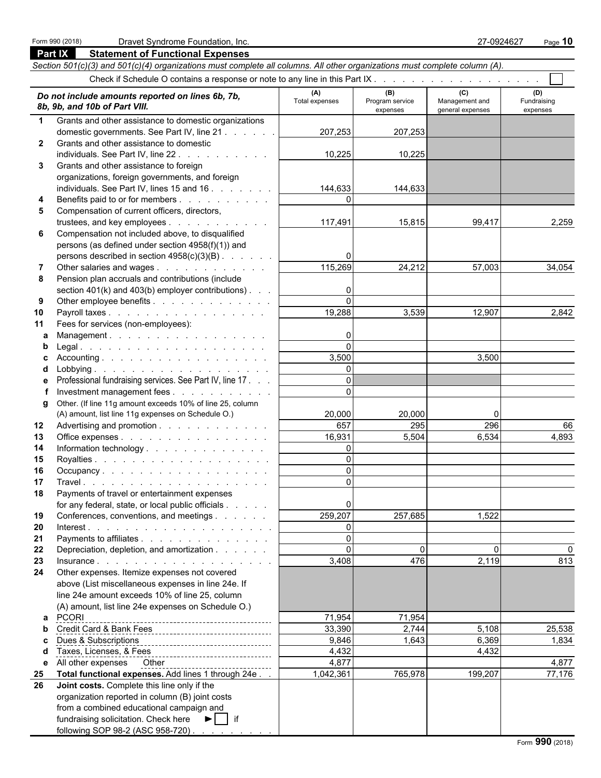|                                                                                                                                                                             | <b>Part IX</b><br><b>Statement of Functional Expenses</b>                                                                  |                |          |         |          |  |  |  |  |  |
|-----------------------------------------------------------------------------------------------------------------------------------------------------------------------------|----------------------------------------------------------------------------------------------------------------------------|----------------|----------|---------|----------|--|--|--|--|--|
|                                                                                                                                                                             | Section 501(c)(3) and 501(c)(4) organizations must complete all columns. All other organizations must complete column (A). |                |          |         |          |  |  |  |  |  |
|                                                                                                                                                                             |                                                                                                                            |                |          |         |          |  |  |  |  |  |
|                                                                                                                                                                             |                                                                                                                            | (A)            | (B)      | (C)     | (D)      |  |  |  |  |  |
| Do not include amounts reported on lines 6b, 7b,<br>Total expenses<br>Program service<br>Management and<br>Fundraising<br>8b, 9b, and 10b of Part VIII.<br>general expenses |                                                                                                                            |                |          |         |          |  |  |  |  |  |
| $\mathbf 1$                                                                                                                                                                 | Grants and other assistance to domestic organizations                                                                      |                | expenses |         | expenses |  |  |  |  |  |
|                                                                                                                                                                             | domestic governments. See Part IV, line 21                                                                                 | 207,253        | 207,253  |         |          |  |  |  |  |  |
| $\mathbf{2}$                                                                                                                                                                | Grants and other assistance to domestic                                                                                    |                |          |         |          |  |  |  |  |  |
|                                                                                                                                                                             | individuals. See Part IV, line 22.                                                                                         | 10,225         | 10,225   |         |          |  |  |  |  |  |
| 3                                                                                                                                                                           | Grants and other assistance to foreign                                                                                     |                |          |         |          |  |  |  |  |  |
|                                                                                                                                                                             | organizations, foreign governments, and foreign                                                                            |                |          |         |          |  |  |  |  |  |
|                                                                                                                                                                             | individuals. See Part IV, lines 15 and 16                                                                                  | 144,633        | 144,633  |         |          |  |  |  |  |  |
| 4                                                                                                                                                                           | Benefits paid to or for members                                                                                            | $\Omega$       |          |         |          |  |  |  |  |  |
| 5                                                                                                                                                                           | Compensation of current officers, directors,                                                                               |                |          |         |          |  |  |  |  |  |
|                                                                                                                                                                             | trustees, and key employees                                                                                                | 117,491        | 15,815   | 99,417  | 2,259    |  |  |  |  |  |
| 6                                                                                                                                                                           | Compensation not included above, to disqualified                                                                           |                |          |         |          |  |  |  |  |  |
|                                                                                                                                                                             | persons (as defined under section 4958(f)(1)) and                                                                          |                |          |         |          |  |  |  |  |  |
|                                                                                                                                                                             | persons described in section $4958(c)(3)(B)$ .                                                                             | 0              |          |         |          |  |  |  |  |  |
|                                                                                                                                                                             | Other salaries and wages                                                                                                   | 115,269        | 24,212   | 57,003  | 34,054   |  |  |  |  |  |
| 8                                                                                                                                                                           | Pension plan accruals and contributions (include                                                                           |                |          |         |          |  |  |  |  |  |
|                                                                                                                                                                             | section 401(k) and 403(b) employer contributions).                                                                         | 0<br>$\Omega$  |          |         |          |  |  |  |  |  |
| 9<br>10                                                                                                                                                                     | Other employee benefits<br>Payroll taxes                                                                                   | 19,288         | 3,539    | 12,907  | 2,842    |  |  |  |  |  |
| 11                                                                                                                                                                          | Fees for services (non-employees):                                                                                         |                |          |         |          |  |  |  |  |  |
| a                                                                                                                                                                           | Management.                                                                                                                | 0              |          |         |          |  |  |  |  |  |
| b                                                                                                                                                                           |                                                                                                                            | $\Omega$       |          |         |          |  |  |  |  |  |
|                                                                                                                                                                             |                                                                                                                            | 3,500          |          | 3,500   |          |  |  |  |  |  |
| d                                                                                                                                                                           |                                                                                                                            | $\Omega$       |          |         |          |  |  |  |  |  |
| е                                                                                                                                                                           | Professional fundraising services. See Part IV, line 17.                                                                   | $\Omega$       |          |         |          |  |  |  |  |  |
|                                                                                                                                                                             | Investment management fees                                                                                                 | $\Omega$       |          |         |          |  |  |  |  |  |
| g                                                                                                                                                                           | Other. (If line 11g amount exceeds 10% of line 25, column                                                                  |                |          |         |          |  |  |  |  |  |
|                                                                                                                                                                             | (A) amount, list line 11g expenses on Schedule O.)                                                                         | 20,000         | 20,000   | 0       |          |  |  |  |  |  |
| 12                                                                                                                                                                          | Advertising and promotion                                                                                                  | 657            | 295      | 296     | 66       |  |  |  |  |  |
| 13                                                                                                                                                                          | Office expenses                                                                                                            | 16,931         | 5,504    | 6,534   | 4,893    |  |  |  |  |  |
| 14                                                                                                                                                                          | Information technology.                                                                                                    | $\Omega$       |          |         |          |  |  |  |  |  |
| 15                                                                                                                                                                          |                                                                                                                            | $\overline{0}$ |          |         |          |  |  |  |  |  |
| 16                                                                                                                                                                          | Occupancy.                                                                                                                 | $\Omega$       |          |         |          |  |  |  |  |  |
| 17                                                                                                                                                                          |                                                                                                                            | $\Omega$       |          |         |          |  |  |  |  |  |
| 18                                                                                                                                                                          | Payments of travel or entertainment expenses                                                                               |                |          |         |          |  |  |  |  |  |
|                                                                                                                                                                             | for any federal, state, or local public officials                                                                          | 0<br>259,207   |          | 1,522   |          |  |  |  |  |  |
| 19<br>20                                                                                                                                                                    | Conferences, conventions, and meetings                                                                                     | $\Omega$       | 257,685  |         |          |  |  |  |  |  |
| 21                                                                                                                                                                          | Payments to affiliates                                                                                                     | $\Omega$       |          |         |          |  |  |  |  |  |
| 22                                                                                                                                                                          | Depreciation, depletion, and amortization                                                                                  | $\Omega$       | $\Omega$ | 0       |          |  |  |  |  |  |
| 23                                                                                                                                                                          |                                                                                                                            | 3,408          | 476      | 2,119   | 813      |  |  |  |  |  |
| 24                                                                                                                                                                          | Other expenses. Itemize expenses not covered                                                                               |                |          |         |          |  |  |  |  |  |
|                                                                                                                                                                             | above (List miscellaneous expenses in line 24e. If                                                                         |                |          |         |          |  |  |  |  |  |
|                                                                                                                                                                             | line 24e amount exceeds 10% of line 25, column                                                                             |                |          |         |          |  |  |  |  |  |
|                                                                                                                                                                             | (A) amount, list line 24e expenses on Schedule O.)                                                                         |                |          |         |          |  |  |  |  |  |
| a                                                                                                                                                                           | <b>PCORI</b>                                                                                                               | 71,954         | 71,954   |         |          |  |  |  |  |  |
| b                                                                                                                                                                           | ------------<br>Credit Card & Bank Fees _________________________________                                                  | 33,390         | 2,744    | 5,108   | 25,538   |  |  |  |  |  |
| c                                                                                                                                                                           | Dues & Subscriptions                                                                                                       | 9,846          | 1,643    | 6,369   | 1,834    |  |  |  |  |  |
| d                                                                                                                                                                           | Taxes, Licenses, & Fees<br>__________________________________                                                              | 4,432          |          | 4,432   |          |  |  |  |  |  |
| е                                                                                                                                                                           |                                                                                                                            | 4,877          |          |         | 4,877    |  |  |  |  |  |
| 25                                                                                                                                                                          | Total functional expenses. Add lines 1 through 24e.                                                                        | 1,042,361      | 765,978  | 199,207 | 77,176   |  |  |  |  |  |
| 26                                                                                                                                                                          | Joint costs. Complete this line only if the<br>organization reported in column (B) joint costs                             |                |          |         |          |  |  |  |  |  |
|                                                                                                                                                                             | from a combined educational campaign and                                                                                   |                |          |         |          |  |  |  |  |  |
|                                                                                                                                                                             | fundraising solicitation. Check here ▶     if                                                                              |                |          |         |          |  |  |  |  |  |
|                                                                                                                                                                             | following SOP 98-2 (ASC 958-720)                                                                                           |                |          |         |          |  |  |  |  |  |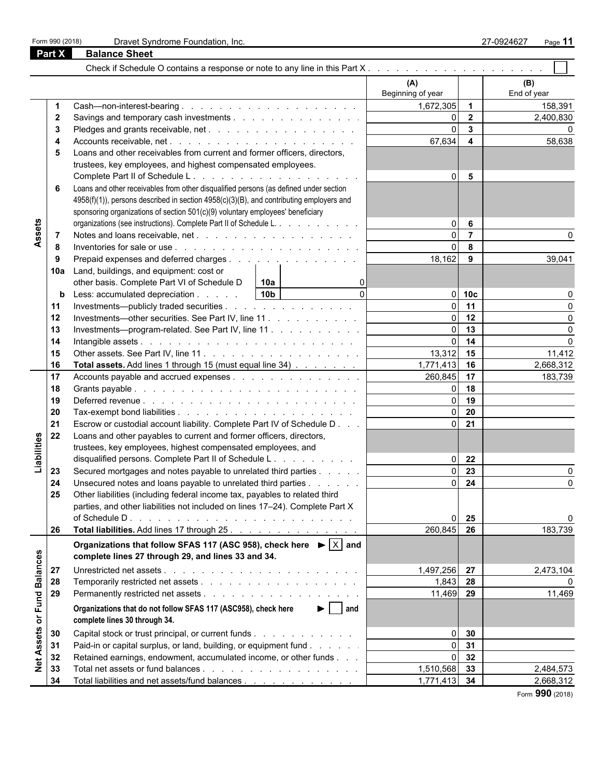| Form 990 (2018) | Dravet Syn           |
|-----------------|----------------------|
| <b>Part X</b>   | <b>Balance Sheet</b> |

|                             |              |                                                                                                                                                                                                                                                 | (A)<br>Beginning of year |                | (B)<br>End of year |
|-----------------------------|--------------|-------------------------------------------------------------------------------------------------------------------------------------------------------------------------------------------------------------------------------------------------|--------------------------|----------------|--------------------|
|                             | $\mathbf 1$  |                                                                                                                                                                                                                                                 | 1,672,305                | $\mathbf{1}$   | 158,391            |
|                             | $\mathbf{2}$ |                                                                                                                                                                                                                                                 | $\overline{0}$           | $\overline{2}$ | 2,400,830          |
|                             | 3            |                                                                                                                                                                                                                                                 | $\Omega$                 | $\mathbf{3}$   |                    |
|                             | 4            |                                                                                                                                                                                                                                                 | 67,634                   | $\overline{4}$ | 58,638             |
|                             | 5            | Loans and other receivables from current and former officers, directors,                                                                                                                                                                        |                          |                |                    |
|                             |              | trustees, key employees, and highest compensated employees.                                                                                                                                                                                     |                          |                |                    |
|                             |              |                                                                                                                                                                                                                                                 | $\overline{0}$           | 5              |                    |
|                             | 6            | Loans and other receivables from other disqualified persons (as defined under section                                                                                                                                                           |                          |                |                    |
|                             |              | 4958(f)(1)), persons described in section 4958(c)(3)(B), and contributing employers and                                                                                                                                                         |                          |                |                    |
|                             |              |                                                                                                                                                                                                                                                 |                          |                |                    |
|                             |              | sponsoring organizations of section 501(c)(9) voluntary employees' beneficiary                                                                                                                                                                  |                          |                |                    |
| Assets                      |              | organizations (see instructions). Complete Part II of Schedule L.                                                                                                                                                                               | $\overline{0}$           | 6              |                    |
|                             | -7           |                                                                                                                                                                                                                                                 | $\Omega$                 | $\overline{7}$ |                    |
|                             | 8            |                                                                                                                                                                                                                                                 | $\Omega$                 | 8              |                    |
|                             | 9            | Prepaid expenses and deferred charges                                                                                                                                                                                                           | 18,162                   | 9              | 39,041             |
|                             | 10a          | Land, buildings, and equipment: cost or                                                                                                                                                                                                         |                          |                |                    |
|                             |              | other basis. Complete Part VI of Schedule D<br>l 10a<br>$\overline{0}$                                                                                                                                                                          |                          |                |                    |
|                             | b            | 10 <sub>b</sub><br>$\Omega$<br>Less: accumulated depreciation                                                                                                                                                                                   |                          | $0$ 10 $c$     |                    |
|                             | 11           | Investments—publicly traded securities                                                                                                                                                                                                          | $\overline{0}$           | 11             |                    |
|                             | 12           | Investments-other securities. See Part IV, line 11                                                                                                                                                                                              | $\circ$                  | 12             |                    |
|                             | 13           |                                                                                                                                                                                                                                                 | $\circ$                  | 13             |                    |
|                             | 14           |                                                                                                                                                                                                                                                 | -ol                      | 14             |                    |
|                             | 15           |                                                                                                                                                                                                                                                 | 13,312                   | 15             | 11,412             |
|                             | 16           | <b>Total assets.</b> Add lines 1 through 15 (must equal line 34) 1,771,413                                                                                                                                                                      |                          | 16             | 2,668,312          |
|                             | 17           |                                                                                                                                                                                                                                                 | 260,845                  | 17             | 183,739            |
|                             | 18           |                                                                                                                                                                                                                                                 | $\Omega$                 | 18             |                    |
|                             | 19           | Deferred revenue                                                                                                                                                                                                                                | $\Omega$                 | 19             |                    |
|                             | 20           |                                                                                                                                                                                                                                                 | $\overline{0}$           | 20             |                    |
|                             | 21           | Escrow or custodial account liability. Complete Part IV of Schedule D                                                                                                                                                                           |                          | $0$ 21         |                    |
|                             |              |                                                                                                                                                                                                                                                 |                          |                |                    |
|                             | 22           | Loans and other payables to current and former officers, directors,                                                                                                                                                                             |                          |                |                    |
|                             |              | trustees, key employees, highest compensated employees, and                                                                                                                                                                                     |                          |                |                    |
| Liabilities                 |              | disqualified persons. Complete Part II of Schedule L.                                                                                                                                                                                           | $\overline{0}$           | 22             |                    |
|                             | 23           | Secured mortgages and notes payable to unrelated third parties                                                                                                                                                                                  | $\Omega$                 | 23             |                    |
|                             | 24           | Unsecured notes and loans payable to unrelated third parties                                                                                                                                                                                    | $\Omega$                 | 24             |                    |
|                             | 25           | Other liabilities (including federal income tax, payables to related third                                                                                                                                                                      |                          |                |                    |
|                             |              | parties, and other liabilities not included on lines 17-24). Complete Part X                                                                                                                                                                    |                          |                |                    |
|                             |              | of Schedule D.<br>and a construction of the construction of the construction of the construction of the construction of the construction of the construction of the construction of the construction of the construction of the construction of | ΩI                       | 25             | n                  |
|                             | 26           | Total liabilities. Add lines 17 through 25.                                                                                                                                                                                                     | 260,845                  | 26             | 183,739            |
|                             |              | Organizations that follow SFAS 117 (ASC 958), check here $\blacktriangleright$ $ \times $ and                                                                                                                                                   |                          |                |                    |
|                             |              |                                                                                                                                                                                                                                                 |                          |                |                    |
|                             |              | complete lines 27 through 29, and lines 33 and 34.                                                                                                                                                                                              |                          |                |                    |
|                             | 27           |                                                                                                                                                                                                                                                 | 1,497,256 27             |                | 2,473,104          |
|                             | 28           |                                                                                                                                                                                                                                                 | 1,843 28                 |                |                    |
|                             | 29           |                                                                                                                                                                                                                                                 | 11,469 29                |                | 11,469             |
| Net Assets or Fund Balances |              | $\blacktriangleright$   and<br>Organizations that do not follow SFAS 117 (ASC958), check here                                                                                                                                                   |                          |                |                    |
|                             |              | complete lines 30 through 34.                                                                                                                                                                                                                   |                          |                |                    |
|                             |              |                                                                                                                                                                                                                                                 |                          |                |                    |
|                             | 30           | Capital stock or trust principal, or current funds                                                                                                                                                                                              | $\overline{0}$           | 30             |                    |
|                             | 31           | Paid-in or capital surplus, or land, building, or equipment fund                                                                                                                                                                                | $\Omega$                 | 31             |                    |
|                             | 32           | Retained earnings, endowment, accumulated income, or other funds                                                                                                                                                                                | $\Omega$                 | 32             |                    |
|                             | 33           |                                                                                                                                                                                                                                                 | 1,510,568                | 33             | 2,484,573          |
|                             | 34           | Total liabilities and net assets/fund balances                                                                                                                                                                                                  | 1,771,413                | 34             | 2,668,312          |

Form **990** (2018)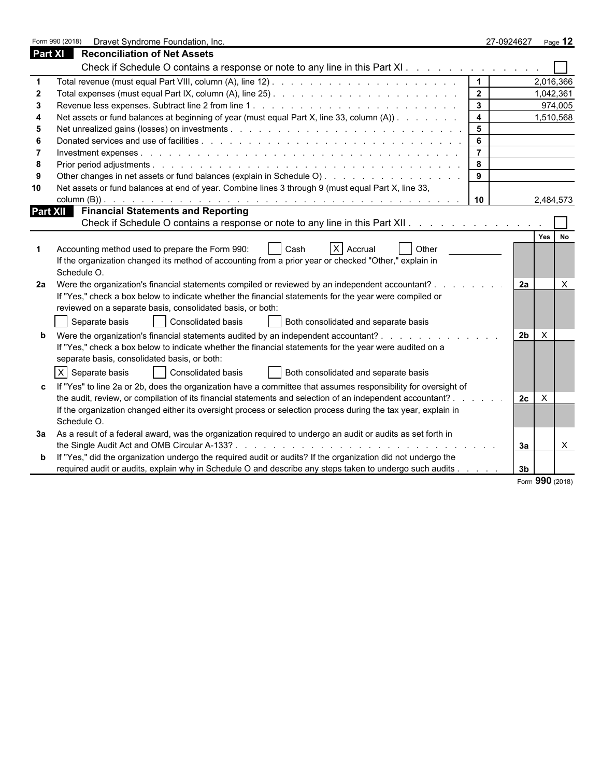|         | Form 990 (2018)<br>Dravet Syndrome Foundation, Inc.                                                                                                                                                                                                                       |                | 27-0924627     | Page $12$       |  |
|---------|---------------------------------------------------------------------------------------------------------------------------------------------------------------------------------------------------------------------------------------------------------------------------|----------------|----------------|-----------------|--|
| Part XI | <b>Reconciliation of Net Assets</b>                                                                                                                                                                                                                                       |                |                |                 |  |
|         | Check if Schedule O contains a response or note to any line in this Part XI                                                                                                                                                                                               |                |                |                 |  |
|         |                                                                                                                                                                                                                                                                           | $\mathbf 1$    |                | 2,016,366       |  |
| -2      |                                                                                                                                                                                                                                                                           | $\overline{2}$ |                | 1,042,361       |  |
| -3      |                                                                                                                                                                                                                                                                           | $\mathbf{3}$   |                | 974,005         |  |
|         | Net assets or fund balances at beginning of year (must equal Part X, line 33, column (A))                                                                                                                                                                                 | $\overline{4}$ |                | 1,510,568       |  |
| 5       |                                                                                                                                                                                                                                                                           | 5 <sup>5</sup> |                |                 |  |
| -6      |                                                                                                                                                                                                                                                                           | 6              |                |                 |  |
|         |                                                                                                                                                                                                                                                                           | $\overline{7}$ |                |                 |  |
| 8       |                                                                                                                                                                                                                                                                           | 8              |                |                 |  |
| .9      | Other changes in net assets or fund balances (explain in Schedule O)                                                                                                                                                                                                      | 9              |                |                 |  |
| 10      | Net assets or fund balances at end of year. Combine lines 3 through 9 (must equal Part X, line 33,                                                                                                                                                                        |                |                |                 |  |
|         |                                                                                                                                                                                                                                                                           | 10             |                | 2,484,573       |  |
|         | <b>Financial Statements and Reporting</b><br>Part XII                                                                                                                                                                                                                     |                |                |                 |  |
|         | Check if Schedule O contains a response or note to any line in this Part XII.                                                                                                                                                                                             |                |                |                 |  |
|         | X Accrual<br>Accounting method used to prepare the Form 990:<br>Other<br>Cash<br>If the organization changed its method of accounting from a prior year or checked "Other," explain in<br>Schedule O.                                                                     |                |                | Yes<br>No       |  |
| 2a      | Were the organization's financial statements compiled or reviewed by an independent accountant? .<br>If "Yes," check a box below to indicate whether the financial statements for the year were compiled or<br>reviewed on a separate basis, consolidated basis, or both: | .              | 2a             | $\times$        |  |
|         | Separate basis<br>Consolidated basis<br>Both consolidated and separate basis                                                                                                                                                                                              |                |                |                 |  |
|         | Were the organization's financial statements audited by an independent accountant?<br>If "Yes," check a box below to indicate whether the financial statements for the year were audited on a<br>separate basis, consolidated basis, or both:                             |                | 2 <sub>b</sub> | $\mathsf{X}$    |  |
|         | X Separate basis<br>Consolidated basis<br>Both consolidated and separate basis                                                                                                                                                                                            |                |                |                 |  |
|         | If "Yes" to line 2a or 2b, does the organization have a committee that assumes responsibility for oversight of                                                                                                                                                            |                |                |                 |  |
|         | the audit, review, or compilation of its financial statements and selection of an independent accountant?.                                                                                                                                                                |                | 2c             | $\times$        |  |
|         | If the organization changed either its oversight process or selection process during the tax year, explain in<br>Schedule O.                                                                                                                                              |                |                |                 |  |
|         | 3a As a result of a federal award, was the organization required to undergo an audit or audits as set forth in                                                                                                                                                            |                |                |                 |  |
|         |                                                                                                                                                                                                                                                                           |                | За             | $\mathsf{X}$    |  |
| b       | If "Yes," did the organization undergo the required audit or audits? If the organization did not undergo the                                                                                                                                                              |                |                |                 |  |
|         | required audit or audits, explain why in Schedule O and describe any steps taken to undergo such audits                                                                                                                                                                   |                | 3 <sub>b</sub> |                 |  |
|         |                                                                                                                                                                                                                                                                           |                |                | Form 990 (2018) |  |

|  |  | $\cdot$ orm 990 (2018) |
|--|--|------------------------|
|--|--|------------------------|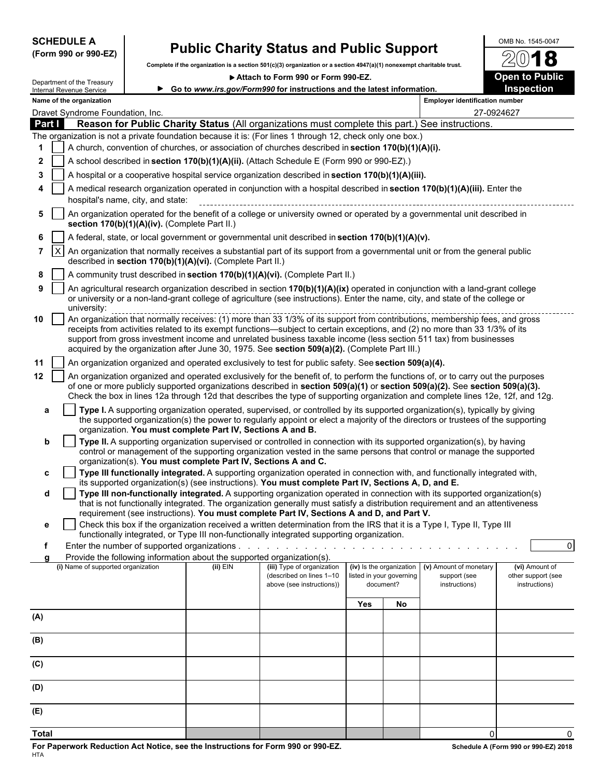| <b>SCHEDULE A</b> |  |                      |
|-------------------|--|----------------------|
|                   |  | (Form 990 or 990-EZ) |

# **Public Charity Status and Public Support** 2008 No. 1545-0047

**Complete if the organization is a section 501(c)(3) organization or a section 4947(a)(1) nonexempt charitable trust.**

**Attach to Form 990 or Form 990-EZ. Open to Public**



|              | Department of the Treasury                                                                                                                                     |  |                                                                                                                                                                            | ▶ Attach to Form 990 or Form 990-EZ.                                                                                                                                                                                                                                                                                                                                                                                                                                             |     |                                                                   |                                                         | <b>Open to Public</b>                                 |  |  |  |  |
|--------------|----------------------------------------------------------------------------------------------------------------------------------------------------------------|--|----------------------------------------------------------------------------------------------------------------------------------------------------------------------------|----------------------------------------------------------------------------------------------------------------------------------------------------------------------------------------------------------------------------------------------------------------------------------------------------------------------------------------------------------------------------------------------------------------------------------------------------------------------------------|-----|-------------------------------------------------------------------|---------------------------------------------------------|-------------------------------------------------------|--|--|--|--|
|              | Internal Revenue Service                                                                                                                                       |  |                                                                                                                                                                            | ► Go to www.irs.gov/Form990 for instructions and the latest information.                                                                                                                                                                                                                                                                                                                                                                                                         |     |                                                                   |                                                         | <b>Inspection</b>                                     |  |  |  |  |
|              | Name of the organization                                                                                                                                       |  |                                                                                                                                                                            |                                                                                                                                                                                                                                                                                                                                                                                                                                                                                  |     |                                                                   | <b>Employer identification number</b>                   |                                                       |  |  |  |  |
|              | Dravet Syndrome Foundation, Inc.                                                                                                                               |  |                                                                                                                                                                            |                                                                                                                                                                                                                                                                                                                                                                                                                                                                                  |     |                                                                   |                                                         | 27-0924627                                            |  |  |  |  |
| Part I       |                                                                                                                                                                |  |                                                                                                                                                                            | Reason for Public Charity Status (All organizations must complete this part.) See instructions.                                                                                                                                                                                                                                                                                                                                                                                  |     |                                                                   |                                                         |                                                       |  |  |  |  |
|              |                                                                                                                                                                |  |                                                                                                                                                                            | The organization is not a private foundation because it is: (For lines 1 through 12, check only one box.)                                                                                                                                                                                                                                                                                                                                                                        |     |                                                                   |                                                         |                                                       |  |  |  |  |
|              | A church, convention of churches, or association of churches described in section 170(b)(1)(A)(i).                                                             |  |                                                                                                                                                                            |                                                                                                                                                                                                                                                                                                                                                                                                                                                                                  |     |                                                                   |                                                         |                                                       |  |  |  |  |
| 2            | A school described in section 170(b)(1)(A)(ii). (Attach Schedule E (Form 990 or 990-EZ).)                                                                      |  |                                                                                                                                                                            |                                                                                                                                                                                                                                                                                                                                                                                                                                                                                  |     |                                                                   |                                                         |                                                       |  |  |  |  |
| 3            | A hospital or a cooperative hospital service organization described in section 170(b)(1)(A)(iii).                                                              |  |                                                                                                                                                                            |                                                                                                                                                                                                                                                                                                                                                                                                                                                                                  |     |                                                                   |                                                         |                                                       |  |  |  |  |
|              | A medical research organization operated in conjunction with a hospital described in section 170(b)(1)(A)(iii). Enter the<br>hospital's name, city, and state: |  |                                                                                                                                                                            |                                                                                                                                                                                                                                                                                                                                                                                                                                                                                  |     |                                                                   |                                                         |                                                       |  |  |  |  |
| 5            |                                                                                                                                                                |  | An organization operated for the benefit of a college or university owned or operated by a governmental unit described in<br>section 170(b)(1)(A)(iv). (Complete Part II.) |                                                                                                                                                                                                                                                                                                                                                                                                                                                                                  |     |                                                                   |                                                         |                                                       |  |  |  |  |
| 6            |                                                                                                                                                                |  |                                                                                                                                                                            | A federal, state, or local government or governmental unit described in section 170(b)(1)(A)(v).                                                                                                                                                                                                                                                                                                                                                                                 |     |                                                                   |                                                         |                                                       |  |  |  |  |
| 7            | IX.                                                                                                                                                            |  | described in section 170(b)(1)(A)(vi). (Complete Part II.)                                                                                                                 | An organization that normally receives a substantial part of its support from a governmental unit or from the general public                                                                                                                                                                                                                                                                                                                                                     |     |                                                                   |                                                         |                                                       |  |  |  |  |
| 8            |                                                                                                                                                                |  |                                                                                                                                                                            | A community trust described in section 170(b)(1)(A)(vi). (Complete Part II.)                                                                                                                                                                                                                                                                                                                                                                                                     |     |                                                                   |                                                         |                                                       |  |  |  |  |
| 9            | university:                                                                                                                                                    |  |                                                                                                                                                                            | An agricultural research organization described in section 170(b)(1)(A)(ix) operated in conjunction with a land-grant college<br>or university or a non-land-grant college of agriculture (see instructions). Enter the name, city, and state of the college or                                                                                                                                                                                                                  |     |                                                                   |                                                         |                                                       |  |  |  |  |
| 10           |                                                                                                                                                                |  |                                                                                                                                                                            | An organization that normally receives: (1) more than 33 1/3% of its support from contributions, membership fees, and gross<br>receipts from activities related to its exempt functions—subject to certain exceptions, and (2) no more than 33 1/3% of its<br>support from gross investment income and unrelated business taxable income (less section 511 tax) from businesses<br>acquired by the organization after June 30, 1975. See section 509(a)(2). (Complete Part III.) |     |                                                                   |                                                         |                                                       |  |  |  |  |
| 11           |                                                                                                                                                                |  |                                                                                                                                                                            | An organization organized and operated exclusively to test for public safety. See section 509(a)(4).                                                                                                                                                                                                                                                                                                                                                                             |     |                                                                   |                                                         |                                                       |  |  |  |  |
| $12 \,$      |                                                                                                                                                                |  |                                                                                                                                                                            | An organization organized and operated exclusively for the benefit of, to perform the functions of, or to carry out the purposes                                                                                                                                                                                                                                                                                                                                                 |     |                                                                   |                                                         |                                                       |  |  |  |  |
|              |                                                                                                                                                                |  |                                                                                                                                                                            | of one or more publicly supported organizations described in section 509(a)(1) or section 509(a)(2). See section 509(a)(3).<br>Check the box in lines 12a through 12d that describes the type of supporting organization and complete lines 12e, 12f, and 12g.                                                                                                                                                                                                                   |     |                                                                   |                                                         |                                                       |  |  |  |  |
| а            |                                                                                                                                                                |  | organization. You must complete Part IV, Sections A and B.                                                                                                                 | Type I. A supporting organization operated, supervised, or controlled by its supported organization(s), typically by giving<br>the supported organization(s) the power to regularly appoint or elect a majority of the directors or trustees of the supporting                                                                                                                                                                                                                   |     |                                                                   |                                                         |                                                       |  |  |  |  |
| b            |                                                                                                                                                                |  |                                                                                                                                                                            | Type II. A supporting organization supervised or controlled in connection with its supported organization(s), by having<br>control or management of the supporting organization vested in the same persons that control or manage the supported                                                                                                                                                                                                                                  |     |                                                                   |                                                         |                                                       |  |  |  |  |
| c            |                                                                                                                                                                |  | organization(s). You must complete Part IV, Sections A and C.                                                                                                              | Type III functionally integrated. A supporting organization operated in connection with, and functionally integrated with,                                                                                                                                                                                                                                                                                                                                                       |     |                                                                   |                                                         |                                                       |  |  |  |  |
|              |                                                                                                                                                                |  |                                                                                                                                                                            | its supported organization(s) (see instructions). You must complete Part IV, Sections A, D, and E.                                                                                                                                                                                                                                                                                                                                                                               |     |                                                                   |                                                         |                                                       |  |  |  |  |
| d            |                                                                                                                                                                |  |                                                                                                                                                                            | Type III non-functionally integrated. A supporting organization operated in connection with its supported organization(s)<br>that is not functionally integrated. The organization generally must satisfy a distribution requirement and an attentiveness<br>requirement (see instructions). You must complete Part IV, Sections A and D, and Part V.                                                                                                                            |     |                                                                   |                                                         |                                                       |  |  |  |  |
| е            |                                                                                                                                                                |  |                                                                                                                                                                            | Check this box if the organization received a written determination from the IRS that it is a Type I, Type II, Type III<br>functionally integrated, or Type III non-functionally integrated supporting organization.                                                                                                                                                                                                                                                             |     |                                                                   |                                                         |                                                       |  |  |  |  |
| f            |                                                                                                                                                                |  |                                                                                                                                                                            |                                                                                                                                                                                                                                                                                                                                                                                                                                                                                  |     |                                                                   |                                                         | $\Omega$                                              |  |  |  |  |
| a            |                                                                                                                                                                |  | Provide the following information about the supported organization(s).                                                                                                     |                                                                                                                                                                                                                                                                                                                                                                                                                                                                                  |     |                                                                   |                                                         |                                                       |  |  |  |  |
|              | (i) Name of supported organization                                                                                                                             |  | $(ii)$ EIN                                                                                                                                                                 | (iii) Type of organization<br>(described on lines 1-10<br>above (see instructions))                                                                                                                                                                                                                                                                                                                                                                                              |     | (iv) Is the organization<br>listed in your governing<br>document? | (v) Amount of monetary<br>support (see<br>instructions) | (vi) Amount of<br>other support (see<br>instructions) |  |  |  |  |
|              |                                                                                                                                                                |  |                                                                                                                                                                            |                                                                                                                                                                                                                                                                                                                                                                                                                                                                                  |     |                                                                   |                                                         |                                                       |  |  |  |  |
|              |                                                                                                                                                                |  |                                                                                                                                                                            |                                                                                                                                                                                                                                                                                                                                                                                                                                                                                  | Yes | No                                                                |                                                         |                                                       |  |  |  |  |
| (A)          |                                                                                                                                                                |  |                                                                                                                                                                            |                                                                                                                                                                                                                                                                                                                                                                                                                                                                                  |     |                                                                   |                                                         |                                                       |  |  |  |  |
| (B)          |                                                                                                                                                                |  |                                                                                                                                                                            |                                                                                                                                                                                                                                                                                                                                                                                                                                                                                  |     |                                                                   |                                                         |                                                       |  |  |  |  |
| (C)          |                                                                                                                                                                |  |                                                                                                                                                                            |                                                                                                                                                                                                                                                                                                                                                                                                                                                                                  |     |                                                                   |                                                         |                                                       |  |  |  |  |
| (D)          |                                                                                                                                                                |  |                                                                                                                                                                            |                                                                                                                                                                                                                                                                                                                                                                                                                                                                                  |     |                                                                   |                                                         |                                                       |  |  |  |  |
| (E)          |                                                                                                                                                                |  |                                                                                                                                                                            |                                                                                                                                                                                                                                                                                                                                                                                                                                                                                  |     |                                                                   |                                                         |                                                       |  |  |  |  |
| <b>Total</b> |                                                                                                                                                                |  |                                                                                                                                                                            |                                                                                                                                                                                                                                                                                                                                                                                                                                                                                  |     |                                                                   | $\Omega$                                                |                                                       |  |  |  |  |
|              |                                                                                                                                                                |  |                                                                                                                                                                            |                                                                                                                                                                                                                                                                                                                                                                                                                                                                                  |     |                                                                   |                                                         |                                                       |  |  |  |  |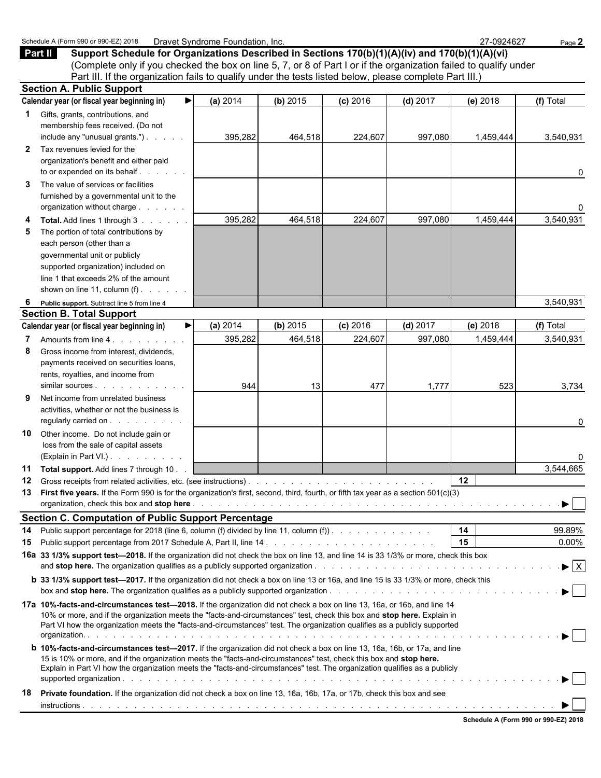|              | Schedule A (Form 990 or 990-EZ) 2018                                                                                                                                                                                                                 | Dravet Syndrome Foundation, Inc. |          |            |            | 27-0924627 | Page 2                         |  |  |  |  |
|--------------|------------------------------------------------------------------------------------------------------------------------------------------------------------------------------------------------------------------------------------------------------|----------------------------------|----------|------------|------------|------------|--------------------------------|--|--|--|--|
| Part II      | Support Schedule for Organizations Described in Sections 170(b)(1)(A)(iv) and 170(b)(1)(A)(vi)                                                                                                                                                       |                                  |          |            |            |            |                                |  |  |  |  |
|              | (Complete only if you checked the box on line 5, 7, or 8 of Part I or if the organization failed to qualify under                                                                                                                                    |                                  |          |            |            |            |                                |  |  |  |  |
|              | Part III. If the organization fails to qualify under the tests listed below, please complete Part III.)                                                                                                                                              |                                  |          |            |            |            |                                |  |  |  |  |
|              | <b>Section A. Public Support</b>                                                                                                                                                                                                                     |                                  |          |            |            |            |                                |  |  |  |  |
|              | Calendar year (or fiscal year beginning in)                                                                                                                                                                                                          | (a) 2014                         | (b) 2015 | $(c)$ 2016 | $(d)$ 2017 | (e) 2018   | (f) Total                      |  |  |  |  |
| 1.           | Gifts, grants, contributions, and                                                                                                                                                                                                                    |                                  |          |            |            |            |                                |  |  |  |  |
|              | membership fees received. (Do not                                                                                                                                                                                                                    |                                  |          |            |            |            |                                |  |  |  |  |
|              | include any "unusual grants.")                                                                                                                                                                                                                       | 395,282                          | 464,518  | 224,607    | 997,080    | 1,459,444  | 3,540,931                      |  |  |  |  |
|              | Tax revenues levied for the                                                                                                                                                                                                                          |                                  |          |            |            |            |                                |  |  |  |  |
| $\mathbf{2}$ |                                                                                                                                                                                                                                                      |                                  |          |            |            |            |                                |  |  |  |  |
|              | organization's benefit and either paid                                                                                                                                                                                                               |                                  |          |            |            |            |                                |  |  |  |  |
|              | to or expended on its behalf                                                                                                                                                                                                                         |                                  |          |            |            |            | 0                              |  |  |  |  |
| 3            | The value of services or facilities                                                                                                                                                                                                                  |                                  |          |            |            |            |                                |  |  |  |  |
|              | furnished by a governmental unit to the                                                                                                                                                                                                              |                                  |          |            |            |            |                                |  |  |  |  |
|              | organization without charge                                                                                                                                                                                                                          |                                  |          |            |            |            | 0                              |  |  |  |  |
|              | Total. Add lines 1 through 3                                                                                                                                                                                                                         | 395,282                          | 464,518  | 224,607    | 997,080    | 1,459,444  | 3,540,931                      |  |  |  |  |
| 5            | The portion of total contributions by                                                                                                                                                                                                                |                                  |          |            |            |            |                                |  |  |  |  |
|              | each person (other than a                                                                                                                                                                                                                            |                                  |          |            |            |            |                                |  |  |  |  |
|              | governmental unit or publicly                                                                                                                                                                                                                        |                                  |          |            |            |            |                                |  |  |  |  |
|              | supported organization) included on                                                                                                                                                                                                                  |                                  |          |            |            |            |                                |  |  |  |  |
|              | line 1 that exceeds 2% of the amount                                                                                                                                                                                                                 |                                  |          |            |            |            |                                |  |  |  |  |
|              | shown on line 11, column $(f)$ .                                                                                                                                                                                                                     |                                  |          |            |            |            |                                |  |  |  |  |
| 6            | Public support. Subtract line 5 from line 4                                                                                                                                                                                                          |                                  |          |            |            |            | 3,540,931                      |  |  |  |  |
|              | <b>Section B. Total Support</b>                                                                                                                                                                                                                      |                                  |          |            |            |            |                                |  |  |  |  |
|              | Calendar year (or fiscal year beginning in)<br>(a) 2014<br>(b) 2015<br>$(c)$ 2016<br>$(d)$ 2017<br>(e) 2018<br>(f) Total                                                                                                                             |                                  |          |            |            |            |                                |  |  |  |  |
|              | Amounts from line 4.                                                                                                                                                                                                                                 | 395,282                          | 464,518  | 224,607    | 997,080    | 1,459,444  | 3,540,931                      |  |  |  |  |
| 8            | Gross income from interest, dividends,                                                                                                                                                                                                               |                                  |          |            |            |            |                                |  |  |  |  |
|              | payments received on securities loans,                                                                                                                                                                                                               |                                  |          |            |            |            |                                |  |  |  |  |
|              | rents, royalties, and income from                                                                                                                                                                                                                    |                                  |          |            |            |            |                                |  |  |  |  |
|              |                                                                                                                                                                                                                                                      | 944                              | 13       | 477        | 1,777      | 523        | 3,734                          |  |  |  |  |
|              | Net income from unrelated business                                                                                                                                                                                                                   |                                  |          |            |            |            |                                |  |  |  |  |
|              | activities, whether or not the business is                                                                                                                                                                                                           |                                  |          |            |            |            |                                |  |  |  |  |
|              | regularly carried on                                                                                                                                                                                                                                 |                                  |          |            |            |            | 0                              |  |  |  |  |
| 10           | Other income. Do not include gain or                                                                                                                                                                                                                 |                                  |          |            |            |            |                                |  |  |  |  |
|              | loss from the sale of capital assets                                                                                                                                                                                                                 |                                  |          |            |            |            |                                |  |  |  |  |
|              | (Explain in Part VI.)                                                                                                                                                                                                                                |                                  |          |            |            |            | 0                              |  |  |  |  |
|              | 11 Total support. Add lines 7 through 10.                                                                                                                                                                                                            |                                  |          |            |            |            | 3,544,665                      |  |  |  |  |
| 12           |                                                                                                                                                                                                                                                      |                                  |          |            |            | 12         |                                |  |  |  |  |
| 13           | First five years. If the Form 990 is for the organization's first, second, third, fourth, or fifth tax year as a section 501(c)(3)                                                                                                                   |                                  |          |            |            |            |                                |  |  |  |  |
|              |                                                                                                                                                                                                                                                      |                                  |          |            |            |            |                                |  |  |  |  |
|              | <b>Section C. Computation of Public Support Percentage</b>                                                                                                                                                                                           |                                  |          |            |            |            |                                |  |  |  |  |
|              |                                                                                                                                                                                                                                                      |                                  |          |            |            |            |                                |  |  |  |  |
| 14           | Public support percentage for 2018 (line 6, column (f) divided by line 11, column (f)).                                                                                                                                                              |                                  |          |            |            | 14         | 99.89%                         |  |  |  |  |
| 15           |                                                                                                                                                                                                                                                      |                                  |          |            |            | 15         | $0.00\%$                       |  |  |  |  |
|              | 16a 33 1/3% support test-2018. If the organization did not check the box on line 13, and line 14 is 33 1/3% or more, check this box                                                                                                                  |                                  |          |            |            |            |                                |  |  |  |  |
|              |                                                                                                                                                                                                                                                      |                                  |          |            |            |            | $\blacktriangleright$ $\mid$ X |  |  |  |  |
|              | <b>b</b> 33 1/3% support test—2017. If the organization did not check a box on line 13 or 16a, and line 15 is 33 1/3% or more, check this                                                                                                            |                                  |          |            |            |            |                                |  |  |  |  |
|              |                                                                                                                                                                                                                                                      |                                  |          |            |            |            |                                |  |  |  |  |
|              | 17a 10%-facts-and-circumstances test-2018. If the organization did not check a box on line 13, 16a, or 16b, and line 14                                                                                                                              |                                  |          |            |            |            |                                |  |  |  |  |
|              | 10% or more, and if the organization meets the "facts-and-circumstances" test, check this box and stop here. Explain in                                                                                                                              |                                  |          |            |            |            |                                |  |  |  |  |
|              | Part VI how the organization meets the "facts-and-circumstances" test. The organization qualifies as a publicly supported                                                                                                                            |                                  |          |            |            |            |                                |  |  |  |  |
|              |                                                                                                                                                                                                                                                      |                                  |          |            |            |            |                                |  |  |  |  |
|              | <b>b</b> 10%-facts-and-circumstances test-2017. If the organization did not check a box on line 13, 16a, 16b, or 17a, and line<br>15 is 10% or more, and if the organization meets the "facts-and-circumstances" test, check this box and stop here. |                                  |          |            |            |            |                                |  |  |  |  |
|              | Explain in Part VI how the organization meets the "facts-and-circumstances" test. The organization qualifies as a publicly                                                                                                                           |                                  |          |            |            |            |                                |  |  |  |  |
|              |                                                                                                                                                                                                                                                      |                                  |          |            |            |            |                                |  |  |  |  |
| 18           | Private foundation. If the organization did not check a box on line 13, 16a, 16b, 17a, or 17b, check this box and see                                                                                                                                |                                  |          |            |            |            |                                |  |  |  |  |
|              |                                                                                                                                                                                                                                                      |                                  |          |            |            |            |                                |  |  |  |  |
|              |                                                                                                                                                                                                                                                      |                                  |          |            |            |            |                                |  |  |  |  |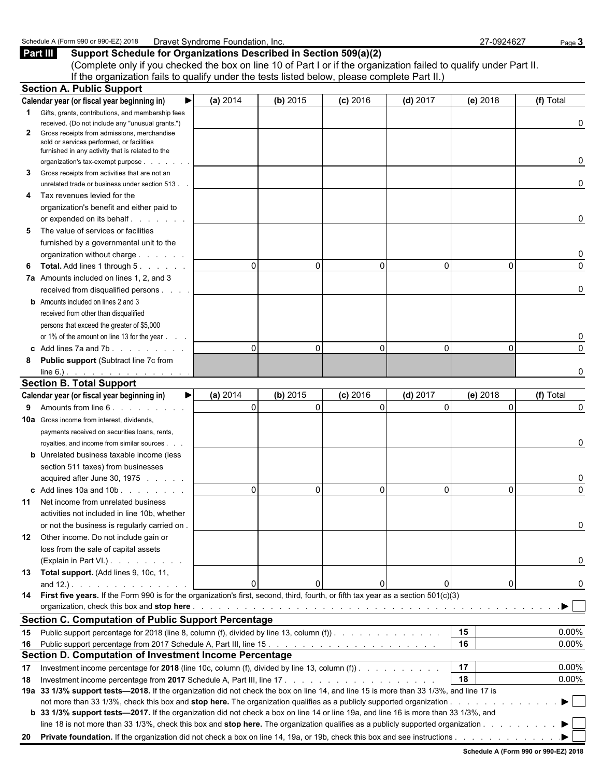**Part III Support Schedule for Organizations Described in Section 509(a)(2)** (Complete only if you checked the box on line 10 of Part I or if the organization failed to qualify under Part II. If the organization fails to qualify under the tests listed below, please complete Part II.)

|              | <b>Section A. Public Support</b>                                                                                                             |               |                      |                        |            |                      |                       |
|--------------|----------------------------------------------------------------------------------------------------------------------------------------------|---------------|----------------------|------------------------|------------|----------------------|-----------------------|
|              | Calendar year (or fiscal year beginning in)                                                                                                  | (a) 2014      | (b) 2015             | $(c)$ 2016             | $(d)$ 2017 | (e) 2018             | (f) Total             |
| 1            | Gifts, grants, contributions, and membership fees                                                                                            |               |                      |                        |            |                      |                       |
|              | received. (Do not include any "unusual grants.")                                                                                             |               |                      |                        |            |                      | 0                     |
| $\mathbf{2}$ | Gross receipts from admissions, merchandise<br>sold or services performed, or facilities<br>furnished in any activity that is related to the |               |                      |                        |            |                      |                       |
|              | organization's tax-exempt purpose                                                                                                            |               |                      |                        |            |                      | 0                     |
| 3            | Gross receipts from activities that are not an                                                                                               |               |                      |                        |            |                      |                       |
|              | unrelated trade or business under section 513.                                                                                               |               |                      |                        |            |                      | 0                     |
| 4            | Tax revenues levied for the                                                                                                                  |               |                      |                        |            |                      |                       |
|              | organization's benefit and either paid to                                                                                                    |               |                      |                        |            |                      |                       |
|              | or expended on its behalf.                                                                                                                   |               |                      |                        |            |                      | 0                     |
| 5            | The value of services or facilities                                                                                                          |               |                      |                        |            |                      |                       |
|              | furnished by a governmental unit to the                                                                                                      |               |                      |                        |            |                      |                       |
|              | organization without charge                                                                                                                  |               |                      |                        |            |                      |                       |
| 6            | <b>Total.</b> Add lines 1 through 5.                                                                                                         |               | $\Omega$             | $\Omega$<br>$\Omega$   | $\Omega$   | $\Omega$             | $\Omega$              |
|              | 7a Amounts included on lines 1, 2, and 3                                                                                                     |               |                      |                        |            |                      |                       |
|              | received from disqualified persons                                                                                                           |               |                      |                        |            |                      | O                     |
|              | <b>b</b> Amounts included on lines 2 and 3                                                                                                   |               |                      |                        |            |                      |                       |
|              | received from other than disqualified                                                                                                        |               |                      |                        |            |                      |                       |
|              | persons that exceed the greater of \$5,000                                                                                                   |               |                      |                        |            |                      |                       |
|              | or 1% of the amount on line 13 for the year                                                                                                  |               |                      |                        |            |                      |                       |
|              | c Add lines $7a$ and $7b$ . $\ldots$ $\ldots$                                                                                                |               | $\Omega$             | $\Omega$<br>$\Omega$   | $\Omega$   | $\Omega$             | $\Omega$              |
| 8            | <b>Public support (Subtract line 7c from</b>                                                                                                 |               |                      |                        |            |                      |                       |
|              | $line 6.)$ . <u>.</u>                                                                                                                        |               |                      |                        |            |                      |                       |
|              | <b>Section B. Total Support</b>                                                                                                              |               |                      |                        |            |                      |                       |
|              | Calendar year (or fiscal year beginning in)                                                                                                  | (a) 2014<br>▶ | (b) 2015<br>$\Omega$ | $(c)$ 2016<br>$\Omega$ | $(d)$ 2017 | (e) 2018<br>$\Omega$ | (f) Total             |
| 9            | Amounts from line 6                                                                                                                          |               |                      | $\Omega$               | $\Omega$   |                      | 0                     |
|              | <b>10a</b> Gross income from interest, dividends,                                                                                            |               |                      |                        |            |                      |                       |
|              | payments received on securities loans, rents,                                                                                                |               |                      |                        |            |                      |                       |
|              | royalties, and income from similar sources.                                                                                                  |               |                      |                        |            |                      | 0                     |
|              | <b>b</b> Unrelated business taxable income (less                                                                                             |               |                      |                        |            |                      |                       |
|              | section 511 taxes) from businesses                                                                                                           |               |                      |                        |            |                      |                       |
|              | acquired after June 30, 1975                                                                                                                 |               | $\Omega$             | $\Omega$<br>$\Omega$   | $\Omega$   | $\Omega$             | $\Omega$              |
|              | <b>c</b> Add lines 10a and 10b $\ldots$ $\ldots$                                                                                             |               |                      |                        |            |                      |                       |
| 11           | Net income from unrelated business                                                                                                           |               |                      |                        |            |                      |                       |
|              | activities not included in line 10b, whether<br>or not the business is regularly carried on.                                                 |               |                      |                        |            |                      |                       |
|              |                                                                                                                                              |               |                      |                        |            |                      |                       |
| 12           | Other income. Do not include gain or<br>loss from the sale of capital assets                                                                 |               |                      |                        |            |                      |                       |
|              | (Explain in Part VI.)                                                                                                                        |               |                      |                        |            |                      |                       |
|              | 13 Total support. (Add lines 9, 10c, 11,                                                                                                     |               |                      |                        |            |                      | 0                     |
|              |                                                                                                                                              |               | $\Omega$             | $\Omega$               | 0          | 0                    | 0                     |
|              | 14 First five years. If the Form 990 is for the organization's first, second, third, fourth, or fifth tax year as a section 501(c)(3)        |               |                      |                        |            |                      |                       |
|              |                                                                                                                                              |               |                      |                        |            |                      | ▶                     |
|              | <b>Section C. Computation of Public Support Percentage</b>                                                                                   |               |                      |                        |            |                      |                       |
| 15           | Public support percentage for 2018 (line 8, column (f), divided by line 13, column (f)).                                                     |               |                      |                        |            | 15                   | 0.00%                 |
|              |                                                                                                                                              |               |                      |                        |            | 16                   | 0.00%                 |
| 16           | Section D. Computation of Investment Income Percentage                                                                                       |               |                      |                        |            |                      |                       |
| 17           | Investment income percentage for 2018 (line 10c, column (f), divided by line 13, column (f)).                                                |               |                      |                        |            | 17                   | 0.00%                 |
| 18           |                                                                                                                                              |               |                      |                        |            | 18                   | 0.00%                 |
|              | 19a 33 1/3% support tests-2018. If the organization did not check the box on line 14, and line 15 is more than 33 1/3%, and line 17 is       |               |                      |                        |            |                      |                       |
|              |                                                                                                                                              |               |                      |                        |            |                      | $\blacktriangleright$ |
|              | b 33 1/3% support tests—2017. If the organization did not check a box on line 14 or line 19a, and line 16 is more than 33 1/3%, and          |               |                      |                        |            |                      |                       |
|              | line 18 is not more than 33 1/3%, check this box and stop here. The organization qualifies as a publicly supported organization              |               |                      |                        |            |                      |                       |
| 20           |                                                                                                                                              |               |                      |                        |            |                      |                       |
|              |                                                                                                                                              |               |                      |                        |            |                      |                       |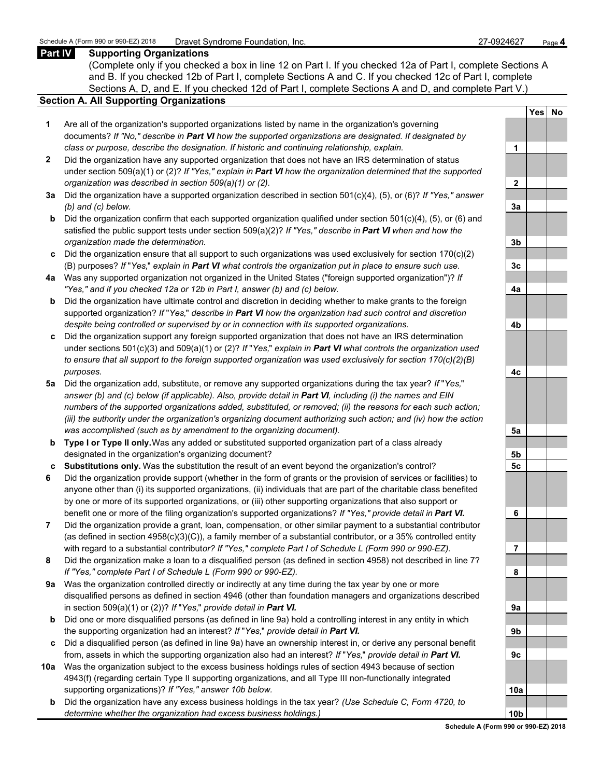#### **Part IV Supporting Organizations**

(Complete only if you checked a box in line 12 on Part I. If you checked 12a of Part I, complete Sections A and B. If you checked 12b of Part I, complete Sections A and C. If you checked 12c of Part I, complete Sections A, D, and E. If you checked 12d of Part I, complete Sections A and D, and complete Part V.)

#### **Section A. All Supporting Organizations**

- **1** Are all of the organization's supported organizations listed by name in the organization's governing documents? *If "No," describe in Part VI how the supported organizations are designated. If designated by class or purpose, describe the designation. If historic and continuing relationship, explain.* **1**
- **2** Did the organization have any supported organization that does not have an IRS determination of status under section 509(a)(1) or (2)? *If "Yes," explain in Part VI how the organization determined that the supported organization was described in section 509(a)(1) or (2).*
- **3a** Did the organization have a supported organization described in section 501(c)(4), (5), or (6)? *If "Yes," answer (b) and (c) below.* **3a**
- **b** Did the organization confirm that each supported organization qualified under section 501(c)(4), (5), or (6) and satisfied the public support tests under section 509(a)(2)? *If "Yes," describe in Part VI when and how the organization made the determination.* **3b**
- **c** Did the organization ensure that all support to such organizations was used exclusively for section 170(c)(2) (B) purposes? *If* "*Yes,*" *explain in Part VI what controls the organization put in place to ensure such use.* **3c**
- **4a** Was any supported organization not organized in the United States ("foreign supported organization")? *If "Yes," and if you checked 12a or 12b in Part I, answer (b) and (c) below.* **4a**
- **b** Did the organization have ultimate control and discretion in deciding whether to make grants to the foreign supported organization? *If* "*Yes,*" *describe in Part VI how the organization had such control and discretion despite being controlled or supervised by or in connection with its supported organizations.* **4b**
- **c** Did the organization support any foreign supported organization that does not have an IRS determination under sections 501(c)(3) and 509(a)(1) or (2)? *If* "*Yes,*" *explain in Part VI what controls the organization used to ensure that all support to the foreign supported organization was used exclusively for section 170(c)(2)(B) purposes.* **4c**
- **5a** Did the organization add, substitute, or remove any supported organizations during the tax year? *If* "*Yes,*" *answer (b) and (c) below (if applicable). Also, provide detail in Part VI, including (i) the names and EIN numbers of the supported organizations added, substituted, or removed; (ii) the reasons for each such action; (iii) the authority under the organization's organizing document authorizing such action; and (iv) how the action was accomplished (such as by amendment to the organizing document).* **5a**
- **b Type I or Type II only.** Was any added or substituted supported organization part of a class already designated in the organization's organizing document? **5b**
- **c Substitutions only.** Was the substitution the result of an event beyond the organization's control? **5c**
- **6** Did the organization provide support (whether in the form of grants or the provision of services or facilities) to anyone other than (i) its supported organizations, (ii) individuals that are part of the charitable class benefited by one or more of its supported organizations, or (iii) other supporting organizations that also support or benefit one or more of the filing organization's supported organizations? *If "Yes," provide detail in Part VI.* **6**
- **7** Did the organization provide a grant, loan, compensation, or other similar payment to a substantial contributor (as defined in section 4958(c)(3)(C)), a family member of a substantial contributor, or a 35% controlled entity with regard to a substantial contribut*or? If "Yes," complete Part I of Schedule L (Form 990 or 990-EZ).* **7**
- **8** Did the organization make a loan to a disqualified person (as defined in section 4958) not described in line 7? *If "Yes," complete Part I of Schedule L (Form 990 or 990-EZ).* **8**
- **9a** Was the organization controlled directly or indirectly at any time during the tax year by one or more disqualified persons as defined in section 4946 (other than foundation managers and organizations described in section 509(a)(1) or (2))? *If* "*Yes*," *provide detail in Part VI.*
- **b** Did one or more disqualified persons (as defined in line 9a) hold a controlling interest in any entity in which the supporting organization had an interest? *If* "*Yes,*" *provide detail in Part VI.* **9b**
- **c** Did a disqualified person (as defined in line 9a) have an ownership interest in, or derive any personal benefit from, assets in which the supporting organization also had an interest? *If* "*Yes,*" *provide detail in Part VI.* **9c**
- **10a** Was the organization subject to the excess business holdings rules of section 4943 because of section 4943(f) (regarding certain Type II supporting organizations, and all Type III non-functionally integrated supporting organizations)? If "Yes," answer 10b below.
	- **b** Did the organization have any excess business holdings in the tax year? *(Use Schedule C, Form 4720, to determine whether the organization had excess business holdings.)* **10b**

|                | <u>Yes</u> | <u>No</u><br>I |
|----------------|------------|----------------|
|                |            |                |
| 1              |            |                |
|                |            |                |
| $\overline{2}$ |            |                |
|                |            |                |
| <u>3a</u>      |            |                |
|                |            |                |
| <u>3b</u>      |            |                |
| <u>3c</u>      |            |                |
|                |            |                |
| 4a             |            |                |
|                |            |                |
| <u>4b</u>      |            |                |
|                |            |                |
| 4c             |            |                |
|                |            |                |
| <u>5a</u>      |            |                |
| <u>5b</u>      |            |                |
| <u>5c</u>      |            |                |
|                |            |                |
| 6              |            |                |
|                |            |                |
| $\overline{z}$ |            |                |
| 8              |            |                |
|                |            |                |
| Jа             |            |                |
|                |            |                |
|                |            |                |
| I              |            |                |
|                |            |                |
|                |            |                |
| 0a             |            |                |
| ۱<br>n         |            |                |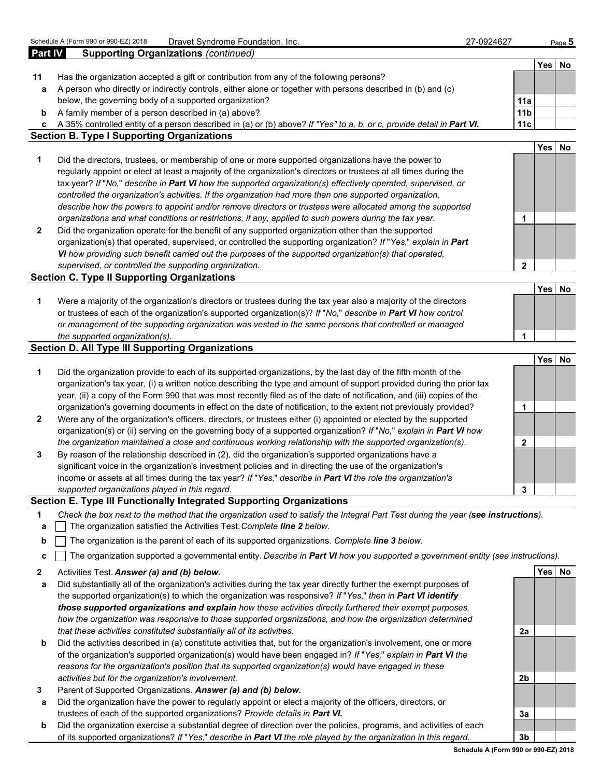| 27-0924627 |  |
|------------|--|
|------------|--|

| <b>Part IV</b> | <b>Supporting Organizations (continued)</b>                                                                                       |                 |            |           |
|----------------|-----------------------------------------------------------------------------------------------------------------------------------|-----------------|------------|-----------|
|                |                                                                                                                                   |                 | <b>Yes</b> | No        |
| 11             | Has the organization accepted a gift or contribution from any of the following persons?                                           |                 |            |           |
| a              | A person who directly or indirectly controls, either alone or together with persons described in (b) and (c)                      |                 |            |           |
|                | below, the governing body of a supported organization?                                                                            | 11a             |            |           |
| b              | A family member of a person described in (a) above?                                                                               | 11 <sub>b</sub> |            |           |
| C              | A 35% controlled entity of a person described in (a) or (b) above? If "Yes" to a, b, or c, provide detail in Part VI.             | 11c             |            |           |
|                | <b>Section B. Type I Supporting Organizations</b>                                                                                 |                 |            |           |
|                |                                                                                                                                   |                 | <b>Yes</b> | <b>No</b> |
| 1              | Did the directors, trustees, or membership of one or more supported organizations have the power to                               |                 |            |           |
|                | regularly appoint or elect at least a majority of the organization's directors or trustees at all times during the                |                 |            |           |
|                | tax year? If "No," describe in Part VI how the supported organization(s) effectively operated, supervised, or                     |                 |            |           |
|                | controlled the organization's activities. If the organization had more than one supported organization,                           |                 |            |           |
|                | describe how the powers to appoint and/or remove directors or trustees were allocated among the supported                         |                 |            |           |
|                | organizations and what conditions or restrictions, if any, applied to such powers during the tax year.                            | 1               |            |           |
| $\mathbf{2}$   | Did the organization operate for the benefit of any supported organization other than the supported                               |                 |            |           |
|                | organization(s) that operated, supervised, or controlled the supporting organization? If "Yes," explain in Part                   |                 |            |           |
|                | VI how providing such benefit carried out the purposes of the supported organization(s) that operated,                            |                 |            |           |
|                | supervised, or controlled the supporting organization.                                                                            | 2               |            |           |
|                | <b>Section C. Type II Supporting Organizations</b>                                                                                |                 |            |           |
|                |                                                                                                                                   |                 | <b>Yes</b> | <b>No</b> |
| 1              | Were a majority of the organization's directors or trustees during the tax year also a majority of the directors                  |                 |            |           |
|                | or trustees of each of the organization's supported organization(s)? If "No," describe in Part VI how control                     |                 |            |           |
|                | or management of the supporting organization was vested in the same persons that controlled or managed                            |                 |            |           |
|                | the supported organization(s).                                                                                                    | 1               |            |           |
|                | <b>Section D. All Type III Supporting Organizations</b>                                                                           |                 |            |           |
|                |                                                                                                                                   |                 | Yes        | No        |
| 1              | Did the organization provide to each of its supported organizations, by the last day of the fifth month of the                    |                 |            |           |
|                | organization's tax year, (i) a written notice describing the type and amount of support provided during the prior tax             |                 |            |           |
|                | year, (ii) a copy of the Form 990 that was most recently filed as of the date of notification, and (iii) copies of the            |                 |            |           |
|                | organization's governing documents in effect on the date of notification, to the extent not previously provided?                  | 1               |            |           |
| $\mathbf{2}$   | Were any of the organization's officers, directors, or trustees either (i) appointed or elected by the supported                  |                 |            |           |
|                | organization(s) or (ii) serving on the governing body of a supported organization? If "No," explain in Part VI how                |                 |            |           |
|                | the organization maintained a close and continuous working relationship with the supported organization(s).                       | 2               |            |           |
| 3              | By reason of the relationship described in (2), did the organization's supported organizations have a                             |                 |            |           |
|                | significant voice in the organization's investment policies and in directing the use of the organization's                        |                 |            |           |
|                | income or assets at all times during the tax year? If "Yes," describe in Part VI the role the organization's                      |                 |            |           |
|                | supported organizations played in this regard.                                                                                    | 3               |            |           |
|                | Section E. Type III Functionally Integrated Supporting Organizations                                                              |                 |            |           |
| 1              | Check the box next to the method that the organization used to satisfy the Integral Part Test during the year (see instructions). |                 |            |           |

- **a** The organization satisfied the Activities Test. *Complete line 2 below.*
- **b** The organization is the parent of each of its supported organizations. *Complete line 3 below.*
- **c** The organization supported a governmental entity. *Describe in Part VI how you supported a government entity (see instructions).*
- **2** Activities Test. *Answer (a) and (b) below.* **Yes No**
- **a** Did substantially all of the organization's activities during the tax year directly further the exempt purposes of the supported organization(s) to which the organization was responsive? *If* "*Yes,*" *then in Part VI identify those supported organizations and explain how these activities directly furthered their exempt purposes, how the organization was responsive to those supported organizations, and how the organization determined that these activities constituted substantially all of its activities.* **2a**
- **b** Did the activities described in (a) constitute activities that, but for the organization's involvement, one or more of the organization's supported organization(s) would have been engaged in? *If* "*Yes,*" *explain in Part VI the reasons for the organization's position that its supported organization(s) would have engaged in these activities but for the organization's involvement.* **2b**
- **3** Parent of Supported Organizations. *Answer (a) and (b) below.*
- **a** Did the organization have the power to regularly appoint or elect a majority of the officers, directors, or trustees of each of the supported organizations? *Provide details in Part VI.* **3a 3a 3a 3a**
- **b** Did the organization exercise a substantial degree of direction over the policies, programs, and activities of each of its supported organizations? *If* "*Yes,*" *describe in Part VI the role played by the organization in this regard.* **3b**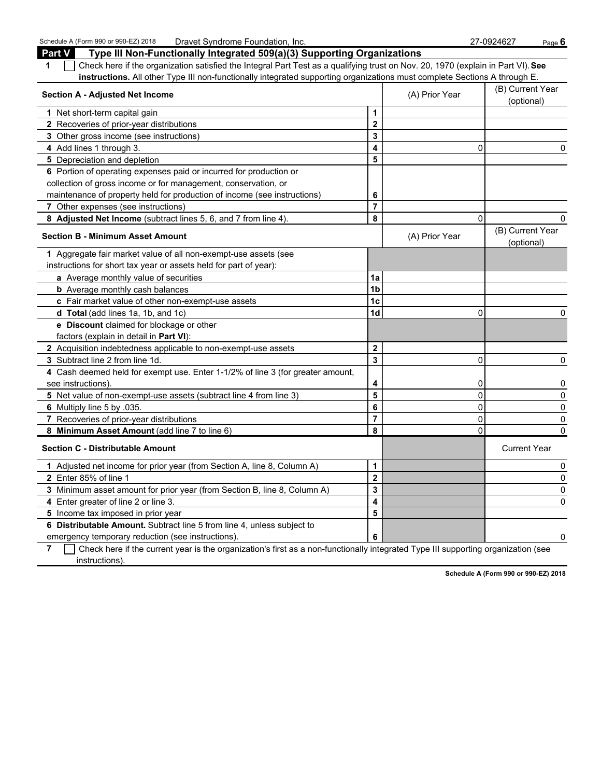Schedule A (Form 990 or 990-EZ) 2018 Dravet Syndrome Foundation, Inc. 27 **Dramage 18 and 27-0924627** Page 6 **Part V Type III Non-Functionally Integrated 509(a)(3) Supporting Organizations 1** Check here if the organization satisfied the Integral Part Test as a qualifying trust on Nov. 20, 1970 (explain in Part VI). **See instructions.** All other Type III non-functionally integrated supporting organizations must complete Sections A through E. **Section A - Adjusted Net Income** (B) Current Year (B) Current Year (B) Current Year (B) Current Year (B) Current Year (B) Current Year (B) Current Year (B) Current Year (B) Current Year (B) Current Year (B) Current Year ( (optional) **1** Net short-term capital gain **1 1 2** Recoveries of prior-year distributions **2 3** Other gross income (see instructions) **3 4** Add lines 1 through 3. **4** 0 0 **5** Depreciation and depletion **5 5 6** Portion of operating expenses paid or incurred for production or collection of gross income or for management, conservation, or maintenance of property held for production of income (see instructions) **6 7** Other expenses (see instructions) **7 8 Adjusted Net Income** (subtract lines 5, 6, and 7 from line 4). **8** 0 0 **Section B - Minimum Asset Amount Contract Amount** (A) Prior Year (B) Current Year (B) Current Year (B) Current Year (B) Current Year (B) Current Year (B) Current Year (B) Current Year (B) Current Year (B) Current Year ( (optional) **1** Aggregate fair market value of all non-exempt-use assets (see instructions for short tax year or assets held for part of year): **a** Average monthly value of securities **1a b** Average monthly cash balances **1b** Average monthly cash balances **c** Fair market value of other non-exempt-use assets **1c d Total** (add lines 1a, 1b, and 1c) **1d** 0 0 **e Discount** claimed for blockage or other factors (explain in detail in **Part VI**): **2** Acquisition indebtedness applicable to non-exempt-use assets **2 3** Subtract line 2 from line 1d. **3** 0 0 **4** Cash deemed held for exempt use. Enter 1-1/2% of line 3 (for greater amount, see instructions). **4** 0 0 **5** Net value of non-exempt-use assets (subtract line 4 from line 3) **5** 0 0 **6** Multiply line 5 by .035. **6** 0 0 **7** Recoveries of prior-year distributions **7** 0 0 **8 Minimum Asset Amount** (add line 7 to line 6) **8** 0 0 **Section C - Distributable Amount** Current Year Current Year Current Year Current Year Current Year **1** Adjusted net income for prior year (from Section A, line 8, Column A) **1** 0 **2** Enter 85% of line 1 **2** 0 **3** Minimum asset amount for prior year (from Section B, line 8, Column A) **3** 0 **4** Enter greater of line 2 or line 3. **4** 0 **5** Income tax imposed in prior year **5 6 Distributable Amount.** Subtract line 5 from line 4, unless subject to emergency temporary reduction (see instructions). **6** 0

**7** Check here if the current year is the organization's first as a non-functionally integrated Type III supporting organization (see instructions).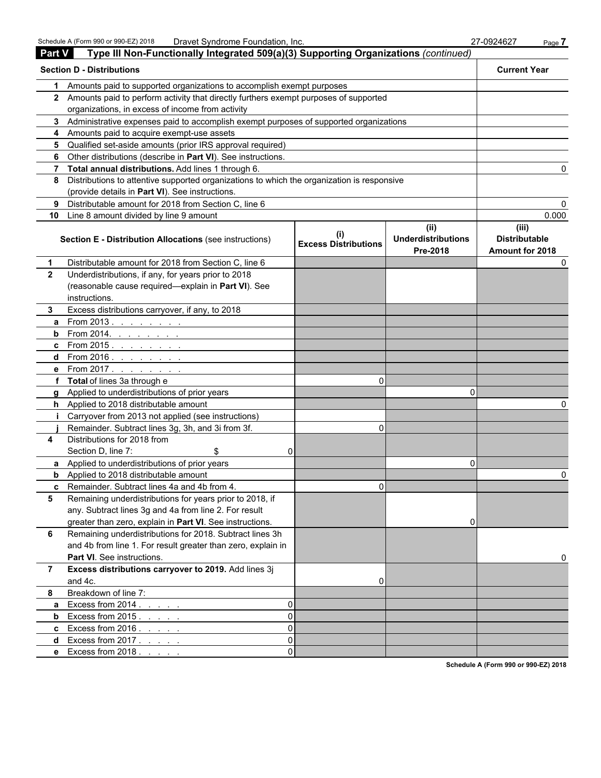| <b>Part V</b>  | Type III Non-Functionally Integrated 509(a)(3) Supporting Organizations (continued)          |                                             |                                               |                                                  |
|----------------|----------------------------------------------------------------------------------------------|---------------------------------------------|-----------------------------------------------|--------------------------------------------------|
|                | <b>Section D - Distributions</b>                                                             |                                             |                                               | <b>Current Year</b>                              |
| 1              | Amounts paid to supported organizations to accomplish exempt purposes                        |                                             |                                               |                                                  |
|                | 2 Amounts paid to perform activity that directly furthers exempt purposes of supported       |                                             |                                               |                                                  |
|                | organizations, in excess of income from activity                                             |                                             |                                               |                                                  |
|                | 3 Administrative expenses paid to accomplish exempt purposes of supported organizations      |                                             |                                               |                                                  |
|                | 4 Amounts paid to acquire exempt-use assets                                                  |                                             |                                               |                                                  |
|                | 5 Qualified set-aside amounts (prior IRS approval required)                                  |                                             |                                               |                                                  |
| 6              | Other distributions (describe in Part VI). See instructions.                                 |                                             |                                               |                                                  |
|                | 7 Total annual distributions. Add lines 1 through 6.                                         |                                             |                                               |                                                  |
|                | 8 Distributions to attentive supported organizations to which the organization is responsive |                                             |                                               |                                                  |
|                | (provide details in Part VI). See instructions.                                              |                                             |                                               |                                                  |
| 9              | Distributable amount for 2018 from Section C, line 6                                         |                                             |                                               |                                                  |
| 10             | Line 8 amount divided by line 9 amount                                                       |                                             |                                               | 0.000                                            |
|                | <b>Section E - Distribution Allocations (see instructions)</b>                               | $\mathbf{I}$<br><b>Excess Distributions</b> | (ii)<br><b>Underdistributions</b><br>Pre-2018 | (iii)<br><b>Distributable</b><br>Amount for 2018 |
| $\mathbf 1$    | Distributable amount for 2018 from Section C, line 6                                         |                                             |                                               | O                                                |
| $\overline{2}$ | Underdistributions, if any, for years prior to 2018                                          |                                             |                                               |                                                  |
|                | (reasonable cause required-explain in Part VI). See                                          |                                             |                                               |                                                  |
|                | instructions.                                                                                |                                             |                                               |                                                  |
| 3.             | Excess distributions carryover, if any, to 2018                                              |                                             |                                               |                                                  |
| a              | From 2013                                                                                    |                                             |                                               |                                                  |
|                |                                                                                              |                                             |                                               |                                                  |
|                | <b>c</b> From 2015.                                                                          |                                             |                                               |                                                  |
|                | <b>d</b> From 2016. <u>.</u>                                                                 |                                             |                                               |                                                  |
|                | <b>e</b> From 2017.                                                                          |                                             |                                               |                                                  |
|                | f Total of lines 3a through e                                                                | $\Omega$                                    |                                               |                                                  |
|                | g Applied to underdistributions of prior years                                               |                                             | U                                             |                                                  |
|                | h Applied to 2018 distributable amount                                                       |                                             |                                               |                                                  |
| i.             | Carryover from 2013 not applied (see instructions)                                           |                                             |                                               |                                                  |
|                | Remainder. Subtract lines 3g, 3h, and 3i from 3f.                                            | $\Omega$                                    |                                               |                                                  |
| 4              | Distributions for 2018 from                                                                  |                                             |                                               |                                                  |
|                | Section D, line 7:<br>\$<br>0                                                                |                                             |                                               |                                                  |
|                | a Applied to underdistributions of prior years                                               |                                             | 0                                             |                                                  |
|                | <b>b</b> Applied to 2018 distributable amount                                                |                                             |                                               | ი                                                |
|                | <b>c</b> Remainder. Subtract lines 4a and 4b from 4.                                         | U.                                          |                                               |                                                  |
| 5              | Remaining underdistributions for years prior to 2018, if                                     |                                             |                                               |                                                  |
|                | any. Subtract lines 3g and 4a from line 2. For result                                        |                                             |                                               |                                                  |
|                | greater than zero, explain in Part VI. See instructions.                                     |                                             | 0                                             |                                                  |
| 6              | Remaining underdistributions for 2018. Subtract lines 3h                                     |                                             |                                               |                                                  |
|                | and 4b from line 1. For result greater than zero, explain in                                 |                                             |                                               |                                                  |
|                | Part VI. See instructions.                                                                   |                                             |                                               |                                                  |
| $\overline{7}$ | Excess distributions carryover to 2019. Add lines 3j                                         |                                             |                                               |                                                  |
|                | and 4c.                                                                                      | 0                                           |                                               |                                                  |
| 8              | Breakdown of line 7:                                                                         |                                             |                                               |                                                  |
| a              | Excess from $2014.$ $\ldots$ $\ldots$<br>0                                                   |                                             |                                               |                                                  |
| b              | Excess from $2015$ .<br>0                                                                    |                                             |                                               |                                                  |
|                | <b>c</b> Excess from 2016. $\ldots$<br>0                                                     |                                             |                                               |                                                  |
| d              | Excess from 2017.<br>0                                                                       |                                             |                                               |                                                  |
|                | e Excess from 2018.<br>$\Omega$                                                              |                                             |                                               |                                                  |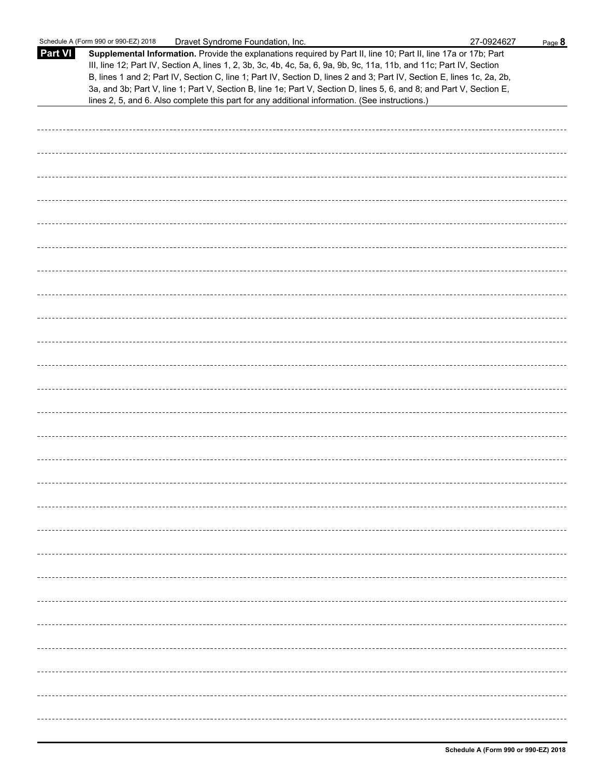|                | Schedule A (Form 990 or 990-EZ) 2018<br>Dravet Syndrome Foundation, Inc.                                                                                                                                                                                                                                                                                                                                                                                                                                                                                                                    | 27-0924627 | Page 8 |
|----------------|---------------------------------------------------------------------------------------------------------------------------------------------------------------------------------------------------------------------------------------------------------------------------------------------------------------------------------------------------------------------------------------------------------------------------------------------------------------------------------------------------------------------------------------------------------------------------------------------|------------|--------|
| <b>Part VI</b> | Supplemental Information. Provide the explanations required by Part II, line 10; Part II, line 17a or 17b; Part<br>III, line 12; Part IV, Section A, lines 1, 2, 3b, 3c, 4b, 4c, 5a, 6, 9a, 9b, 9c, 11a, 11b, and 11c; Part IV, Section<br>B, lines 1 and 2; Part IV, Section C, line 1; Part IV, Section D, lines 2 and 3; Part IV, Section E, lines 1c, 2a, 2b,<br>3a, and 3b; Part V, line 1; Part V, Section B, line 1e; Part V, Section D, lines 5, 6, and 8; and Part V, Section E,<br>lines 2, 5, and 6. Also complete this part for any additional information. (See instructions.) |            |        |
|                |                                                                                                                                                                                                                                                                                                                                                                                                                                                                                                                                                                                             |            |        |
|                |                                                                                                                                                                                                                                                                                                                                                                                                                                                                                                                                                                                             |            |        |
|                |                                                                                                                                                                                                                                                                                                                                                                                                                                                                                                                                                                                             |            |        |
|                |                                                                                                                                                                                                                                                                                                                                                                                                                                                                                                                                                                                             |            |        |
|                |                                                                                                                                                                                                                                                                                                                                                                                                                                                                                                                                                                                             |            |        |
|                |                                                                                                                                                                                                                                                                                                                                                                                                                                                                                                                                                                                             |            |        |
|                |                                                                                                                                                                                                                                                                                                                                                                                                                                                                                                                                                                                             |            |        |
|                |                                                                                                                                                                                                                                                                                                                                                                                                                                                                                                                                                                                             |            |        |
|                |                                                                                                                                                                                                                                                                                                                                                                                                                                                                                                                                                                                             |            |        |
|                |                                                                                                                                                                                                                                                                                                                                                                                                                                                                                                                                                                                             |            |        |
|                |                                                                                                                                                                                                                                                                                                                                                                                                                                                                                                                                                                                             |            |        |
|                |                                                                                                                                                                                                                                                                                                                                                                                                                                                                                                                                                                                             |            |        |
|                |                                                                                                                                                                                                                                                                                                                                                                                                                                                                                                                                                                                             |            |        |
|                |                                                                                                                                                                                                                                                                                                                                                                                                                                                                                                                                                                                             |            |        |
|                |                                                                                                                                                                                                                                                                                                                                                                                                                                                                                                                                                                                             |            |        |
|                |                                                                                                                                                                                                                                                                                                                                                                                                                                                                                                                                                                                             |            |        |
|                |                                                                                                                                                                                                                                                                                                                                                                                                                                                                                                                                                                                             |            |        |
|                |                                                                                                                                                                                                                                                                                                                                                                                                                                                                                                                                                                                             |            |        |
|                |                                                                                                                                                                                                                                                                                                                                                                                                                                                                                                                                                                                             |            |        |
|                |                                                                                                                                                                                                                                                                                                                                                                                                                                                                                                                                                                                             |            |        |
|                |                                                                                                                                                                                                                                                                                                                                                                                                                                                                                                                                                                                             |            |        |
|                |                                                                                                                                                                                                                                                                                                                                                                                                                                                                                                                                                                                             |            |        |
|                |                                                                                                                                                                                                                                                                                                                                                                                                                                                                                                                                                                                             |            |        |
|                |                                                                                                                                                                                                                                                                                                                                                                                                                                                                                                                                                                                             |            |        |
|                |                                                                                                                                                                                                                                                                                                                                                                                                                                                                                                                                                                                             |            |        |
|                |                                                                                                                                                                                                                                                                                                                                                                                                                                                                                                                                                                                             |            |        |
|                |                                                                                                                                                                                                                                                                                                                                                                                                                                                                                                                                                                                             |            |        |
|                |                                                                                                                                                                                                                                                                                                                                                                                                                                                                                                                                                                                             |            |        |
|                |                                                                                                                                                                                                                                                                                                                                                                                                                                                                                                                                                                                             |            |        |
|                |                                                                                                                                                                                                                                                                                                                                                                                                                                                                                                                                                                                             |            |        |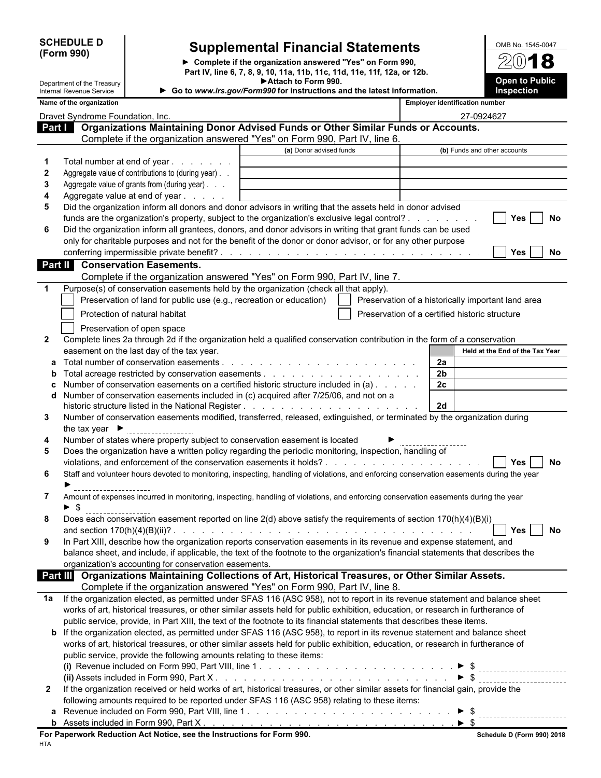**(Form 990)**

## **SCHEDULE D Supplemental Financial Statements**

**Complete if the organization answered "Yes" on Form 990, Part IV, line 6, 7, 8, 9, 10, 11a, 11b, 11c, 11d, 11e, 11f, 12a, or 12b. Attach to Form 990.**

| OMB No. 1545-0047                   |
|-------------------------------------|
| $2(0)$ <b>18</b>                    |
| <b>Open to Public</b><br>Inspection |

|              | Department of the Treasury<br>Internal Revenue Service                                                                                                                      | ► Attach to Form 990.<br>Go to www.irs.gov/Form990 for instructions and the latest information. |                                                    | <b>Open to Public</b><br><b>Inspection</b> |
|--------------|-----------------------------------------------------------------------------------------------------------------------------------------------------------------------------|-------------------------------------------------------------------------------------------------|----------------------------------------------------|--------------------------------------------|
|              | Name of the organization                                                                                                                                                    |                                                                                                 | <b>Employer identification number</b>              |                                            |
|              | Dravet Syndrome Foundation, Inc.                                                                                                                                            |                                                                                                 |                                                    | 27-0924627                                 |
|              | Organizations Maintaining Donor Advised Funds or Other Similar Funds or Accounts.<br>Part I                                                                                 |                                                                                                 |                                                    |                                            |
|              | Complete if the organization answered "Yes" on Form 990, Part IV, line 6.                                                                                                   |                                                                                                 |                                                    |                                            |
|              |                                                                                                                                                                             | (a) Donor advised funds                                                                         |                                                    | (b) Funds and other accounts               |
|              | Total number at end of year                                                                                                                                                 |                                                                                                 |                                                    |                                            |
| $\mathbf{2}$ | Aggregate value of contributions to (during year). .                                                                                                                        |                                                                                                 |                                                    |                                            |
| 3            | Aggregate value of grants from (during year)                                                                                                                                |                                                                                                 |                                                    |                                            |
| 4            | Aggregate value at end of year                                                                                                                                              |                                                                                                 |                                                    |                                            |
| 5            | Did the organization inform all donors and donor advisors in writing that the assets held in donor advised                                                                  |                                                                                                 |                                                    |                                            |
|              | funds are the organization's property, subject to the organization's exclusive legal control?                                                                               |                                                                                                 |                                                    | Yes<br>No                                  |
| 6            | Did the organization inform all grantees, donors, and donor advisors in writing that grant funds can be used                                                                |                                                                                                 |                                                    |                                            |
|              | only for charitable purposes and not for the benefit of the donor or donor advisor, or for any other purpose                                                                |                                                                                                 |                                                    |                                            |
|              |                                                                                                                                                                             |                                                                                                 |                                                    | <b>Yes</b><br>No.                          |
|              | <b>Conservation Easements.</b><br>Part II                                                                                                                                   |                                                                                                 |                                                    |                                            |
|              | Complete if the organization answered "Yes" on Form 990, Part IV, line 7.                                                                                                   |                                                                                                 |                                                    |                                            |
| $\mathbf 1$  | Purpose(s) of conservation easements held by the organization (check all that apply).                                                                                       |                                                                                                 |                                                    |                                            |
|              | Preservation of land for public use (e.g., recreation or education)                                                                                                         |                                                                                                 | Preservation of a historically important land area |                                            |
|              | Protection of natural habitat                                                                                                                                               |                                                                                                 | Preservation of a certified historic structure     |                                            |
|              |                                                                                                                                                                             |                                                                                                 |                                                    |                                            |
|              | Preservation of open space                                                                                                                                                  |                                                                                                 |                                                    |                                            |
| $\mathbf{2}$ | Complete lines 2a through 2d if the organization held a qualified conservation contribution in the form of a conservation                                                   |                                                                                                 |                                                    |                                            |
|              | easement on the last day of the tax year.                                                                                                                                   |                                                                                                 |                                                    | Held at the End of the Tax Year            |
|              | Total number of conservation easements.                                                                                                                                     |                                                                                                 | 2a                                                 |                                            |
| b            |                                                                                                                                                                             |                                                                                                 | 2 <sub>b</sub><br>2 <sub>c</sub>                   |                                            |
| d            | Number of conservation easements on a certified historic structure included in (a)<br>Number of conservation easements included in (c) acquired after 7/25/06, and not on a |                                                                                                 |                                                    |                                            |
|              |                                                                                                                                                                             |                                                                                                 | 2d                                                 |                                            |
| 3            | Number of conservation easements modified, transferred, released, extinguished, or terminated by the organization during                                                    |                                                                                                 |                                                    |                                            |
|              | the tax year $\blacktriangleright$                                                                                                                                          |                                                                                                 |                                                    |                                            |
| 4            | Number of states where property subject to conservation easement is located                                                                                                 |                                                                                                 |                                                    |                                            |
| 5            | Does the organization have a written policy regarding the periodic monitoring, inspection, handling of                                                                      |                                                                                                 |                                                    |                                            |
|              |                                                                                                                                                                             |                                                                                                 |                                                    | No<br><b>Yes</b>                           |
| 6            | Staff and volunteer hours devoted to monitoring, inspecting, handling of violations, and enforcing conservation easements during the year                                   |                                                                                                 |                                                    |                                            |
|              |                                                                                                                                                                             |                                                                                                 |                                                    |                                            |
| 7            | Amount of expenses incurred in monitoring, inspecting, handling of violations, and enforcing conservation easements during the year                                         |                                                                                                 |                                                    |                                            |
|              | - \$                                                                                                                                                                        |                                                                                                 |                                                    |                                            |
|              | Does each conservation easement reported on line 2(d) above satisfy the requirements of section 170(h)(4)(B)(i)                                                             |                                                                                                 |                                                    |                                            |
|              |                                                                                                                                                                             |                                                                                                 |                                                    | Yes I<br>No                                |
| 9            | In Part XIII, describe how the organization reports conservation easements in its revenue and expense statement, and                                                        |                                                                                                 |                                                    |                                            |
|              | balance sheet, and include, if applicable, the text of the footnote to the organization's financial statements that describes the                                           |                                                                                                 |                                                    |                                            |
|              | organization's accounting for conservation easements.                                                                                                                       |                                                                                                 |                                                    |                                            |
|              | <b>Part III</b> Organizations Maintaining Collections of Art, Historical Treasures, or Other Similar Assets.                                                                |                                                                                                 |                                                    |                                            |
|              | Complete if the organization answered "Yes" on Form 990, Part IV, line 8.                                                                                                   |                                                                                                 |                                                    |                                            |
| 1a           | If the organization elected, as permitted under SFAS 116 (ASC 958), not to report in its revenue statement and balance sheet                                                |                                                                                                 |                                                    |                                            |
|              | works of art, historical treasures, or other similar assets held for public exhibition, education, or research in furtherance of                                            |                                                                                                 |                                                    |                                            |
|              | public service, provide, in Part XIII, the text of the footnote to its financial statements that describes these items.                                                     |                                                                                                 |                                                    |                                            |
|              | <b>b</b> If the organization elected, as permitted under SFAS 116 (ASC 958), to report in its revenue statement and balance sheet                                           |                                                                                                 |                                                    |                                            |
|              | works of art, historical treasures, or other similar assets held for public exhibition, education, or research in furtherance of                                            |                                                                                                 |                                                    |                                            |
|              | public service, provide the following amounts relating to these items:                                                                                                      |                                                                                                 |                                                    |                                            |
|              |                                                                                                                                                                             |                                                                                                 |                                                    |                                            |
|              | (ii) Assets included in Form 990, Part X. $\ldots$ , $\ldots$ , $\ldots$ , $\ldots$ , $\ldots$ , $\ldots$ , $\ldots$ , $\ldots$ , $\ldots$ , $\ldots$                       |                                                                                                 |                                                    |                                            |
| $\mathbf{2}$ | If the organization received or held works of art, historical treasures, or other similar assets for financial gain, provide the                                            |                                                                                                 |                                                    |                                            |
|              | following amounts required to be reported under SFAS 116 (ASC 958) relating to these items:                                                                                 |                                                                                                 |                                                    |                                            |
|              |                                                                                                                                                                             |                                                                                                 |                                                    |                                            |
|              |                                                                                                                                                                             |                                                                                                 |                                                    |                                            |
|              |                                                                                                                                                                             |                                                                                                 |                                                    |                                            |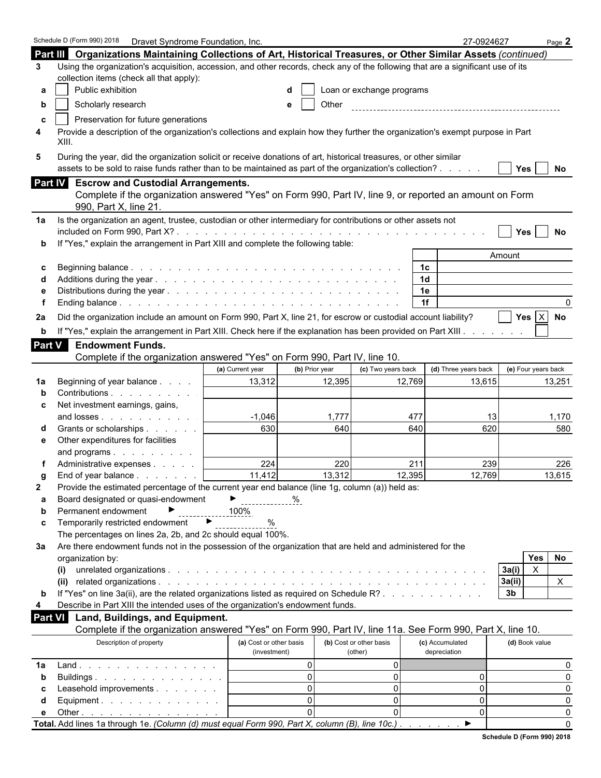| Schedule D (Form 990) 2018  Dravet Syndrome Foundation, Inc.<br>Page $2$<br>Part III Organizations Maintaining Collections of Art, Historical Treasures, or Other Similar Assets (continued)<br>Using the organization's acquisition, accession, and other records, check any of the following that are a significant use of its<br>3<br>collection items (check all that apply):<br>Public exhibition<br>Loan or exchange programs<br>а<br>Scholarly research<br>Other<br>b<br>е<br>Preservation for future generations<br>c<br>Provide a description of the organization's collections and explain how they further the organization's exempt purpose in Part<br>4<br>XIII.<br>During the year, did the organization solicit or receive donations of art, historical treasures, or other similar<br>5<br>assets to be sold to raise funds rather than to be maintained as part of the organization's collection?<br>Yes  <br>No<br>Part IV Escrow and Custodial Arrangements.<br>Complete if the organization answered "Yes" on Form 990, Part IV, line 9, or reported an amount on Form<br>990, Part X, line 21.<br>Is the organization an agent, trustee, custodian or other intermediary for contributions or other assets not<br>1a<br>Yes<br>No<br>If "Yes," explain the arrangement in Part XIII and complete the following table:<br>Amount<br>1c<br>С |
|-----------------------------------------------------------------------------------------------------------------------------------------------------------------------------------------------------------------------------------------------------------------------------------------------------------------------------------------------------------------------------------------------------------------------------------------------------------------------------------------------------------------------------------------------------------------------------------------------------------------------------------------------------------------------------------------------------------------------------------------------------------------------------------------------------------------------------------------------------------------------------------------------------------------------------------------------------------------------------------------------------------------------------------------------------------------------------------------------------------------------------------------------------------------------------------------------------------------------------------------------------------------------------------------------------------------------------------------------------------------|
|                                                                                                                                                                                                                                                                                                                                                                                                                                                                                                                                                                                                                                                                                                                                                                                                                                                                                                                                                                                                                                                                                                                                                                                                                                                                                                                                                                 |
|                                                                                                                                                                                                                                                                                                                                                                                                                                                                                                                                                                                                                                                                                                                                                                                                                                                                                                                                                                                                                                                                                                                                                                                                                                                                                                                                                                 |
|                                                                                                                                                                                                                                                                                                                                                                                                                                                                                                                                                                                                                                                                                                                                                                                                                                                                                                                                                                                                                                                                                                                                                                                                                                                                                                                                                                 |
|                                                                                                                                                                                                                                                                                                                                                                                                                                                                                                                                                                                                                                                                                                                                                                                                                                                                                                                                                                                                                                                                                                                                                                                                                                                                                                                                                                 |
|                                                                                                                                                                                                                                                                                                                                                                                                                                                                                                                                                                                                                                                                                                                                                                                                                                                                                                                                                                                                                                                                                                                                                                                                                                                                                                                                                                 |
|                                                                                                                                                                                                                                                                                                                                                                                                                                                                                                                                                                                                                                                                                                                                                                                                                                                                                                                                                                                                                                                                                                                                                                                                                                                                                                                                                                 |
|                                                                                                                                                                                                                                                                                                                                                                                                                                                                                                                                                                                                                                                                                                                                                                                                                                                                                                                                                                                                                                                                                                                                                                                                                                                                                                                                                                 |
|                                                                                                                                                                                                                                                                                                                                                                                                                                                                                                                                                                                                                                                                                                                                                                                                                                                                                                                                                                                                                                                                                                                                                                                                                                                                                                                                                                 |
|                                                                                                                                                                                                                                                                                                                                                                                                                                                                                                                                                                                                                                                                                                                                                                                                                                                                                                                                                                                                                                                                                                                                                                                                                                                                                                                                                                 |
|                                                                                                                                                                                                                                                                                                                                                                                                                                                                                                                                                                                                                                                                                                                                                                                                                                                                                                                                                                                                                                                                                                                                                                                                                                                                                                                                                                 |
|                                                                                                                                                                                                                                                                                                                                                                                                                                                                                                                                                                                                                                                                                                                                                                                                                                                                                                                                                                                                                                                                                                                                                                                                                                                                                                                                                                 |
|                                                                                                                                                                                                                                                                                                                                                                                                                                                                                                                                                                                                                                                                                                                                                                                                                                                                                                                                                                                                                                                                                                                                                                                                                                                                                                                                                                 |
|                                                                                                                                                                                                                                                                                                                                                                                                                                                                                                                                                                                                                                                                                                                                                                                                                                                                                                                                                                                                                                                                                                                                                                                                                                                                                                                                                                 |
|                                                                                                                                                                                                                                                                                                                                                                                                                                                                                                                                                                                                                                                                                                                                                                                                                                                                                                                                                                                                                                                                                                                                                                                                                                                                                                                                                                 |
|                                                                                                                                                                                                                                                                                                                                                                                                                                                                                                                                                                                                                                                                                                                                                                                                                                                                                                                                                                                                                                                                                                                                                                                                                                                                                                                                                                 |
| 1 <sub>d</sub>                                                                                                                                                                                                                                                                                                                                                                                                                                                                                                                                                                                                                                                                                                                                                                                                                                                                                                                                                                                                                                                                                                                                                                                                                                                                                                                                                  |
| 1e<br>1f                                                                                                                                                                                                                                                                                                                                                                                                                                                                                                                                                                                                                                                                                                                                                                                                                                                                                                                                                                                                                                                                                                                                                                                                                                                                                                                                                        |
|                                                                                                                                                                                                                                                                                                                                                                                                                                                                                                                                                                                                                                                                                                                                                                                                                                                                                                                                                                                                                                                                                                                                                                                                                                                                                                                                                                 |
| Yes $X$ No<br>Did the organization include an amount on Form 990, Part X, line 21, for escrow or custodial account liability?<br>2a                                                                                                                                                                                                                                                                                                                                                                                                                                                                                                                                                                                                                                                                                                                                                                                                                                                                                                                                                                                                                                                                                                                                                                                                                             |
| If "Yes," explain the arrangement in Part XIII. Check here if the explanation has been provided on Part XIII<br>b                                                                                                                                                                                                                                                                                                                                                                                                                                                                                                                                                                                                                                                                                                                                                                                                                                                                                                                                                                                                                                                                                                                                                                                                                                               |
| <b>Part V</b><br><b>Endowment Funds.</b>                                                                                                                                                                                                                                                                                                                                                                                                                                                                                                                                                                                                                                                                                                                                                                                                                                                                                                                                                                                                                                                                                                                                                                                                                                                                                                                        |
| Complete if the organization answered "Yes" on Form 990, Part IV, line 10.                                                                                                                                                                                                                                                                                                                                                                                                                                                                                                                                                                                                                                                                                                                                                                                                                                                                                                                                                                                                                                                                                                                                                                                                                                                                                      |
| (b) Prior year<br>(c) Two years back<br>(d) Three years back<br>(e) Four years back<br>(a) Current year                                                                                                                                                                                                                                                                                                                                                                                                                                                                                                                                                                                                                                                                                                                                                                                                                                                                                                                                                                                                                                                                                                                                                                                                                                                         |
| 13,312<br>12,395<br>13,251<br>Beginning of year balance<br>12,769<br>13,615<br>1a                                                                                                                                                                                                                                                                                                                                                                                                                                                                                                                                                                                                                                                                                                                                                                                                                                                                                                                                                                                                                                                                                                                                                                                                                                                                               |
| Contributions                                                                                                                                                                                                                                                                                                                                                                                                                                                                                                                                                                                                                                                                                                                                                                                                                                                                                                                                                                                                                                                                                                                                                                                                                                                                                                                                                   |
| Net investment earnings, gains,<br>c<br>$-1,046$<br>1,777<br>477<br>and losses<br>13                                                                                                                                                                                                                                                                                                                                                                                                                                                                                                                                                                                                                                                                                                                                                                                                                                                                                                                                                                                                                                                                                                                                                                                                                                                                            |
| 1,170<br>630<br>620<br>640<br>640<br>580<br>Grants or scholarships                                                                                                                                                                                                                                                                                                                                                                                                                                                                                                                                                                                                                                                                                                                                                                                                                                                                                                                                                                                                                                                                                                                                                                                                                                                                                              |
| Other expenditures for facilities<br>е                                                                                                                                                                                                                                                                                                                                                                                                                                                                                                                                                                                                                                                                                                                                                                                                                                                                                                                                                                                                                                                                                                                                                                                                                                                                                                                          |
| and programs                                                                                                                                                                                                                                                                                                                                                                                                                                                                                                                                                                                                                                                                                                                                                                                                                                                                                                                                                                                                                                                                                                                                                                                                                                                                                                                                                    |
| 224<br>220<br>211<br>239<br>Administrative expenses<br>226                                                                                                                                                                                                                                                                                                                                                                                                                                                                                                                                                                                                                                                                                                                                                                                                                                                                                                                                                                                                                                                                                                                                                                                                                                                                                                      |
| 13,312<br>11,412<br>12,395<br>12,769<br>13.615<br>End of year balance<br>g                                                                                                                                                                                                                                                                                                                                                                                                                                                                                                                                                                                                                                                                                                                                                                                                                                                                                                                                                                                                                                                                                                                                                                                                                                                                                      |
| Provide the estimated percentage of the current year end balance (line 1g, column (a)) held as:<br>$\mathbf{2}$                                                                                                                                                                                                                                                                                                                                                                                                                                                                                                                                                                                                                                                                                                                                                                                                                                                                                                                                                                                                                                                                                                                                                                                                                                                 |
| Board designated or quasi-endowment<br>$\triangleright$ %<br>а                                                                                                                                                                                                                                                                                                                                                                                                                                                                                                                                                                                                                                                                                                                                                                                                                                                                                                                                                                                                                                                                                                                                                                                                                                                                                                  |
| Permanent endowment<br>100%<br>b                                                                                                                                                                                                                                                                                                                                                                                                                                                                                                                                                                                                                                                                                                                                                                                                                                                                                                                                                                                                                                                                                                                                                                                                                                                                                                                                |
| $\blacktriangleright$<br>Temporarily restricted endowment<br>$\%$<br>c                                                                                                                                                                                                                                                                                                                                                                                                                                                                                                                                                                                                                                                                                                                                                                                                                                                                                                                                                                                                                                                                                                                                                                                                                                                                                          |
| The percentages on lines 2a, 2b, and 2c should equal 100%.                                                                                                                                                                                                                                                                                                                                                                                                                                                                                                                                                                                                                                                                                                                                                                                                                                                                                                                                                                                                                                                                                                                                                                                                                                                                                                      |
|                                                                                                                                                                                                                                                                                                                                                                                                                                                                                                                                                                                                                                                                                                                                                                                                                                                                                                                                                                                                                                                                                                                                                                                                                                                                                                                                                                 |
| Are there endowment funds not in the possession of the organization that are held and administered for the<br>За                                                                                                                                                                                                                                                                                                                                                                                                                                                                                                                                                                                                                                                                                                                                                                                                                                                                                                                                                                                                                                                                                                                                                                                                                                                |
| No<br>Yes<br>organization by:                                                                                                                                                                                                                                                                                                                                                                                                                                                                                                                                                                                                                                                                                                                                                                                                                                                                                                                                                                                                                                                                                                                                                                                                                                                                                                                                   |
| Χ<br>3a(i)<br>(i)                                                                                                                                                                                                                                                                                                                                                                                                                                                                                                                                                                                                                                                                                                                                                                                                                                                                                                                                                                                                                                                                                                                                                                                                                                                                                                                                               |
| 3a(ii)<br>$\mathsf{X}$                                                                                                                                                                                                                                                                                                                                                                                                                                                                                                                                                                                                                                                                                                                                                                                                                                                                                                                                                                                                                                                                                                                                                                                                                                                                                                                                          |
| If "Yes" on line 3a(ii), are the related organizations listed as required on Schedule R?<br>3 <sub>b</sub><br>b                                                                                                                                                                                                                                                                                                                                                                                                                                                                                                                                                                                                                                                                                                                                                                                                                                                                                                                                                                                                                                                                                                                                                                                                                                                 |
| Describe in Part XIII the intended uses of the organization's endowment funds.<br>4                                                                                                                                                                                                                                                                                                                                                                                                                                                                                                                                                                                                                                                                                                                                                                                                                                                                                                                                                                                                                                                                                                                                                                                                                                                                             |
| Land, Buildings, and Equipment.<br>Part VI<br>Complete if the organization answered "Yes" on Form 990, Part IV, line 11a. See Form 990, Part X, line 10.                                                                                                                                                                                                                                                                                                                                                                                                                                                                                                                                                                                                                                                                                                                                                                                                                                                                                                                                                                                                                                                                                                                                                                                                        |
| Description of property<br>(a) Cost or other basis<br>(b) Cost or other basis<br>(d) Book value<br>(c) Accumulated                                                                                                                                                                                                                                                                                                                                                                                                                                                                                                                                                                                                                                                                                                                                                                                                                                                                                                                                                                                                                                                                                                                                                                                                                                              |
| (investment)<br>depreciation<br>(other)                                                                                                                                                                                                                                                                                                                                                                                                                                                                                                                                                                                                                                                                                                                                                                                                                                                                                                                                                                                                                                                                                                                                                                                                                                                                                                                         |
| $\Omega$<br>0<br>Land.<br>0<br>1a                                                                                                                                                                                                                                                                                                                                                                                                                                                                                                                                                                                                                                                                                                                                                                                                                                                                                                                                                                                                                                                                                                                                                                                                                                                                                                                               |
| $\Omega$<br>$\overline{0}$<br>0<br>0<br>Buildings<br>b                                                                                                                                                                                                                                                                                                                                                                                                                                                                                                                                                                                                                                                                                                                                                                                                                                                                                                                                                                                                                                                                                                                                                                                                                                                                                                          |
| $\Omega$<br>$\overline{0}$<br>0<br>Leasehold improvements<br>0                                                                                                                                                                                                                                                                                                                                                                                                                                                                                                                                                                                                                                                                                                                                                                                                                                                                                                                                                                                                                                                                                                                                                                                                                                                                                                  |
| $\Omega$<br>$\mathbf 0$<br>0<br>0<br>Equipment.<br>d<br>$\Omega$<br>$\Omega$<br>0<br>0<br>Other $\ldots$ $\ldots$ $\ldots$ $\ldots$ $\ldots$ $\ldots$<br>е                                                                                                                                                                                                                                                                                                                                                                                                                                                                                                                                                                                                                                                                                                                                                                                                                                                                                                                                                                                                                                                                                                                                                                                                      |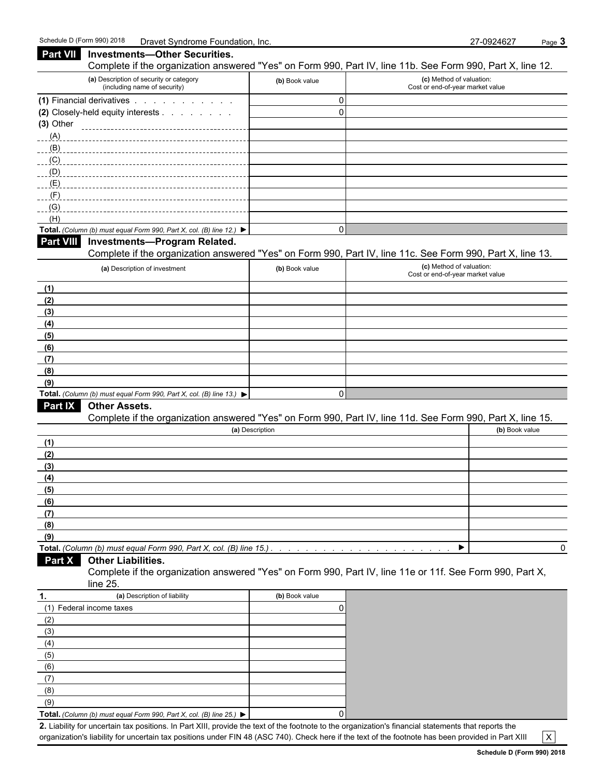(5) (6) (7) (8) (9)

**Total.** *(Column (b) must equal Form 990, Part X, col.* (*B) line 25.)* ▶ | (0)

**2.** Liability for uncertain tax positions. In Part XIII, provide the text of the footnote to the organization's financial statements that reports the

organization's liability for uncertain tax positions under FIN 48 (ASC 740). Check here if the text of the footnote has been provided in Part XIII  $\overline{X}$ 

|                                 | Part VII Investments-Other Securities.                                                   |                 | Complete if the organization answered "Yes" on Form 990, Part IV, line 11b. See Form 990, Part X, line 12. |                |
|---------------------------------|------------------------------------------------------------------------------------------|-----------------|------------------------------------------------------------------------------------------------------------|----------------|
|                                 | (a) Description of security or category<br>(including name of security)                  | (b) Book value  | (c) Method of valuation:<br>Cost or end-of-year market value                                               |                |
|                                 | (1) Financial derivatives                                                                | 0               |                                                                                                            |                |
|                                 | (2) Closely-held equity interests                                                        | 0               |                                                                                                            |                |
| $(3)$ Other                     |                                                                                          |                 |                                                                                                            |                |
|                                 |                                                                                          |                 |                                                                                                            |                |
|                                 |                                                                                          |                 |                                                                                                            |                |
|                                 |                                                                                          |                 |                                                                                                            |                |
|                                 |                                                                                          |                 |                                                                                                            |                |
| (E)                             |                                                                                          |                 |                                                                                                            |                |
| (F)                             |                                                                                          |                 |                                                                                                            |                |
| (G)                             |                                                                                          |                 |                                                                                                            |                |
| (H)                             |                                                                                          |                 |                                                                                                            |                |
|                                 | Total. (Column (b) must equal Form 990, Part X, col. (B) line 12.) $\blacktriangleright$ | 0               |                                                                                                            |                |
| Part VIII                       | <b>Investments-Program Related.</b>                                                      |                 | Complete if the organization answered "Yes" on Form 990, Part IV, line 11c. See Form 990, Part X, line 13. |                |
|                                 | (a) Description of investment                                                            | (b) Book value  | (c) Method of valuation:<br>Cost or end-of-year market value                                               |                |
| (1)                             |                                                                                          |                 |                                                                                                            |                |
| (2)                             |                                                                                          |                 |                                                                                                            |                |
| (3)                             |                                                                                          |                 |                                                                                                            |                |
| (4)                             |                                                                                          |                 |                                                                                                            |                |
| (5)                             |                                                                                          |                 |                                                                                                            |                |
| (6)                             |                                                                                          |                 |                                                                                                            |                |
| (7)                             |                                                                                          |                 |                                                                                                            |                |
| (8)                             |                                                                                          |                 |                                                                                                            |                |
| (9)                             |                                                                                          |                 |                                                                                                            |                |
|                                 | Total. (Column (b) must equal Form 990, Part X, col. (B) line 13.)                       | 0               |                                                                                                            |                |
| Part IX<br><b>Other Assets.</b> |                                                                                          |                 |                                                                                                            |                |
|                                 |                                                                                          |                 | Complete if the organization answered "Yes" on Form 990, Part IV, line 11d. See Form 990, Part X, line 15. |                |
|                                 |                                                                                          | (a) Description |                                                                                                            | (b) Book value |
| (1)                             |                                                                                          |                 |                                                                                                            |                |
| (2)                             |                                                                                          |                 |                                                                                                            |                |
| (3)                             |                                                                                          |                 |                                                                                                            |                |
| (4)                             |                                                                                          |                 |                                                                                                            |                |
| (5)                             |                                                                                          |                 |                                                                                                            |                |
| (6)                             |                                                                                          |                 |                                                                                                            |                |
| (7)                             |                                                                                          |                 |                                                                                                            |                |
| (8)                             |                                                                                          |                 |                                                                                                            |                |
| (9)                             |                                                                                          |                 |                                                                                                            |                |
|                                 |                                                                                          |                 | ▶                                                                                                          | $\Omega$       |
| Part X                          | <b>Other Liabilities.</b>                                                                |                 |                                                                                                            |                |
| line 25.                        |                                                                                          |                 | Complete if the organization answered "Yes" on Form 990, Part IV, line 11e or 11f. See Form 990, Part X,   |                |
| 1.                              | (a) Description of liability                                                             | (b) Book value  |                                                                                                            |                |
| (1) Federal income taxes        |                                                                                          | 0               |                                                                                                            |                |
| (2)                             |                                                                                          |                 |                                                                                                            |                |
| (3)                             |                                                                                          |                 |                                                                                                            |                |
| (4)                             |                                                                                          |                 |                                                                                                            |                |
|                                 |                                                                                          |                 |                                                                                                            |                |

**Schedule D (Form 990) 2018**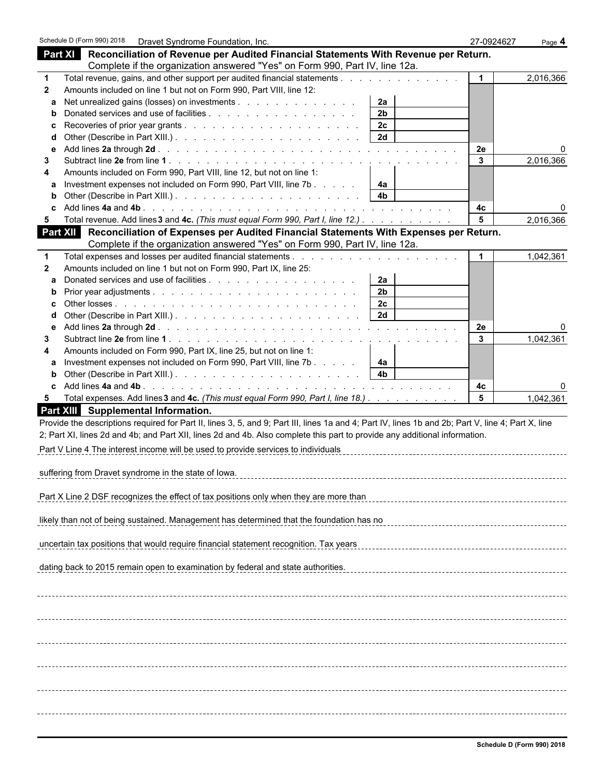|              | Schedule D (Form 990) 2018<br>Dravet Syndrome Foundation, Inc.                                                                                     | 27-0924627     | Page 4    |
|--------------|----------------------------------------------------------------------------------------------------------------------------------------------------|----------------|-----------|
|              | Part XI Reconciliation of Revenue per Audited Financial Statements With Revenue per Return.                                                        |                |           |
|              | Complete if the organization answered "Yes" on Form 990, Part IV, line 12a.                                                                        |                |           |
| -1           | Total revenue, gains, and other support per audited financial statements                                                                           | $\mathbf 1$    | 2,016,366 |
| $\mathbf{2}$ | Amounts included on line 1 but not on Form 990, Part VIII, line 12:                                                                                |                |           |
| a            | Net unrealized gains (losses) on investments<br>2a                                                                                                 |                |           |
| b            | 2 <sub>b</sub>                                                                                                                                     |                |           |
| c            | 2c                                                                                                                                                 |                |           |
| d            | 2d                                                                                                                                                 |                |           |
| е            |                                                                                                                                                    | 2e             |           |
| 3            |                                                                                                                                                    | 3              | 2,016,366 |
|              | Amounts included on Form 990, Part VIII, line 12, but not on line 1:                                                                               |                |           |
| а            | Investment expenses not included on Form 990, Part VIII, line 7b<br>4a                                                                             |                |           |
|              | 4 <sub>b</sub>                                                                                                                                     |                |           |
|              |                                                                                                                                                    | 4c             |           |
| 5            | Total revenue. Add lines 3 and 4c. (This must equal Form 990, Part I, line 12.)                                                                    | 5              | 2,016,366 |
|              | Part XII<br>Reconciliation of Expenses per Audited Financial Statements With Expenses per Return.                                                  |                |           |
|              | Complete if the organization answered "Yes" on Form 990, Part IV, line 12a.                                                                        |                |           |
| $\mathbf 1$  |                                                                                                                                                    | $\mathbf 1$    | 1,042,361 |
| 2            | Amounts included on line 1 but not on Form 990, Part IX, line 25:                                                                                  |                |           |
| a            | 2a                                                                                                                                                 |                |           |
| b            | 2 <sub>b</sub>                                                                                                                                     |                |           |
| С            | 2c                                                                                                                                                 |                |           |
| d            | 2d                                                                                                                                                 |                |           |
| е            |                                                                                                                                                    | 2e             |           |
| 3            |                                                                                                                                                    | 3              | 1,042,361 |
|              | Amounts included on Form 990, Part IX, line 25, but not on line 1:                                                                                 |                |           |
|              | Investment expenses not included on Form 990, Part VIII, line 7b<br>4a                                                                             |                |           |
|              | 4 <sub>b</sub>                                                                                                                                     |                |           |
|              |                                                                                                                                                    | 4с             |           |
| 5            | Total expenses. Add lines 3 and 4c. (This must equal Form 990, Part I, line 18.)                                                                   | $5\phantom{1}$ | 1,042,361 |
|              | Part XIII Supplemental Information.                                                                                                                |                |           |
|              | Provide the descriptions required for Part II, lines 3, 5, and 9; Part III, lines 1a and 4; Part IV, lines 1b and 2b; Part V, line 4; Part X, line |                |           |
|              | 2; Part XI, lines 2d and 4b; and Part XII, lines 2d and 4b. Also complete this part to provide any additional information.                         |                |           |
|              | Part V Line 4 The interest income will be used to provide services to individuals                                                                  |                |           |
|              |                                                                                                                                                    |                |           |
|              | suffering from Dravet syndrome in the state of lowa.                                                                                               |                |           |
|              |                                                                                                                                                    |                |           |
|              | Part X Line 2 DSF recognizes the effect of tax positions only when they are more than                                                              |                |           |
|              |                                                                                                                                                    |                |           |
|              | likely than not of being sustained. Management has determined that the foundation has no                                                           |                |           |
|              |                                                                                                                                                    |                |           |
|              | uncertain tax positions that would require financial statement recognition. Tax years                                                              |                |           |
|              | dating back to 2015 remain open to examination by federal and state authorities.                                                                   |                |           |
|              |                                                                                                                                                    |                |           |
|              |                                                                                                                                                    |                |           |
|              |                                                                                                                                                    |                |           |
|              |                                                                                                                                                    |                |           |
|              |                                                                                                                                                    |                |           |
|              |                                                                                                                                                    |                |           |
|              |                                                                                                                                                    |                |           |
|              |                                                                                                                                                    |                |           |
|              |                                                                                                                                                    |                |           |
|              |                                                                                                                                                    |                |           |
|              |                                                                                                                                                    |                |           |
|              |                                                                                                                                                    |                |           |
|              |                                                                                                                                                    |                |           |
|              |                                                                                                                                                    |                |           |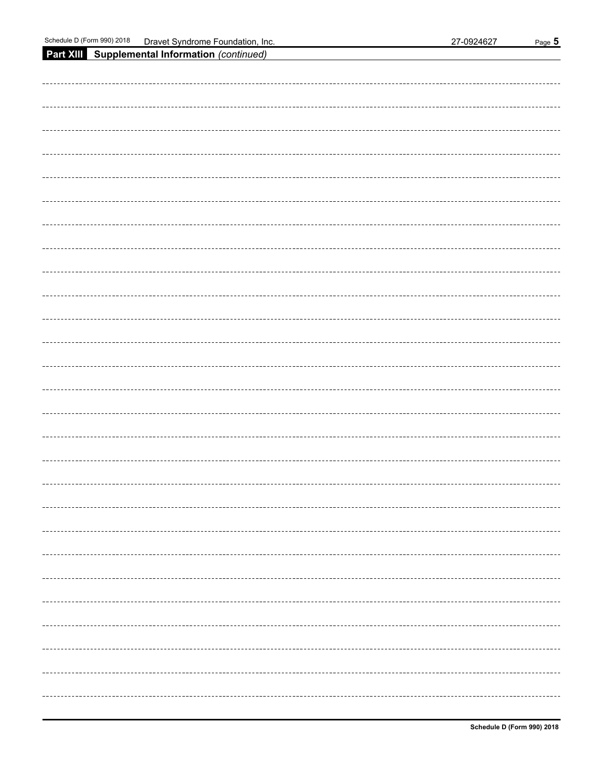| Schedule<br>(Form, | 12018<br>990) | Foundation<br>svndrome'<br>.)ravet | Inc. | $17 - 09216$<br>"246∠.<br>və | Page |
|--------------------|---------------|------------------------------------|------|------------------------------|------|
|                    |               |                                    |      |                              |      |
|                    |               |                                    |      |                              |      |

| Part XIII Supplemental Information (continued) |
|------------------------------------------------|
|                                                |
|                                                |
|                                                |
|                                                |
|                                                |
|                                                |
|                                                |
|                                                |
|                                                |
|                                                |
|                                                |
|                                                |
|                                                |
|                                                |
|                                                |
|                                                |
|                                                |
|                                                |
|                                                |
|                                                |
|                                                |
|                                                |
|                                                |
|                                                |
|                                                |
|                                                |
|                                                |
|                                                |
|                                                |
|                                                |
|                                                |
|                                                |
|                                                |
|                                                |
|                                                |
|                                                |
|                                                |
|                                                |
|                                                |
|                                                |
|                                                |
|                                                |
|                                                |
|                                                |
|                                                |
|                                                |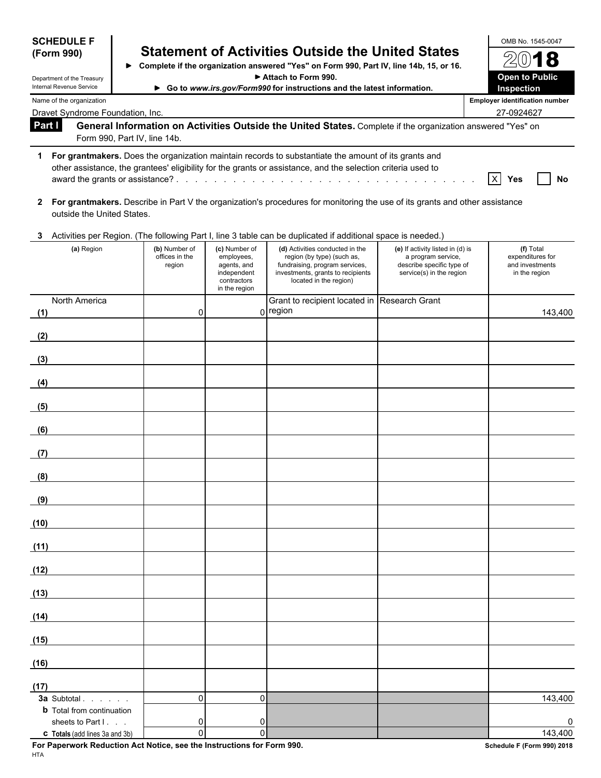|               | <b>SCHEDULE F</b><br>(Form 990)                        |                                           |                                                                                           | <b>Statement of Activities Outside the United States</b><br>Complete if the organization answered "Yes" on Form 990, Part IV, line 14b, 15, or 16.                                                                     |                                                                                                                 | OMB No. 1545-0047                                                 |
|---------------|--------------------------------------------------------|-------------------------------------------|-------------------------------------------------------------------------------------------|------------------------------------------------------------------------------------------------------------------------------------------------------------------------------------------------------------------------|-----------------------------------------------------------------------------------------------------------------|-------------------------------------------------------------------|
|               | Department of the Treasury<br>Internal Revenue Service |                                           |                                                                                           | Attach to Form 990.<br>Go to www.irs.gov/Form990 for instructions and the latest information.                                                                                                                          |                                                                                                                 | <b>Open to Public</b><br>Inspection                               |
|               | Name of the organization                               |                                           |                                                                                           |                                                                                                                                                                                                                        |                                                                                                                 | <b>Employer identification number</b>                             |
|               | Dravet Syndrome Foundation, Inc.                       |                                           |                                                                                           |                                                                                                                                                                                                                        |                                                                                                                 | 27-0924627                                                        |
| <b>Part I</b> |                                                        | Form 990, Part IV, line 14b.              |                                                                                           | General Information on Activities Outside the United States. Complete if the organization answered "Yes" on                                                                                                            |                                                                                                                 |                                                                   |
|               |                                                        |                                           |                                                                                           | 1 For grantmakers. Does the organization maintain records to substantiate the amount of its grants and<br>other assistance, the grantees' eligibility for the grants or assistance, and the selection criteria used to |                                                                                                                 | $\vert x \vert$<br>Yes<br>No                                      |
|               | outside the United States.                             |                                           |                                                                                           | 2 For grantmakers. Describe in Part V the organization's procedures for monitoring the use of its grants and other assistance                                                                                          |                                                                                                                 |                                                                   |
|               |                                                        |                                           |                                                                                           | 3 Activities per Region. (The following Part I, line 3 table can be duplicated if additional space is needed.)                                                                                                         |                                                                                                                 |                                                                   |
|               | (a) Region                                             | (b) Number of<br>offices in the<br>region | (c) Number of<br>employees,<br>agents, and<br>independent<br>contractors<br>in the region | (d) Activities conducted in the<br>region (by type) (such as,<br>fundraising, program services,<br>investments, grants to recipients<br>located in the region)                                                         | (e) If activity listed in (d) is<br>a program service,<br>describe specific type of<br>service(s) in the region | (f) Total<br>expenditures for<br>and investments<br>in the region |
|               | North America                                          |                                           |                                                                                           | Grant to recipient located in Research Grant<br>$0$ region                                                                                                                                                             |                                                                                                                 |                                                                   |
| (1)           |                                                        | $\mathbf 0$                               |                                                                                           |                                                                                                                                                                                                                        |                                                                                                                 | 143,400                                                           |
| (2)           |                                                        |                                           |                                                                                           |                                                                                                                                                                                                                        |                                                                                                                 |                                                                   |
| (3)           |                                                        |                                           |                                                                                           |                                                                                                                                                                                                                        |                                                                                                                 |                                                                   |
|               |                                                        |                                           |                                                                                           |                                                                                                                                                                                                                        |                                                                                                                 |                                                                   |
| (4)           |                                                        |                                           |                                                                                           |                                                                                                                                                                                                                        |                                                                                                                 |                                                                   |
| (5)           |                                                        |                                           |                                                                                           |                                                                                                                                                                                                                        |                                                                                                                 |                                                                   |
| (6)           |                                                        |                                           |                                                                                           |                                                                                                                                                                                                                        |                                                                                                                 |                                                                   |
|               |                                                        |                                           |                                                                                           |                                                                                                                                                                                                                        |                                                                                                                 |                                                                   |
| (7)           |                                                        |                                           |                                                                                           |                                                                                                                                                                                                                        |                                                                                                                 |                                                                   |
| (8)           |                                                        |                                           |                                                                                           |                                                                                                                                                                                                                        |                                                                                                                 |                                                                   |
| (9)           |                                                        |                                           |                                                                                           |                                                                                                                                                                                                                        |                                                                                                                 |                                                                   |
|               |                                                        |                                           |                                                                                           |                                                                                                                                                                                                                        |                                                                                                                 |                                                                   |
| (10)          |                                                        |                                           |                                                                                           |                                                                                                                                                                                                                        |                                                                                                                 |                                                                   |
| (11)          |                                                        |                                           |                                                                                           |                                                                                                                                                                                                                        |                                                                                                                 |                                                                   |
| (12)          |                                                        |                                           |                                                                                           |                                                                                                                                                                                                                        |                                                                                                                 |                                                                   |
| (13)          |                                                        |                                           |                                                                                           |                                                                                                                                                                                                                        |                                                                                                                 |                                                                   |
|               |                                                        |                                           |                                                                                           |                                                                                                                                                                                                                        |                                                                                                                 |                                                                   |
| (14)          |                                                        |                                           |                                                                                           |                                                                                                                                                                                                                        |                                                                                                                 |                                                                   |
| (15)          |                                                        |                                           |                                                                                           |                                                                                                                                                                                                                        |                                                                                                                 |                                                                   |
| (16)          |                                                        |                                           |                                                                                           |                                                                                                                                                                                                                        |                                                                                                                 |                                                                   |
|               |                                                        |                                           |                                                                                           |                                                                                                                                                                                                                        |                                                                                                                 |                                                                   |
| (17)          |                                                        | $\Omega$                                  | 0                                                                                         |                                                                                                                                                                                                                        |                                                                                                                 | 143,400                                                           |
|               | <b>b</b> Total from continuation                       |                                           |                                                                                           |                                                                                                                                                                                                                        |                                                                                                                 |                                                                   |
|               | sheets to Part I.                                      | 0<br>$\Omega$                             | 0<br>0                                                                                    |                                                                                                                                                                                                                        |                                                                                                                 |                                                                   |
|               | c Totals (add lines 3a and 3b)                         |                                           |                                                                                           |                                                                                                                                                                                                                        |                                                                                                                 | 143,400                                                           |

**For Paperwork Reduction Act Notice, see the Instructions for Form 990.** Schedule F (Form 990) 2018 HTA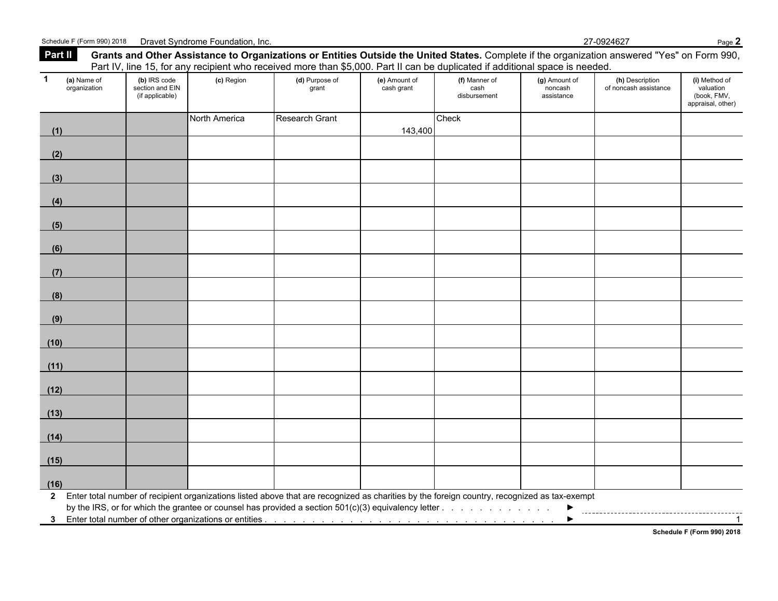| (a) Name of<br>organization | (b) IRS code<br>section and EIN<br>(if applicable) | (c) Region    | (d) Purpose of<br>grant | (e) Amount of<br>cash grant | (f) Manner of<br>cash<br>disbursement | (g) Amount of<br>noncash<br>assistance | (h) Description<br>of noncash assistance | (i) Method of<br>valuation<br>(book, FMV,<br>appraisal, other) |
|-----------------------------|----------------------------------------------------|---------------|-------------------------|-----------------------------|---------------------------------------|----------------------------------------|------------------------------------------|----------------------------------------------------------------|
|                             |                                                    | North America | <b>Research Grant</b>   |                             | Check                                 |                                        |                                          |                                                                |
| (1)                         |                                                    |               |                         | 143,400                     |                                       |                                        |                                          |                                                                |
| (2)                         |                                                    |               |                         |                             |                                       |                                        |                                          |                                                                |
| (3)                         |                                                    |               |                         |                             |                                       |                                        |                                          |                                                                |
| (4)                         |                                                    |               |                         |                             |                                       |                                        |                                          |                                                                |
| (5)                         |                                                    |               |                         |                             |                                       |                                        |                                          |                                                                |
| (6)                         |                                                    |               |                         |                             |                                       |                                        |                                          |                                                                |
| (7)                         |                                                    |               |                         |                             |                                       |                                        |                                          |                                                                |
| (8)                         |                                                    |               |                         |                             |                                       |                                        |                                          |                                                                |
| (9)                         |                                                    |               |                         |                             |                                       |                                        |                                          |                                                                |
| (10)                        |                                                    |               |                         |                             |                                       |                                        |                                          |                                                                |
| (11)                        |                                                    |               |                         |                             |                                       |                                        |                                          |                                                                |
| (12)                        |                                                    |               |                         |                             |                                       |                                        |                                          |                                                                |
| (13)                        |                                                    |               |                         |                             |                                       |                                        |                                          |                                                                |
| (14)                        |                                                    |               |                         |                             |                                       |                                        |                                          |                                                                |
| (15)                        |                                                    |               |                         |                             |                                       |                                        |                                          |                                                                |
| (16)                        |                                                    |               |                         |                             |                                       |                                        |                                          |                                                                |

Schedule F (Form 990) 2018 Dravet Syndrome Foundation, Inc. 27-0924627 Page 2

**Schedule F (Form 990) 2018**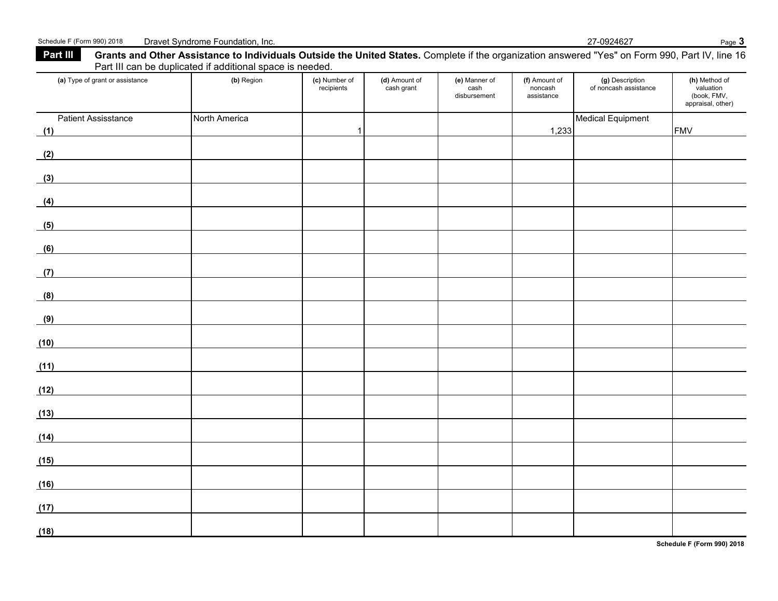Part III Grants and Other Assistance to Individuals Outside the United States. Complete if the organization answered "Yes" on Form 990, Part IV, line 16 Part III can be duplicated if additional space is needed.

| (a) Type of grant or assistance | (b) Region    | (c) Number of<br>recipients | (d) Amount of<br>cash grant | (e) Manner of<br>cash<br>disbursement | (f) Amount of<br>noncash<br>assistance | (g) Description<br>of noncash assistance | (h) Method of<br>valuation<br>(book, FMV,<br>appraisal, other) |
|---------------------------------|---------------|-----------------------------|-----------------------------|---------------------------------------|----------------------------------------|------------------------------------------|----------------------------------------------------------------|
| <b>Patient Assisstance</b>      | North America |                             |                             |                                       |                                        | <b>Medical Equipment</b>                 | <b>FMV</b>                                                     |
| (1)                             |               | $\mathbf{1}$                |                             |                                       | 1,233                                  |                                          |                                                                |
| (2)                             |               |                             |                             |                                       |                                        |                                          |                                                                |
| (3)                             |               |                             |                             |                                       |                                        |                                          |                                                                |
| (4)                             |               |                             |                             |                                       |                                        |                                          |                                                                |
| (5)                             |               |                             |                             |                                       |                                        |                                          |                                                                |
| (6)                             |               |                             |                             |                                       |                                        |                                          |                                                                |
| (7)                             |               |                             |                             |                                       |                                        |                                          |                                                                |
| (8)                             |               |                             |                             |                                       |                                        |                                          |                                                                |
| (9)                             |               |                             |                             |                                       |                                        |                                          |                                                                |
| (10)                            |               |                             |                             |                                       |                                        |                                          |                                                                |
| (11)                            |               |                             |                             |                                       |                                        |                                          |                                                                |
| (12)                            |               |                             |                             |                                       |                                        |                                          |                                                                |
| (13)                            |               |                             |                             |                                       |                                        |                                          |                                                                |
| (14)                            |               |                             |                             |                                       |                                        |                                          |                                                                |
| (15)                            |               |                             |                             |                                       |                                        |                                          |                                                                |
| (16)                            |               |                             |                             |                                       |                                        |                                          |                                                                |
| (17)                            |               |                             |                             |                                       |                                        |                                          |                                                                |
| (18)                            |               |                             |                             |                                       |                                        |                                          |                                                                |

**Schedule F (Form 990) 2018**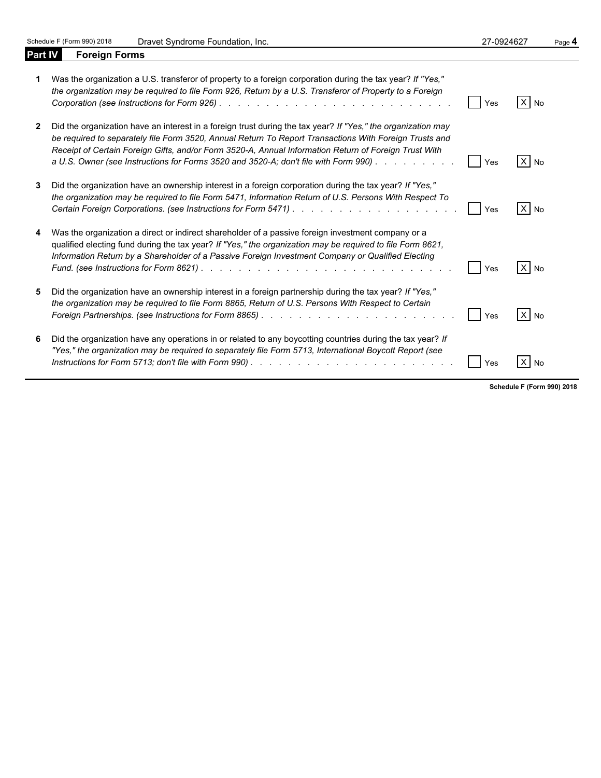| Schedule F (Form 990) 2018 | Dravet Syndrome Foundation, Inc. | 27-0924627<br>Page 4 |
|----------------------------|----------------------------------|----------------------|
|                            |                                  |                      |

| <b>Part IV</b> | <b>Foreign Forms</b>                                                                                                                                                                                                                                                                                                                                                                                                   |     |        |
|----------------|------------------------------------------------------------------------------------------------------------------------------------------------------------------------------------------------------------------------------------------------------------------------------------------------------------------------------------------------------------------------------------------------------------------------|-----|--------|
|                | Was the organization a U.S. transferor of property to a foreign corporation during the tax year? If "Yes,"<br>the organization may be required to file Form 926, Return by a U.S. Transferor of Property to a Foreign                                                                                                                                                                                                  | Yes | $X$ No |
| $\mathbf{2}$   | Did the organization have an interest in a foreign trust during the tax year? If "Yes," the organization may<br>be required to separately file Form 3520, Annual Return To Report Transactions With Foreign Trusts and<br>Receipt of Certain Foreign Gifts, and/or Form 3520-A, Annual Information Return of Foreign Trust With<br>a U.S. Owner (see Instructions for Forms 3520 and 3520-A; don't file with Form 990) | Yes | $X$ No |
|                | Did the organization have an ownership interest in a foreign corporation during the tax year? If "Yes,"<br>the organization may be required to file Form 5471, Information Return of U.S. Persons With Respect To                                                                                                                                                                                                      | Yes | $X$ No |
| 4              | Was the organization a direct or indirect shareholder of a passive foreign investment company or a<br>qualified electing fund during the tax year? If "Yes," the organization may be required to file Form 8621,<br>Information Return by a Shareholder of a Passive Foreign Investment Company or Qualified Electing                                                                                                  | Yes | X No   |
| 5              | Did the organization have an ownership interest in a foreign partnership during the tax year? If "Yes,"<br>the organization may be required to file Form 8865, Return of U.S. Persons With Respect to Certain                                                                                                                                                                                                          | Yes | $X$ No |
| 6              | Did the organization have any operations in or related to any boycotting countries during the tax year? If<br>"Yes," the organization may be required to separately file Form 5713, International Boycott Report (see<br>Instructions for Form 5713; don't file with Form 990). The contract of the contract of the state of the state o                                                                               | Yes | $X$ No |

**Schedule F (Form 990) 2018**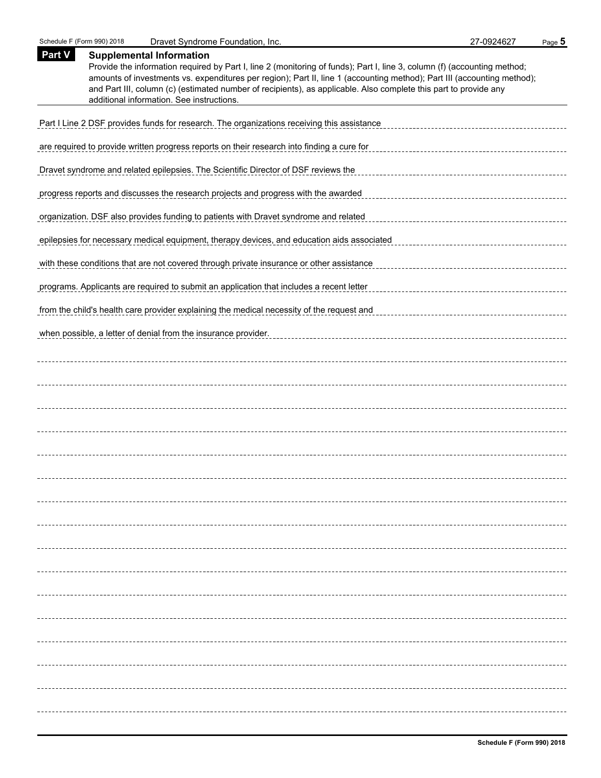Schedule F (Form 990) 2018 Dravet Syndrome Foundation, Inc. 27-0924627 Page 5

| <b>Part V</b> | <b>Supplemental Information</b><br>Provide the information required by Part I, line 2 (monitoring of funds); Part I, line 3, column (f) (accounting method;<br>amounts of investments vs. expenditures per region); Part II, line 1 (accounting method); Part III (accounting method);<br>and Part III, column (c) (estimated number of recipients), as applicable. Also complete this part to provide any<br>additional information. See instructions. |
|---------------|---------------------------------------------------------------------------------------------------------------------------------------------------------------------------------------------------------------------------------------------------------------------------------------------------------------------------------------------------------------------------------------------------------------------------------------------------------|
|               | Part I Line 2 DSF provides funds for research. The organizations receiving this assistance                                                                                                                                                                                                                                                                                                                                                              |
|               | are required to provide written progress reports on their research into finding a cure for                                                                                                                                                                                                                                                                                                                                                              |
|               | Dravet syndrome and related epilepsies. The Scientific Director of DSF reviews the                                                                                                                                                                                                                                                                                                                                                                      |
|               | progress reports and discusses the research projects and progress with the awarded                                                                                                                                                                                                                                                                                                                                                                      |
|               | organization. DSF also provides funding to patients with Dravet syndrome and related                                                                                                                                                                                                                                                                                                                                                                    |
|               | epilepsies for necessary medical equipment, therapy devices, and education aids associated                                                                                                                                                                                                                                                                                                                                                              |
|               | with these conditions that are not covered through private insurance or other assistance                                                                                                                                                                                                                                                                                                                                                                |
|               | programs. Applicants are required to submit an application that includes a recent letter                                                                                                                                                                                                                                                                                                                                                                |
|               | from the child's health care provider explaining the medical necessity of the request and                                                                                                                                                                                                                                                                                                                                                               |
|               | when possible, a letter of denial from the insurance provider.                                                                                                                                                                                                                                                                                                                                                                                          |
|               |                                                                                                                                                                                                                                                                                                                                                                                                                                                         |
|               |                                                                                                                                                                                                                                                                                                                                                                                                                                                         |
|               |                                                                                                                                                                                                                                                                                                                                                                                                                                                         |
|               |                                                                                                                                                                                                                                                                                                                                                                                                                                                         |
|               |                                                                                                                                                                                                                                                                                                                                                                                                                                                         |
|               |                                                                                                                                                                                                                                                                                                                                                                                                                                                         |
|               |                                                                                                                                                                                                                                                                                                                                                                                                                                                         |
|               |                                                                                                                                                                                                                                                                                                                                                                                                                                                         |
|               |                                                                                                                                                                                                                                                                                                                                                                                                                                                         |
|               |                                                                                                                                                                                                                                                                                                                                                                                                                                                         |
|               |                                                                                                                                                                                                                                                                                                                                                                                                                                                         |
|               |                                                                                                                                                                                                                                                                                                                                                                                                                                                         |
|               |                                                                                                                                                                                                                                                                                                                                                                                                                                                         |
|               |                                                                                                                                                                                                                                                                                                                                                                                                                                                         |
|               |                                                                                                                                                                                                                                                                                                                                                                                                                                                         |
|               |                                                                                                                                                                                                                                                                                                                                                                                                                                                         |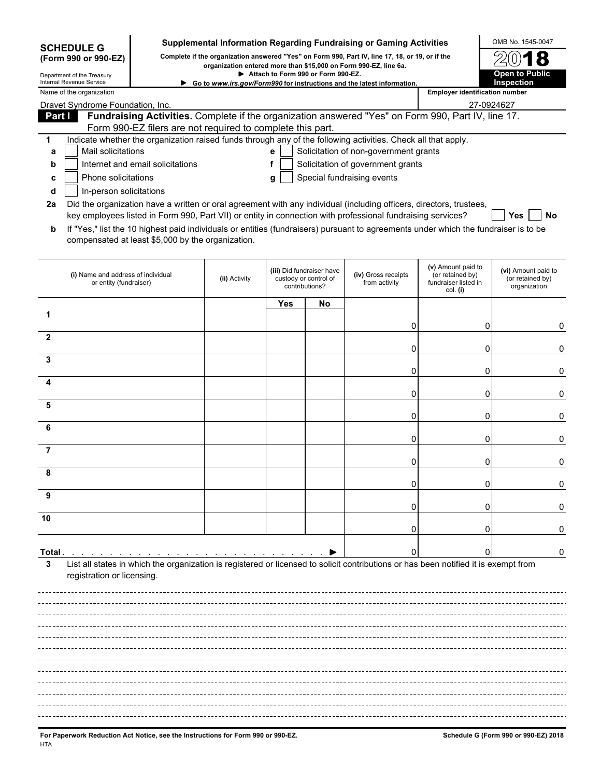| <b>SCHEDULE G</b><br>Complete if the organization answered "Yes" on Form 990, Part IV, line 17, 18, or 19, or if the<br>(Form 990 or 990-EZ)<br>organization entered more than \$15,000 on Form 990-EZ, line 6a.<br>Open to Public<br>Attach to Form 990 or Form 990-EZ.<br>Department of the Treasury<br>Internal Revenue Service<br>Inspection<br>Go to www.irs.gov/Form990 for instructions and the latest information.<br><b>Employer identification number</b><br>Dravet Syndrome Foundation, Inc.<br>27-0924627<br>Fundraising Activities. Complete if the organization answered "Yes" on Form 990, Part IV, line 17.<br>Part I<br>Form 990-EZ filers are not required to complete this part.<br>Indicate whether the organization raised funds through any of the following activities. Check all that apply.<br>1<br>Mail solicitations<br>Solicitation of non-government grants<br>e<br>а<br>Solicitation of government grants<br>Internet and email solicitations<br>f<br>b<br>Phone solicitations<br>Special fundraising events<br>g<br>C<br>In-person solicitations<br>d<br>Did the organization have a written or oral agreement with any individual (including officers, directors, trustees,<br>2a<br>key employees listed in Form 990, Part VII) or entity in connection with professional fundraising services?<br>Yes<br>If "Yes," list the 10 highest paid individuals or entities (fundraisers) pursuant to agreements under which the fundraiser is to be<br>b<br>compensated at least \$5,000 by the organization.<br>(v) Amount paid to<br>(iii) Did fundraiser have<br>(iv) Gross receipts<br>(i) Name and address of individual<br>(or retained by)<br>(ii) Activity<br>custody or control of<br>(or retained by)<br>or entity (fundraiser)<br>from activity<br>fundraiser listed in<br>contributions?<br>organization<br>col. (i)<br>Yes<br>No<br>0<br>0<br>$\mathbf{2}$<br>0<br>0<br>3<br>0<br>0<br>4<br>0<br>0<br>5<br>0<br>0<br>6<br>0<br>0<br>7<br>O<br>0<br>0<br>$\Box$<br>9<br>0<br>10<br>Total.<br>List all states in which the organization is registered or licensed to solicit contributions or has been notified it is exempt from<br>3<br>registration or licensing. |  |  |  | Supplemental Information Regarding Fundraising or Gaming Activities | OMB No. 1545-0047   |
|------------------------------------------------------------------------------------------------------------------------------------------------------------------------------------------------------------------------------------------------------------------------------------------------------------------------------------------------------------------------------------------------------------------------------------------------------------------------------------------------------------------------------------------------------------------------------------------------------------------------------------------------------------------------------------------------------------------------------------------------------------------------------------------------------------------------------------------------------------------------------------------------------------------------------------------------------------------------------------------------------------------------------------------------------------------------------------------------------------------------------------------------------------------------------------------------------------------------------------------------------------------------------------------------------------------------------------------------------------------------------------------------------------------------------------------------------------------------------------------------------------------------------------------------------------------------------------------------------------------------------------------------------------------------------------------------------------------------------------------------------------------------------------------------------------------------------------------------------------------------------------------------------------------------------------------------------------------------------------------------------------------------------------------------------------------------------------------------------------------------------------------------------------------------------------------------------------|--|--|--|---------------------------------------------------------------------|---------------------|
| Name of the organization                                                                                                                                                                                                                                                                                                                                                                                                                                                                                                                                                                                                                                                                                                                                                                                                                                                                                                                                                                                                                                                                                                                                                                                                                                                                                                                                                                                                                                                                                                                                                                                                                                                                                                                                                                                                                                                                                                                                                                                                                                                                                                                                                                                   |  |  |  |                                                                     |                     |
|                                                                                                                                                                                                                                                                                                                                                                                                                                                                                                                                                                                                                                                                                                                                                                                                                                                                                                                                                                                                                                                                                                                                                                                                                                                                                                                                                                                                                                                                                                                                                                                                                                                                                                                                                                                                                                                                                                                                                                                                                                                                                                                                                                                                            |  |  |  |                                                                     |                     |
|                                                                                                                                                                                                                                                                                                                                                                                                                                                                                                                                                                                                                                                                                                                                                                                                                                                                                                                                                                                                                                                                                                                                                                                                                                                                                                                                                                                                                                                                                                                                                                                                                                                                                                                                                                                                                                                                                                                                                                                                                                                                                                                                                                                                            |  |  |  |                                                                     |                     |
|                                                                                                                                                                                                                                                                                                                                                                                                                                                                                                                                                                                                                                                                                                                                                                                                                                                                                                                                                                                                                                                                                                                                                                                                                                                                                                                                                                                                                                                                                                                                                                                                                                                                                                                                                                                                                                                                                                                                                                                                                                                                                                                                                                                                            |  |  |  |                                                                     |                     |
|                                                                                                                                                                                                                                                                                                                                                                                                                                                                                                                                                                                                                                                                                                                                                                                                                                                                                                                                                                                                                                                                                                                                                                                                                                                                                                                                                                                                                                                                                                                                                                                                                                                                                                                                                                                                                                                                                                                                                                                                                                                                                                                                                                                                            |  |  |  |                                                                     |                     |
|                                                                                                                                                                                                                                                                                                                                                                                                                                                                                                                                                                                                                                                                                                                                                                                                                                                                                                                                                                                                                                                                                                                                                                                                                                                                                                                                                                                                                                                                                                                                                                                                                                                                                                                                                                                                                                                                                                                                                                                                                                                                                                                                                                                                            |  |  |  |                                                                     |                     |
|                                                                                                                                                                                                                                                                                                                                                                                                                                                                                                                                                                                                                                                                                                                                                                                                                                                                                                                                                                                                                                                                                                                                                                                                                                                                                                                                                                                                                                                                                                                                                                                                                                                                                                                                                                                                                                                                                                                                                                                                                                                                                                                                                                                                            |  |  |  |                                                                     |                     |
|                                                                                                                                                                                                                                                                                                                                                                                                                                                                                                                                                                                                                                                                                                                                                                                                                                                                                                                                                                                                                                                                                                                                                                                                                                                                                                                                                                                                                                                                                                                                                                                                                                                                                                                                                                                                                                                                                                                                                                                                                                                                                                                                                                                                            |  |  |  |                                                                     |                     |
|                                                                                                                                                                                                                                                                                                                                                                                                                                                                                                                                                                                                                                                                                                                                                                                                                                                                                                                                                                                                                                                                                                                                                                                                                                                                                                                                                                                                                                                                                                                                                                                                                                                                                                                                                                                                                                                                                                                                                                                                                                                                                                                                                                                                            |  |  |  |                                                                     |                     |
|                                                                                                                                                                                                                                                                                                                                                                                                                                                                                                                                                                                                                                                                                                                                                                                                                                                                                                                                                                                                                                                                                                                                                                                                                                                                                                                                                                                                                                                                                                                                                                                                                                                                                                                                                                                                                                                                                                                                                                                                                                                                                                                                                                                                            |  |  |  |                                                                     |                     |
|                                                                                                                                                                                                                                                                                                                                                                                                                                                                                                                                                                                                                                                                                                                                                                                                                                                                                                                                                                                                                                                                                                                                                                                                                                                                                                                                                                                                                                                                                                                                                                                                                                                                                                                                                                                                                                                                                                                                                                                                                                                                                                                                                                                                            |  |  |  |                                                                     |                     |
|                                                                                                                                                                                                                                                                                                                                                                                                                                                                                                                                                                                                                                                                                                                                                                                                                                                                                                                                                                                                                                                                                                                                                                                                                                                                                                                                                                                                                                                                                                                                                                                                                                                                                                                                                                                                                                                                                                                                                                                                                                                                                                                                                                                                            |  |  |  |                                                                     | No                  |
|                                                                                                                                                                                                                                                                                                                                                                                                                                                                                                                                                                                                                                                                                                                                                                                                                                                                                                                                                                                                                                                                                                                                                                                                                                                                                                                                                                                                                                                                                                                                                                                                                                                                                                                                                                                                                                                                                                                                                                                                                                                                                                                                                                                                            |  |  |  |                                                                     |                     |
|                                                                                                                                                                                                                                                                                                                                                                                                                                                                                                                                                                                                                                                                                                                                                                                                                                                                                                                                                                                                                                                                                                                                                                                                                                                                                                                                                                                                                                                                                                                                                                                                                                                                                                                                                                                                                                                                                                                                                                                                                                                                                                                                                                                                            |  |  |  |                                                                     | (vi) Amount paid to |
|                                                                                                                                                                                                                                                                                                                                                                                                                                                                                                                                                                                                                                                                                                                                                                                                                                                                                                                                                                                                                                                                                                                                                                                                                                                                                                                                                                                                                                                                                                                                                                                                                                                                                                                                                                                                                                                                                                                                                                                                                                                                                                                                                                                                            |  |  |  |                                                                     |                     |
|                                                                                                                                                                                                                                                                                                                                                                                                                                                                                                                                                                                                                                                                                                                                                                                                                                                                                                                                                                                                                                                                                                                                                                                                                                                                                                                                                                                                                                                                                                                                                                                                                                                                                                                                                                                                                                                                                                                                                                                                                                                                                                                                                                                                            |  |  |  |                                                                     |                     |
|                                                                                                                                                                                                                                                                                                                                                                                                                                                                                                                                                                                                                                                                                                                                                                                                                                                                                                                                                                                                                                                                                                                                                                                                                                                                                                                                                                                                                                                                                                                                                                                                                                                                                                                                                                                                                                                                                                                                                                                                                                                                                                                                                                                                            |  |  |  |                                                                     | 0                   |
|                                                                                                                                                                                                                                                                                                                                                                                                                                                                                                                                                                                                                                                                                                                                                                                                                                                                                                                                                                                                                                                                                                                                                                                                                                                                                                                                                                                                                                                                                                                                                                                                                                                                                                                                                                                                                                                                                                                                                                                                                                                                                                                                                                                                            |  |  |  |                                                                     | 0                   |
|                                                                                                                                                                                                                                                                                                                                                                                                                                                                                                                                                                                                                                                                                                                                                                                                                                                                                                                                                                                                                                                                                                                                                                                                                                                                                                                                                                                                                                                                                                                                                                                                                                                                                                                                                                                                                                                                                                                                                                                                                                                                                                                                                                                                            |  |  |  |                                                                     |                     |
|                                                                                                                                                                                                                                                                                                                                                                                                                                                                                                                                                                                                                                                                                                                                                                                                                                                                                                                                                                                                                                                                                                                                                                                                                                                                                                                                                                                                                                                                                                                                                                                                                                                                                                                                                                                                                                                                                                                                                                                                                                                                                                                                                                                                            |  |  |  |                                                                     | 0                   |
|                                                                                                                                                                                                                                                                                                                                                                                                                                                                                                                                                                                                                                                                                                                                                                                                                                                                                                                                                                                                                                                                                                                                                                                                                                                                                                                                                                                                                                                                                                                                                                                                                                                                                                                                                                                                                                                                                                                                                                                                                                                                                                                                                                                                            |  |  |  |                                                                     | 0                   |
|                                                                                                                                                                                                                                                                                                                                                                                                                                                                                                                                                                                                                                                                                                                                                                                                                                                                                                                                                                                                                                                                                                                                                                                                                                                                                                                                                                                                                                                                                                                                                                                                                                                                                                                                                                                                                                                                                                                                                                                                                                                                                                                                                                                                            |  |  |  |                                                                     |                     |
|                                                                                                                                                                                                                                                                                                                                                                                                                                                                                                                                                                                                                                                                                                                                                                                                                                                                                                                                                                                                                                                                                                                                                                                                                                                                                                                                                                                                                                                                                                                                                                                                                                                                                                                                                                                                                                                                                                                                                                                                                                                                                                                                                                                                            |  |  |  |                                                                     | 0                   |
|                                                                                                                                                                                                                                                                                                                                                                                                                                                                                                                                                                                                                                                                                                                                                                                                                                                                                                                                                                                                                                                                                                                                                                                                                                                                                                                                                                                                                                                                                                                                                                                                                                                                                                                                                                                                                                                                                                                                                                                                                                                                                                                                                                                                            |  |  |  |                                                                     | 0                   |
|                                                                                                                                                                                                                                                                                                                                                                                                                                                                                                                                                                                                                                                                                                                                                                                                                                                                                                                                                                                                                                                                                                                                                                                                                                                                                                                                                                                                                                                                                                                                                                                                                                                                                                                                                                                                                                                                                                                                                                                                                                                                                                                                                                                                            |  |  |  |                                                                     |                     |
|                                                                                                                                                                                                                                                                                                                                                                                                                                                                                                                                                                                                                                                                                                                                                                                                                                                                                                                                                                                                                                                                                                                                                                                                                                                                                                                                                                                                                                                                                                                                                                                                                                                                                                                                                                                                                                                                                                                                                                                                                                                                                                                                                                                                            |  |  |  |                                                                     | $^{(1)}$            |
|                                                                                                                                                                                                                                                                                                                                                                                                                                                                                                                                                                                                                                                                                                                                                                                                                                                                                                                                                                                                                                                                                                                                                                                                                                                                                                                                                                                                                                                                                                                                                                                                                                                                                                                                                                                                                                                                                                                                                                                                                                                                                                                                                                                                            |  |  |  |                                                                     | 0                   |
|                                                                                                                                                                                                                                                                                                                                                                                                                                                                                                                                                                                                                                                                                                                                                                                                                                                                                                                                                                                                                                                                                                                                                                                                                                                                                                                                                                                                                                                                                                                                                                                                                                                                                                                                                                                                                                                                                                                                                                                                                                                                                                                                                                                                            |  |  |  |                                                                     |                     |
|                                                                                                                                                                                                                                                                                                                                                                                                                                                                                                                                                                                                                                                                                                                                                                                                                                                                                                                                                                                                                                                                                                                                                                                                                                                                                                                                                                                                                                                                                                                                                                                                                                                                                                                                                                                                                                                                                                                                                                                                                                                                                                                                                                                                            |  |  |  |                                                                     |                     |
|                                                                                                                                                                                                                                                                                                                                                                                                                                                                                                                                                                                                                                                                                                                                                                                                                                                                                                                                                                                                                                                                                                                                                                                                                                                                                                                                                                                                                                                                                                                                                                                                                                                                                                                                                                                                                                                                                                                                                                                                                                                                                                                                                                                                            |  |  |  |                                                                     |                     |
|                                                                                                                                                                                                                                                                                                                                                                                                                                                                                                                                                                                                                                                                                                                                                                                                                                                                                                                                                                                                                                                                                                                                                                                                                                                                                                                                                                                                                                                                                                                                                                                                                                                                                                                                                                                                                                                                                                                                                                                                                                                                                                                                                                                                            |  |  |  |                                                                     |                     |
|                                                                                                                                                                                                                                                                                                                                                                                                                                                                                                                                                                                                                                                                                                                                                                                                                                                                                                                                                                                                                                                                                                                                                                                                                                                                                                                                                                                                                                                                                                                                                                                                                                                                                                                                                                                                                                                                                                                                                                                                                                                                                                                                                                                                            |  |  |  |                                                                     | 0                   |
|                                                                                                                                                                                                                                                                                                                                                                                                                                                                                                                                                                                                                                                                                                                                                                                                                                                                                                                                                                                                                                                                                                                                                                                                                                                                                                                                                                                                                                                                                                                                                                                                                                                                                                                                                                                                                                                                                                                                                                                                                                                                                                                                                                                                            |  |  |  |                                                                     |                     |
|                                                                                                                                                                                                                                                                                                                                                                                                                                                                                                                                                                                                                                                                                                                                                                                                                                                                                                                                                                                                                                                                                                                                                                                                                                                                                                                                                                                                                                                                                                                                                                                                                                                                                                                                                                                                                                                                                                                                                                                                                                                                                                                                                                                                            |  |  |  |                                                                     |                     |
|                                                                                                                                                                                                                                                                                                                                                                                                                                                                                                                                                                                                                                                                                                                                                                                                                                                                                                                                                                                                                                                                                                                                                                                                                                                                                                                                                                                                                                                                                                                                                                                                                                                                                                                                                                                                                                                                                                                                                                                                                                                                                                                                                                                                            |  |  |  |                                                                     |                     |
|                                                                                                                                                                                                                                                                                                                                                                                                                                                                                                                                                                                                                                                                                                                                                                                                                                                                                                                                                                                                                                                                                                                                                                                                                                                                                                                                                                                                                                                                                                                                                                                                                                                                                                                                                                                                                                                                                                                                                                                                                                                                                                                                                                                                            |  |  |  |                                                                     |                     |
|                                                                                                                                                                                                                                                                                                                                                                                                                                                                                                                                                                                                                                                                                                                                                                                                                                                                                                                                                                                                                                                                                                                                                                                                                                                                                                                                                                                                                                                                                                                                                                                                                                                                                                                                                                                                                                                                                                                                                                                                                                                                                                                                                                                                            |  |  |  |                                                                     |                     |
|                                                                                                                                                                                                                                                                                                                                                                                                                                                                                                                                                                                                                                                                                                                                                                                                                                                                                                                                                                                                                                                                                                                                                                                                                                                                                                                                                                                                                                                                                                                                                                                                                                                                                                                                                                                                                                                                                                                                                                                                                                                                                                                                                                                                            |  |  |  |                                                                     |                     |
|                                                                                                                                                                                                                                                                                                                                                                                                                                                                                                                                                                                                                                                                                                                                                                                                                                                                                                                                                                                                                                                                                                                                                                                                                                                                                                                                                                                                                                                                                                                                                                                                                                                                                                                                                                                                                                                                                                                                                                                                                                                                                                                                                                                                            |  |  |  |                                                                     |                     |
|                                                                                                                                                                                                                                                                                                                                                                                                                                                                                                                                                                                                                                                                                                                                                                                                                                                                                                                                                                                                                                                                                                                                                                                                                                                                                                                                                                                                                                                                                                                                                                                                                                                                                                                                                                                                                                                                                                                                                                                                                                                                                                                                                                                                            |  |  |  |                                                                     |                     |
|                                                                                                                                                                                                                                                                                                                                                                                                                                                                                                                                                                                                                                                                                                                                                                                                                                                                                                                                                                                                                                                                                                                                                                                                                                                                                                                                                                                                                                                                                                                                                                                                                                                                                                                                                                                                                                                                                                                                                                                                                                                                                                                                                                                                            |  |  |  |                                                                     |                     |
|                                                                                                                                                                                                                                                                                                                                                                                                                                                                                                                                                                                                                                                                                                                                                                                                                                                                                                                                                                                                                                                                                                                                                                                                                                                                                                                                                                                                                                                                                                                                                                                                                                                                                                                                                                                                                                                                                                                                                                                                                                                                                                                                                                                                            |  |  |  |                                                                     |                     |
|                                                                                                                                                                                                                                                                                                                                                                                                                                                                                                                                                                                                                                                                                                                                                                                                                                                                                                                                                                                                                                                                                                                                                                                                                                                                                                                                                                                                                                                                                                                                                                                                                                                                                                                                                                                                                                                                                                                                                                                                                                                                                                                                                                                                            |  |  |  |                                                                     |                     |
|                                                                                                                                                                                                                                                                                                                                                                                                                                                                                                                                                                                                                                                                                                                                                                                                                                                                                                                                                                                                                                                                                                                                                                                                                                                                                                                                                                                                                                                                                                                                                                                                                                                                                                                                                                                                                                                                                                                                                                                                                                                                                                                                                                                                            |  |  |  |                                                                     |                     |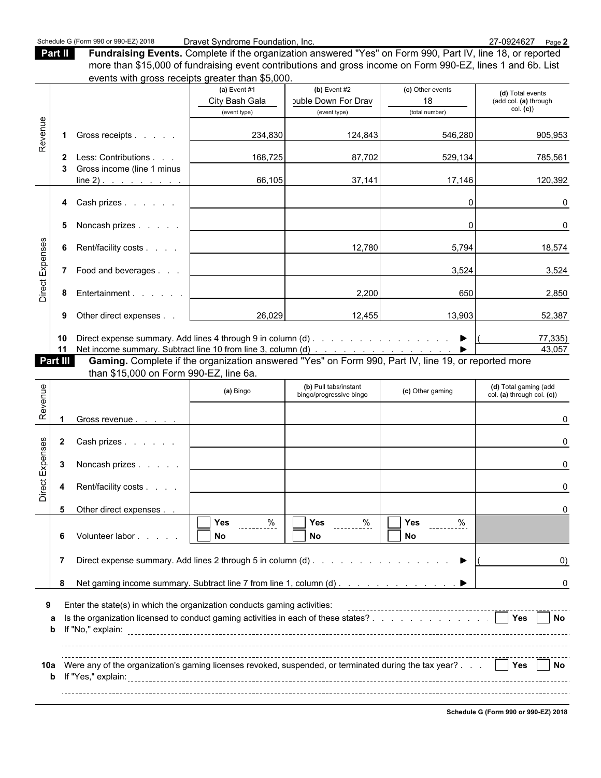**Part II Fundraising Events.** Complete if the organization answered "Yes" on Form 990, Part IV, line 18, or reported more than \$15,000 of fundraising event contributions and gross income on Form 990-EZ, lines 1 and 6b. List events with gross receipts greater than \$5,000.

| (c) Other events<br>(a) Event $#1$<br>(b) Event $#2$<br>(d) Total events<br>City Bash Gala<br>buble Down For Drav<br>18<br>(add col. (a) through<br>col. (c)<br>(total number)<br>(event type)<br>(event type)<br>Revenue<br>546,280<br>234,830<br>124,843<br>Gross receipts<br>$\mathbf 1$<br>87,702<br>Less: Contributions<br>168,725<br>529,134<br>2<br>Gross income (line 1 minus<br>66,105<br>37,141<br>17,146<br>$line 2)$ .<br>120,392<br>$\Omega$<br>Cash prizes<br>4<br>Noncash prizes<br>$\Omega$<br>5<br>Direct Expenses<br>6 Rent/facility costs<br>12,780<br>5,794<br>7 Food and beverages<br>3,524<br>Entertainment<br>2,200<br>650<br>8<br>26,029<br>12,455<br>13,903<br>Other direct expenses<br>9<br>Direct expense summary. Add lines 4 through 9 in column (d) ▶<br>10<br>Net income summary. Subtract line 10 from line 3, column (d)<br>11<br>Gaming. Complete if the organization answered "Yes" on Form 990, Part IV, line 19, or reported more<br>Part III<br>than \$15,000 on Form 990-EZ, line 6a.<br>Revenue<br>(d) Total gaming (add<br>(b) Pull tabs/instant<br>(a) Bingo<br>(c) Other gaming<br>col. (a) through col. (c))<br>bingo/progressive bingo<br>Gross revenue<br>Direct Expenses<br>$\mathbf{2}$<br>Cash prizes<br>3<br>Noncash prizes<br>ŋ<br>Rent/facility costs<br>4<br>5<br>Other direct expenses<br>$\sqrt{1 + \gamma}$<br>$\sqrt{Y}$ es<br>$\Box$ Yes<br>$\%$<br>$rac{9}{1}$<br>Volunteer labor<br>No<br>No<br>6<br>No<br>7<br>▶<br>8<br>Enter the state(s) in which the organization conducts gaming activities:<br>9<br><b>No</b><br>а<br>$\mathbf b$<br>Were any of the organization's gaming licenses revoked, suspended, or terminated during the tax year? $\ldots$ $\Box$ Yes $\Box$ No<br>10a<br>$\mathbf b$ | 905,953<br>785,561 |
|-------------------------------------------------------------------------------------------------------------------------------------------------------------------------------------------------------------------------------------------------------------------------------------------------------------------------------------------------------------------------------------------------------------------------------------------------------------------------------------------------------------------------------------------------------------------------------------------------------------------------------------------------------------------------------------------------------------------------------------------------------------------------------------------------------------------------------------------------------------------------------------------------------------------------------------------------------------------------------------------------------------------------------------------------------------------------------------------------------------------------------------------------------------------------------------------------------------------------------------------------------------------------------------------------------------------------------------------------------------------------------------------------------------------------------------------------------------------------------------------------------------------------------------------------------------------------------------------------------------------------------------------------------------------------------------------------------------------------------------------------------------------|--------------------|
|                                                                                                                                                                                                                                                                                                                                                                                                                                                                                                                                                                                                                                                                                                                                                                                                                                                                                                                                                                                                                                                                                                                                                                                                                                                                                                                                                                                                                                                                                                                                                                                                                                                                                                                                                                   |                    |
|                                                                                                                                                                                                                                                                                                                                                                                                                                                                                                                                                                                                                                                                                                                                                                                                                                                                                                                                                                                                                                                                                                                                                                                                                                                                                                                                                                                                                                                                                                                                                                                                                                                                                                                                                                   |                    |
|                                                                                                                                                                                                                                                                                                                                                                                                                                                                                                                                                                                                                                                                                                                                                                                                                                                                                                                                                                                                                                                                                                                                                                                                                                                                                                                                                                                                                                                                                                                                                                                                                                                                                                                                                                   |                    |
|                                                                                                                                                                                                                                                                                                                                                                                                                                                                                                                                                                                                                                                                                                                                                                                                                                                                                                                                                                                                                                                                                                                                                                                                                                                                                                                                                                                                                                                                                                                                                                                                                                                                                                                                                                   |                    |
|                                                                                                                                                                                                                                                                                                                                                                                                                                                                                                                                                                                                                                                                                                                                                                                                                                                                                                                                                                                                                                                                                                                                                                                                                                                                                                                                                                                                                                                                                                                                                                                                                                                                                                                                                                   |                    |
|                                                                                                                                                                                                                                                                                                                                                                                                                                                                                                                                                                                                                                                                                                                                                                                                                                                                                                                                                                                                                                                                                                                                                                                                                                                                                                                                                                                                                                                                                                                                                                                                                                                                                                                                                                   |                    |
|                                                                                                                                                                                                                                                                                                                                                                                                                                                                                                                                                                                                                                                                                                                                                                                                                                                                                                                                                                                                                                                                                                                                                                                                                                                                                                                                                                                                                                                                                                                                                                                                                                                                                                                                                                   | 0                  |
|                                                                                                                                                                                                                                                                                                                                                                                                                                                                                                                                                                                                                                                                                                                                                                                                                                                                                                                                                                                                                                                                                                                                                                                                                                                                                                                                                                                                                                                                                                                                                                                                                                                                                                                                                                   | $\Omega$           |
|                                                                                                                                                                                                                                                                                                                                                                                                                                                                                                                                                                                                                                                                                                                                                                                                                                                                                                                                                                                                                                                                                                                                                                                                                                                                                                                                                                                                                                                                                                                                                                                                                                                                                                                                                                   | 18,574             |
|                                                                                                                                                                                                                                                                                                                                                                                                                                                                                                                                                                                                                                                                                                                                                                                                                                                                                                                                                                                                                                                                                                                                                                                                                                                                                                                                                                                                                                                                                                                                                                                                                                                                                                                                                                   | 3,524              |
|                                                                                                                                                                                                                                                                                                                                                                                                                                                                                                                                                                                                                                                                                                                                                                                                                                                                                                                                                                                                                                                                                                                                                                                                                                                                                                                                                                                                                                                                                                                                                                                                                                                                                                                                                                   | 2,850              |
|                                                                                                                                                                                                                                                                                                                                                                                                                                                                                                                                                                                                                                                                                                                                                                                                                                                                                                                                                                                                                                                                                                                                                                                                                                                                                                                                                                                                                                                                                                                                                                                                                                                                                                                                                                   | 52,387             |
|                                                                                                                                                                                                                                                                                                                                                                                                                                                                                                                                                                                                                                                                                                                                                                                                                                                                                                                                                                                                                                                                                                                                                                                                                                                                                                                                                                                                                                                                                                                                                                                                                                                                                                                                                                   | 77,335)<br>43,057  |
|                                                                                                                                                                                                                                                                                                                                                                                                                                                                                                                                                                                                                                                                                                                                                                                                                                                                                                                                                                                                                                                                                                                                                                                                                                                                                                                                                                                                                                                                                                                                                                                                                                                                                                                                                                   |                    |
|                                                                                                                                                                                                                                                                                                                                                                                                                                                                                                                                                                                                                                                                                                                                                                                                                                                                                                                                                                                                                                                                                                                                                                                                                                                                                                                                                                                                                                                                                                                                                                                                                                                                                                                                                                   |                    |
|                                                                                                                                                                                                                                                                                                                                                                                                                                                                                                                                                                                                                                                                                                                                                                                                                                                                                                                                                                                                                                                                                                                                                                                                                                                                                                                                                                                                                                                                                                                                                                                                                                                                                                                                                                   |                    |
|                                                                                                                                                                                                                                                                                                                                                                                                                                                                                                                                                                                                                                                                                                                                                                                                                                                                                                                                                                                                                                                                                                                                                                                                                                                                                                                                                                                                                                                                                                                                                                                                                                                                                                                                                                   |                    |
|                                                                                                                                                                                                                                                                                                                                                                                                                                                                                                                                                                                                                                                                                                                                                                                                                                                                                                                                                                                                                                                                                                                                                                                                                                                                                                                                                                                                                                                                                                                                                                                                                                                                                                                                                                   |                    |
|                                                                                                                                                                                                                                                                                                                                                                                                                                                                                                                                                                                                                                                                                                                                                                                                                                                                                                                                                                                                                                                                                                                                                                                                                                                                                                                                                                                                                                                                                                                                                                                                                                                                                                                                                                   |                    |
|                                                                                                                                                                                                                                                                                                                                                                                                                                                                                                                                                                                                                                                                                                                                                                                                                                                                                                                                                                                                                                                                                                                                                                                                                                                                                                                                                                                                                                                                                                                                                                                                                                                                                                                                                                   |                    |
|                                                                                                                                                                                                                                                                                                                                                                                                                                                                                                                                                                                                                                                                                                                                                                                                                                                                                                                                                                                                                                                                                                                                                                                                                                                                                                                                                                                                                                                                                                                                                                                                                                                                                                                                                                   | O                  |
|                                                                                                                                                                                                                                                                                                                                                                                                                                                                                                                                                                                                                                                                                                                                                                                                                                                                                                                                                                                                                                                                                                                                                                                                                                                                                                                                                                                                                                                                                                                                                                                                                                                                                                                                                                   | O                  |
|                                                                                                                                                                                                                                                                                                                                                                                                                                                                                                                                                                                                                                                                                                                                                                                                                                                                                                                                                                                                                                                                                                                                                                                                                                                                                                                                                                                                                                                                                                                                                                                                                                                                                                                                                                   |                    |
|                                                                                                                                                                                                                                                                                                                                                                                                                                                                                                                                                                                                                                                                                                                                                                                                                                                                                                                                                                                                                                                                                                                                                                                                                                                                                                                                                                                                                                                                                                                                                                                                                                                                                                                                                                   | O)                 |
|                                                                                                                                                                                                                                                                                                                                                                                                                                                                                                                                                                                                                                                                                                                                                                                                                                                                                                                                                                                                                                                                                                                                                                                                                                                                                                                                                                                                                                                                                                                                                                                                                                                                                                                                                                   | 0                  |
|                                                                                                                                                                                                                                                                                                                                                                                                                                                                                                                                                                                                                                                                                                                                                                                                                                                                                                                                                                                                                                                                                                                                                                                                                                                                                                                                                                                                                                                                                                                                                                                                                                                                                                                                                                   |                    |
|                                                                                                                                                                                                                                                                                                                                                                                                                                                                                                                                                                                                                                                                                                                                                                                                                                                                                                                                                                                                                                                                                                                                                                                                                                                                                                                                                                                                                                                                                                                                                                                                                                                                                                                                                                   |                    |
|                                                                                                                                                                                                                                                                                                                                                                                                                                                                                                                                                                                                                                                                                                                                                                                                                                                                                                                                                                                                                                                                                                                                                                                                                                                                                                                                                                                                                                                                                                                                                                                                                                                                                                                                                                   |                    |
|                                                                                                                                                                                                                                                                                                                                                                                                                                                                                                                                                                                                                                                                                                                                                                                                                                                                                                                                                                                                                                                                                                                                                                                                                                                                                                                                                                                                                                                                                                                                                                                                                                                                                                                                                                   |                    |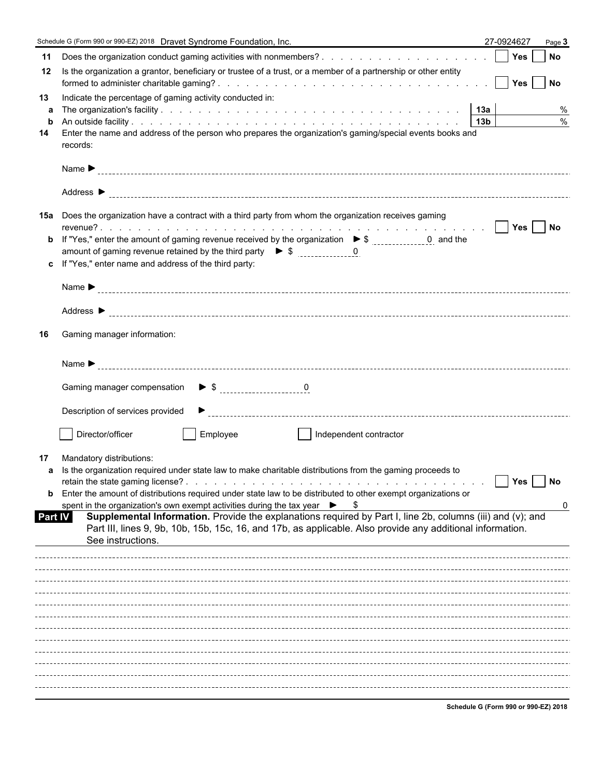|                | Schedule G (Form 990 or 990-EZ) 2018  Dravet Syndrome Foundation, Inc.                                                                                                                                                                        | 27-0924627                           | Page 3 |
|----------------|-----------------------------------------------------------------------------------------------------------------------------------------------------------------------------------------------------------------------------------------------|--------------------------------------|--------|
| 11             |                                                                                                                                                                                                                                               |                                      |        |
| 12             | Is the organization a grantor, beneficiary or trustee of a trust, or a member of a partnership or other entity                                                                                                                                |                                      |        |
| 13<br>a        | Indicate the percentage of gaming activity conducted in:                                                                                                                                                                                      |                                      | %      |
| $\mathbf b$    |                                                                                                                                                                                                                                               |                                      | $\%$   |
| 14             | Enter the name and address of the person who prepares the organization's gaming/special events books and<br>records:                                                                                                                          |                                      |        |
|                |                                                                                                                                                                                                                                               |                                      |        |
|                |                                                                                                                                                                                                                                               |                                      |        |
| 15а            | Does the organization have a contract with a third party from whom the organization receives gaming                                                                                                                                           |                                      |        |
|                | <b>b</b> If "Yes," enter the amount of gaming revenue received by the organization $\triangleright$ \$ $\frac{1}{2}$ = $\frac{0}{2}$ and the                                                                                                  |                                      |        |
|                | amount of gaming revenue retained by the third party $\triangleright$ \$ $\frac{1}{2}$                                                                                                                                                        |                                      |        |
|                | c If "Yes," enter name and address of the third party:                                                                                                                                                                                        |                                      |        |
|                |                                                                                                                                                                                                                                               |                                      |        |
|                |                                                                                                                                                                                                                                               |                                      |        |
| 16             | Gaming manager information:                                                                                                                                                                                                                   |                                      |        |
|                |                                                                                                                                                                                                                                               |                                      |        |
|                |                                                                                                                                                                                                                                               |                                      |        |
|                | Description of services provided                                                                                                                                                                                                              |                                      |        |
|                | Director/officer<br>Employee<br>Independent contractor                                                                                                                                                                                        |                                      |        |
| 17             | Mandatory distributions:                                                                                                                                                                                                                      |                                      |        |
|                | a Is the organization required under state law to make charitable distributions from the gaming proceeds to                                                                                                                                   |                                      |        |
|                | Enter the amount of distributions required under state law to be distributed to other exempt organizations or                                                                                                                                 | <b>Yes</b>                           | No     |
|                | spent in the organization's own exempt activities during the tax year ▶ \$                                                                                                                                                                    |                                      | 0      |
| <b>Part IV</b> | Supplemental Information. Provide the explanations required by Part I, line 2b, columns (iii) and (v); and<br>Part III, lines 9, 9b, 10b, 15b, 15c, 16, and 17b, as applicable. Also provide any additional information.<br>See instructions. |                                      |        |
|                |                                                                                                                                                                                                                                               |                                      |        |
|                |                                                                                                                                                                                                                                               |                                      |        |
|                |                                                                                                                                                                                                                                               |                                      |        |
|                |                                                                                                                                                                                                                                               |                                      |        |
|                |                                                                                                                                                                                                                                               |                                      |        |
|                |                                                                                                                                                                                                                                               |                                      |        |
|                |                                                                                                                                                                                                                                               |                                      |        |
|                |                                                                                                                                                                                                                                               |                                      |        |
|                |                                                                                                                                                                                                                                               |                                      |        |
|                |                                                                                                                                                                                                                                               |                                      |        |
|                |                                                                                                                                                                                                                                               | Schodule C (Form 000 or 000 F7) 2019 |        |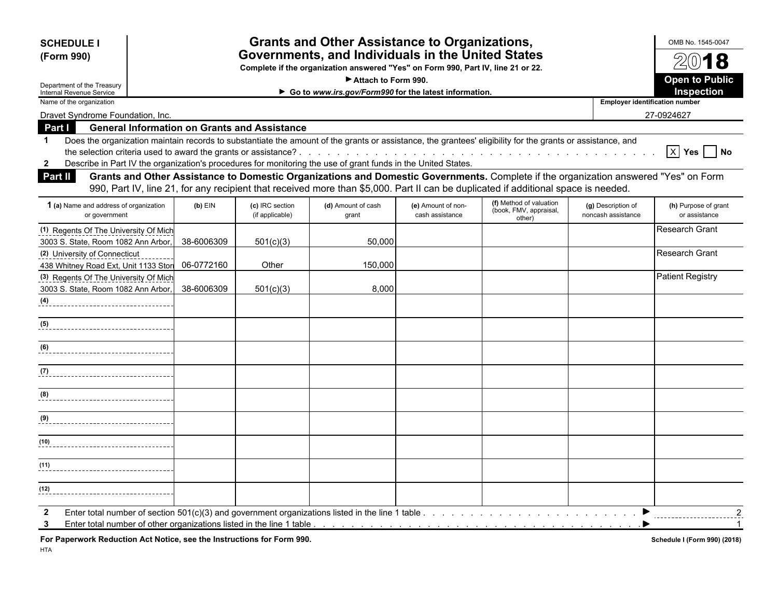| <b>SCHEDULE I</b><br>(Form 990)                                                                                                                                                                                                                                                                            |            |                                    | <b>Grants and Other Assistance to Organizations,</b><br>Governments, and Individuals in the United States                                                                                                                                                                 |                                       |                                                             |                                          | OMB No. 1545-0047<br>$20$ 18             |
|------------------------------------------------------------------------------------------------------------------------------------------------------------------------------------------------------------------------------------------------------------------------------------------------------------|------------|------------------------------------|---------------------------------------------------------------------------------------------------------------------------------------------------------------------------------------------------------------------------------------------------------------------------|---------------------------------------|-------------------------------------------------------------|------------------------------------------|------------------------------------------|
|                                                                                                                                                                                                                                                                                                            |            |                                    | Complete if the organization answered "Yes" on Form 990, Part IV, line 21 or 22.<br>Attach to Form 990.                                                                                                                                                                   |                                       |                                                             |                                          | <b>Open to Public</b>                    |
| Department of the Treasury<br>Internal Revenue Service                                                                                                                                                                                                                                                     |            |                                    | Go to www.irs.gov/Form990 for the latest information.                                                                                                                                                                                                                     |                                       |                                                             |                                          | Inspection                               |
| Name of the organization                                                                                                                                                                                                                                                                                   |            |                                    |                                                                                                                                                                                                                                                                           |                                       |                                                             |                                          | <b>Employer identification number</b>    |
| Dravet Syndrome Foundation, Inc.                                                                                                                                                                                                                                                                           |            |                                    |                                                                                                                                                                                                                                                                           |                                       |                                                             |                                          | 27-0924627                               |
| <b>General Information on Grants and Assistance</b><br>Part I                                                                                                                                                                                                                                              |            |                                    |                                                                                                                                                                                                                                                                           |                                       |                                                             |                                          |                                          |
| Does the organization maintain records to substantiate the amount of the grants or assistance, the grantees' eligibility for the grants or assistance, and<br>$\mathbf 1$<br>Describe in Part IV the organization's procedures for monitoring the use of grant funds in the United States.<br>$\mathbf{2}$ |            |                                    |                                                                                                                                                                                                                                                                           |                                       |                                                             |                                          | $\boxed{X}$ Yes $\boxed{\phantom{1}}$ No |
| Part II                                                                                                                                                                                                                                                                                                    |            |                                    | Grants and Other Assistance to Domestic Organizations and Domestic Governments. Complete if the organization answered "Yes" on Form<br>990, Part IV, line 21, for any recipient that received more than \$5,000. Part II can be duplicated if additional space is needed. |                                       |                                                             |                                          |                                          |
| 1 (a) Name and address of organization<br>or government                                                                                                                                                                                                                                                    | $(b)$ EIN  | (c) IRC section<br>(if applicable) | (d) Amount of cash<br>grant                                                                                                                                                                                                                                               | (e) Amount of non-<br>cash assistance | (f) Method of valuation<br>(book, FMV, appraisal,<br>other) | (g) Description of<br>noncash assistance | (h) Purpose of grant<br>or assistance    |
| (1) Regents Of The University Of Mich<br>3003 S. State, Room 1082 Ann Arbor,                                                                                                                                                                                                                               | 38-6006309 | 501(c)(3)                          | 50,000                                                                                                                                                                                                                                                                    |                                       |                                                             |                                          | <b>Research Grant</b>                    |
| (2) University of Connecticut<br>438 Whitney Road Ext, Unit 1133 Stori                                                                                                                                                                                                                                     | 06-0772160 | Other                              | 150,000                                                                                                                                                                                                                                                                   |                                       |                                                             |                                          | <b>Research Grant</b>                    |
| (3) Regents Of The University Of Mich<br>3003 S. State, Room 1082 Ann Arbor,                                                                                                                                                                                                                               | 38-6006309 | 501(c)(3)                          | 8,000                                                                                                                                                                                                                                                                     |                                       |                                                             |                                          | <b>Patient Registry</b>                  |
| (4)                                                                                                                                                                                                                                                                                                        |            |                                    |                                                                                                                                                                                                                                                                           |                                       |                                                             |                                          |                                          |
| (5)<br>---------------------------                                                                                                                                                                                                                                                                         |            |                                    |                                                                                                                                                                                                                                                                           |                                       |                                                             |                                          |                                          |
| (6)                                                                                                                                                                                                                                                                                                        |            |                                    |                                                                                                                                                                                                                                                                           |                                       |                                                             |                                          |                                          |
| (7)                                                                                                                                                                                                                                                                                                        |            |                                    |                                                                                                                                                                                                                                                                           |                                       |                                                             |                                          |                                          |
| (8)                                                                                                                                                                                                                                                                                                        |            |                                    |                                                                                                                                                                                                                                                                           |                                       |                                                             |                                          |                                          |
| (9)<br>-------------------------------                                                                                                                                                                                                                                                                     |            |                                    |                                                                                                                                                                                                                                                                           |                                       |                                                             |                                          |                                          |
| (10)                                                                                                                                                                                                                                                                                                       |            |                                    |                                                                                                                                                                                                                                                                           |                                       |                                                             |                                          |                                          |
| (11)                                                                                                                                                                                                                                                                                                       |            |                                    |                                                                                                                                                                                                                                                                           |                                       |                                                             |                                          |                                          |
| (12)                                                                                                                                                                                                                                                                                                       |            |                                    |                                                                                                                                                                                                                                                                           |                                       |                                                             |                                          |                                          |

For Paperwork Reduction Act Notice, see the Instructions for Form 990. *Schedule I (Form 990)* (2018) **Schedule I (Form 990)** (2018)

HTA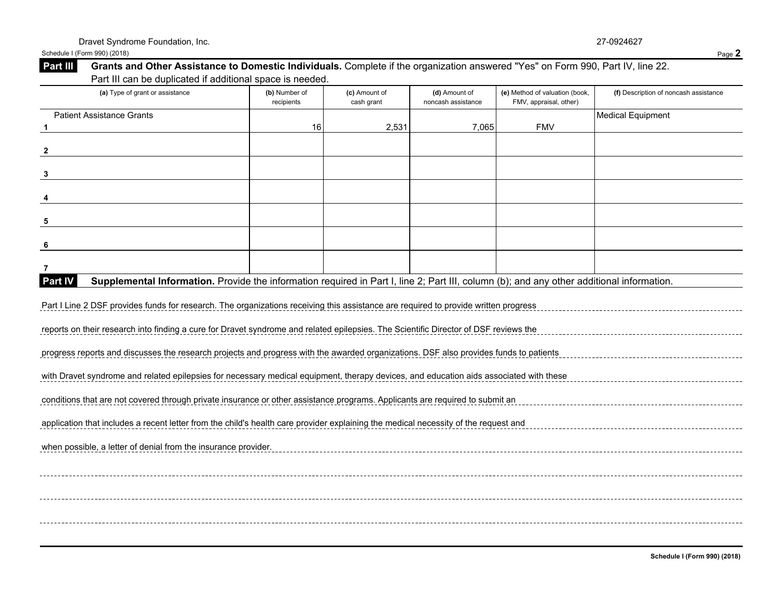Schedule I (Form 990) (2018) Page **2**

|                                                                                                                                                      | recipients | (c) Amount of<br>cash grant | (d) Amount of<br>noncash assistance | (e) Method of valuation (book,<br>FMV, appraisal, other) | (f) Description of noncash assistance |
|------------------------------------------------------------------------------------------------------------------------------------------------------|------------|-----------------------------|-------------------------------------|----------------------------------------------------------|---------------------------------------|
| <b>Patient Assistance Grants</b>                                                                                                                     |            |                             |                                     |                                                          | <b>Medical Equipment</b>              |
|                                                                                                                                                      | 16         | 2,531                       | 7,065                               | <b>FMV</b>                                               |                                       |
|                                                                                                                                                      |            |                             |                                     |                                                          |                                       |
|                                                                                                                                                      |            |                             |                                     |                                                          |                                       |
|                                                                                                                                                      |            |                             |                                     |                                                          |                                       |
|                                                                                                                                                      |            |                             |                                     |                                                          |                                       |
|                                                                                                                                                      |            |                             |                                     |                                                          |                                       |
|                                                                                                                                                      |            |                             |                                     |                                                          |                                       |
| Part IV<br>Supplemental Information. Provide the information required in Part I, line 2; Part III, column (b); and any other additional information. |            |                             |                                     |                                                          |                                       |
| Part I Line 2 DSF provides funds for research. The organizations receiving this assistance are required to provide written progress                  |            |                             |                                     |                                                          |                                       |
| reports on their research into finding a cure for Dravet syndrome and related epilepsies. The Scientific Director of DSF reviews the                 |            |                             |                                     |                                                          |                                       |
| progress reports and discusses the research projects and progress with the awarded organizations. DSF also provides funds to patients                |            |                             |                                     |                                                          |                                       |
| with Dravet syndrome and related epilepsies for necessary medical equipment, therapy devices, and education aids associated with these               |            |                             |                                     |                                                          |                                       |
| conditions that are not covered through private insurance or other assistance programs. Applicants are required to submit an                         |            |                             |                                     |                                                          |                                       |
| application that includes a recent letter from the child's health care provider explaining the medical necessity of the request and                  |            |                             |                                     |                                                          |                                       |
| when possible, a letter of denial from the insurance provider.                                                                                       |            |                             |                                     |                                                          |                                       |
|                                                                                                                                                      |            |                             |                                     |                                                          |                                       |
|                                                                                                                                                      |            |                             |                                     |                                                          |                                       |
|                                                                                                                                                      |            |                             |                                     |                                                          |                                       |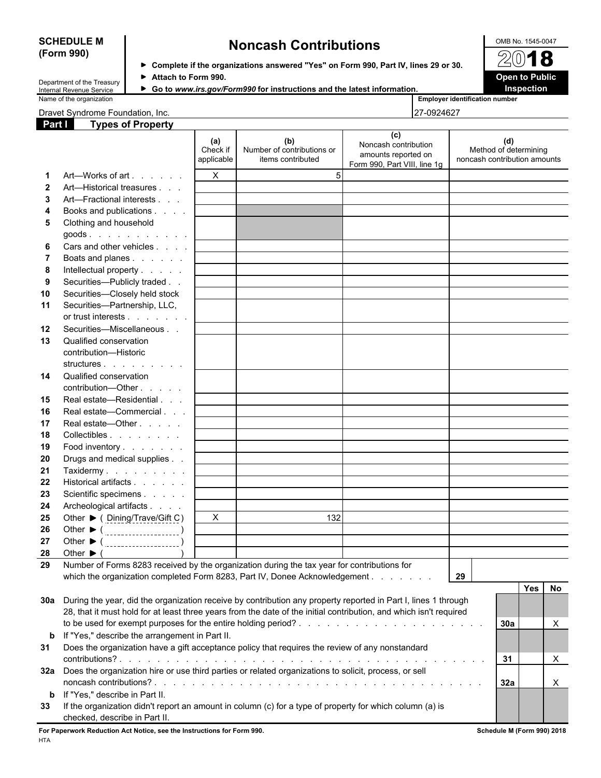## **(Form 990)**

# **SCHEDULE M Noncash Contributions**<br>(Form 990) **Report Form and Part IV** lines 29 or 30

**Complete if the organizations answered "Yes" on Form 990, Part IV, lines 29 or 30.**

Department of the Treasury Internal Revenue Service



| Bopartmont of the ribabary<br>Internal Revenue Service | Go to www.irs.gov/Form990 for instructions and the latest information. |                                       | Ins |
|--------------------------------------------------------|------------------------------------------------------------------------|---------------------------------------|-----|
| Name of the organization                               |                                                                        | <b>Employer identification number</b> |     |

| Dravet Svndrome Foundation. Inc. | 27-0924627 |
|----------------------------------|------------|
| Part I<br>Tvpes of Propertv      |            |

|              |                                                                                                                                                                                                                                          | (a)<br>Check if<br>applicable | (b)<br>Number of contributions or<br>items contributed | (c)<br>Noncash contribution<br>amounts reported on<br>Form 990, Part VIII, line 1g | (d)<br>Method of determining<br>noncash contribution amounts |
|--------------|------------------------------------------------------------------------------------------------------------------------------------------------------------------------------------------------------------------------------------------|-------------------------------|--------------------------------------------------------|------------------------------------------------------------------------------------|--------------------------------------------------------------|
| 1            | Art—Works of art                                                                                                                                                                                                                         | $\mathsf{X}$                  | 5                                                      |                                                                                    |                                                              |
| $\mathbf{2}$ | Art-Historical treasures                                                                                                                                                                                                                 |                               |                                                        |                                                                                    |                                                              |
| 3            | Art-Fractional interests                                                                                                                                                                                                                 |                               |                                                        |                                                                                    |                                                              |
| 4            | Books and publications                                                                                                                                                                                                                   |                               |                                                        |                                                                                    |                                                              |
| 5            | Clothing and household                                                                                                                                                                                                                   |                               |                                                        |                                                                                    |                                                              |
|              | $\texttt{goods}$                                                                                                                                                                                                                         |                               |                                                        |                                                                                    |                                                              |
| 6            | Cars and other vehicles                                                                                                                                                                                                                  |                               |                                                        |                                                                                    |                                                              |
| 7            | Boats and planes                                                                                                                                                                                                                         |                               |                                                        |                                                                                    |                                                              |
| 8            | Intellectual property                                                                                                                                                                                                                    |                               |                                                        |                                                                                    |                                                              |
| 9            | Securities-Publicly traded                                                                                                                                                                                                               |                               |                                                        |                                                                                    |                                                              |
| 10           | Securities-Closely held stock                                                                                                                                                                                                            |                               |                                                        |                                                                                    |                                                              |
| 11           | Securities-Partnership, LLC,                                                                                                                                                                                                             |                               |                                                        |                                                                                    |                                                              |
|              | or trust interests                                                                                                                                                                                                                       |                               |                                                        |                                                                                    |                                                              |
| 12           | Securities-Miscellaneous                                                                                                                                                                                                                 |                               |                                                        |                                                                                    |                                                              |
| 13           | Qualified conservation                                                                                                                                                                                                                   |                               |                                                        |                                                                                    |                                                              |
|              | contribution-Historic                                                                                                                                                                                                                    |                               |                                                        |                                                                                    |                                                              |
|              | structures                                                                                                                                                                                                                               |                               |                                                        |                                                                                    |                                                              |
| 14           | Qualified conservation                                                                                                                                                                                                                   |                               |                                                        |                                                                                    |                                                              |
|              | contribution-Other                                                                                                                                                                                                                       |                               |                                                        |                                                                                    |                                                              |
| 15           | Real estate-Residential                                                                                                                                                                                                                  |                               |                                                        |                                                                                    |                                                              |
| 16           | Real estate-Commercial                                                                                                                                                                                                                   |                               |                                                        |                                                                                    |                                                              |
| 17           | Real estate-Other                                                                                                                                                                                                                        |                               |                                                        |                                                                                    |                                                              |
| 18           | Collectibles                                                                                                                                                                                                                             |                               |                                                        |                                                                                    |                                                              |
| 19           | Food inventory                                                                                                                                                                                                                           |                               |                                                        |                                                                                    |                                                              |
| 20           | Drugs and medical supplies                                                                                                                                                                                                               |                               |                                                        |                                                                                    |                                                              |
| 21           | Taxidermy                                                                                                                                                                                                                                |                               |                                                        |                                                                                    |                                                              |
| 22           | Historical artifacts                                                                                                                                                                                                                     |                               |                                                        |                                                                                    |                                                              |
| 23           | Scientific specimens                                                                                                                                                                                                                     |                               |                                                        |                                                                                    |                                                              |
| 24           | Archeological artifacts                                                                                                                                                                                                                  |                               |                                                        |                                                                                    |                                                              |
| 25           | Other ▶ (Dining/Trave/Gift C)                                                                                                                                                                                                            | $\mathsf{X}$                  | 132                                                    |                                                                                    |                                                              |
|              |                                                                                                                                                                                                                                          |                               |                                                        |                                                                                    |                                                              |
| 26           | Other $\triangleright$ ( $\frac{1}{1}$                                                                                                                                                                                                   |                               |                                                        |                                                                                    |                                                              |
| 27           | Other ▶ ( ____________________)                                                                                                                                                                                                          |                               |                                                        |                                                                                    |                                                              |
| 28<br>29     | Other $\blacktriangleright$<br>Number of Forms 8283 received by the organization during the tax year for contributions for                                                                                                               |                               |                                                        |                                                                                    |                                                              |
|              | which the organization completed Form 8283, Part IV, Donee Acknowledgement                                                                                                                                                               |                               |                                                        |                                                                                    | 29                                                           |
|              |                                                                                                                                                                                                                                          |                               |                                                        |                                                                                    | Yes<br><b>No</b>                                             |
|              | 30a During the year, did the organization receive by contribution any property reported in Part I, lines 1 through<br>28, that it must hold for at least three years from the date of the initial contribution, and which isn't required |                               |                                                        |                                                                                    |                                                              |
|              |                                                                                                                                                                                                                                          |                               |                                                        |                                                                                    | X<br>30a                                                     |
|              | <b>b</b> If "Yes," describe the arrangement in Part II.                                                                                                                                                                                  |                               |                                                        |                                                                                    |                                                              |
|              |                                                                                                                                                                                                                                          |                               |                                                        |                                                                                    |                                                              |
| 31           | Does the organization have a gift acceptance policy that requires the review of any nonstandard                                                                                                                                          |                               |                                                        |                                                                                    |                                                              |
|              |                                                                                                                                                                                                                                          |                               |                                                        |                                                                                    | X<br>31                                                      |
|              | 32a Does the organization hire or use third parties or related organizations to solicit, process, or sell                                                                                                                                |                               |                                                        |                                                                                    |                                                              |
|              |                                                                                                                                                                                                                                          |                               |                                                        |                                                                                    | X<br>32a                                                     |
|              | <b>b</b> If "Yes," describe in Part II.                                                                                                                                                                                                  |                               |                                                        |                                                                                    |                                                              |
| 33           | If the organization didn't report an amount in column (c) for a type of property for which column (a) is<br>checked, describe in Part II.                                                                                                |                               |                                                        |                                                                                    |                                                              |

**For Paperwork Reduction Act Notice, see the Instructions for Form 990. Schedule M (Form 990) 2018** HTA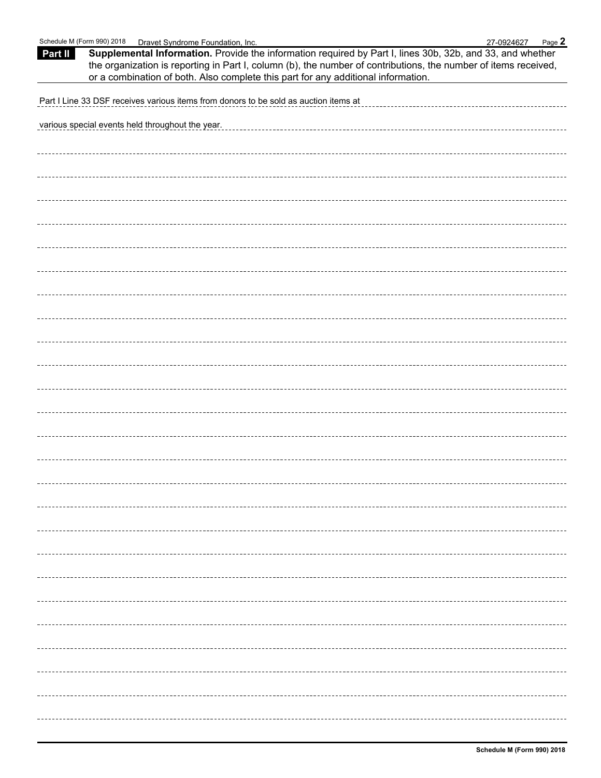| Schedule M (Form 990) 2018<br>Dravet Syndrome Foundation, Inc.<br>Supplemental Information. Provide the information required by Part I, lines 30b, 32b, and 33, and whether<br>Part II               | 27-0924627<br>Page 2 |
|------------------------------------------------------------------------------------------------------------------------------------------------------------------------------------------------------|----------------------|
| the organization is reporting in Part I, column (b), the number of contributions, the number of items received,<br>or a combination of both. Also complete this part for any additional information. |                      |
| Part I Line 33 DSF receives various items from donors to be sold as auction items at                                                                                                                 |                      |
| various special events held throughout the year.                                                                                                                                                     |                      |
|                                                                                                                                                                                                      |                      |
|                                                                                                                                                                                                      |                      |
|                                                                                                                                                                                                      |                      |
|                                                                                                                                                                                                      |                      |
|                                                                                                                                                                                                      |                      |
|                                                                                                                                                                                                      |                      |
|                                                                                                                                                                                                      |                      |
|                                                                                                                                                                                                      |                      |
|                                                                                                                                                                                                      |                      |
|                                                                                                                                                                                                      |                      |
|                                                                                                                                                                                                      |                      |
|                                                                                                                                                                                                      |                      |
|                                                                                                                                                                                                      |                      |
|                                                                                                                                                                                                      |                      |
|                                                                                                                                                                                                      |                      |
|                                                                                                                                                                                                      |                      |
|                                                                                                                                                                                                      |                      |
|                                                                                                                                                                                                      |                      |
|                                                                                                                                                                                                      |                      |
|                                                                                                                                                                                                      |                      |
|                                                                                                                                                                                                      |                      |
|                                                                                                                                                                                                      |                      |
|                                                                                                                                                                                                      |                      |
|                                                                                                                                                                                                      |                      |
|                                                                                                                                                                                                      |                      |
|                                                                                                                                                                                                      |                      |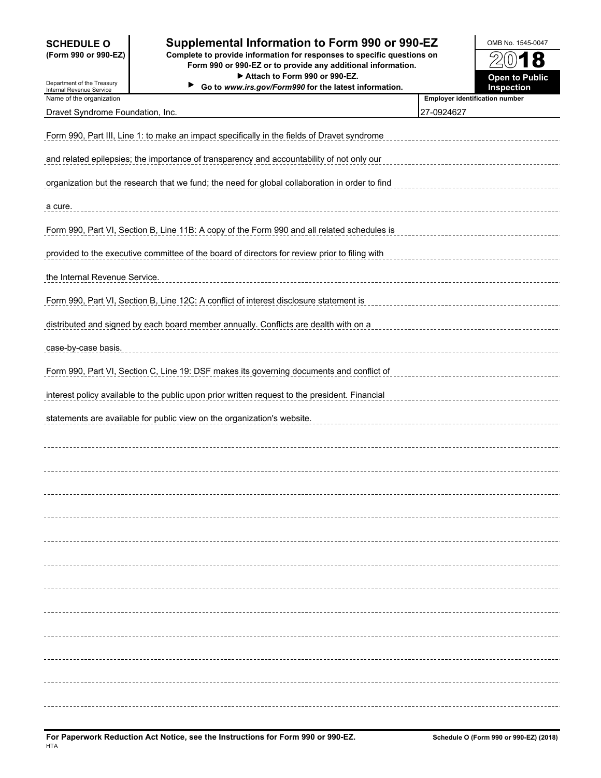| <b>SCHEDULE O</b><br>(Form 990 or 990-EZ)                                                   | Supplemental Information to Form 990 or 990-EZ<br>Complete to provide information for responses to specific questions on<br>Form 990 or 990-EZ or to provide any additional information. |            | OMB No. 1545-0047<br>18               |  |  |  |  |
|---------------------------------------------------------------------------------------------|------------------------------------------------------------------------------------------------------------------------------------------------------------------------------------------|------------|---------------------------------------|--|--|--|--|
| Department of the Treasury<br>Internal Revenue Service                                      | Attach to Form 990 or 990-EZ.<br>Go to www.irs.gov/Form990 for the latest information.                                                                                                   |            | Open to Public<br>Inspection          |  |  |  |  |
| Name of the organization<br>Dravet Syndrome Foundation, Inc.                                |                                                                                                                                                                                          | 27-0924627 | <b>Employer identification number</b> |  |  |  |  |
|                                                                                             | Form 990, Part III, Line 1: to make an impact specifically in the fields of Dravet syndrome                                                                                              |            |                                       |  |  |  |  |
|                                                                                             | and related epilepsies; the importance of transparency and accountability of not only our                                                                                                |            |                                       |  |  |  |  |
|                                                                                             | organization but the research that we fund; the need for global collaboration in order to find                                                                                           |            |                                       |  |  |  |  |
| a cure.                                                                                     |                                                                                                                                                                                          |            |                                       |  |  |  |  |
| Form 990, Part VI, Section B, Line 11B: A copy of the Form 990 and all related schedules is |                                                                                                                                                                                          |            |                                       |  |  |  |  |
|                                                                                             | provided to the executive committee of the board of directors for review prior to filing with                                                                                            |            |                                       |  |  |  |  |
| the Internal Revenue Service.                                                               |                                                                                                                                                                                          |            |                                       |  |  |  |  |
| Form 990, Part VI, Section B, Line 12C: A conflict of interest disclosure statement is      |                                                                                                                                                                                          |            |                                       |  |  |  |  |
|                                                                                             | distributed and signed by each board member annually. Conflicts are dealth with on a                                                                                                     |            |                                       |  |  |  |  |
| case-by-case basis.                                                                         |                                                                                                                                                                                          |            |                                       |  |  |  |  |
|                                                                                             | Form 990, Part VI, Section C, Line 19: DSF makes its governing documents and conflict of                                                                                                 |            |                                       |  |  |  |  |
|                                                                                             | interest policy available to the public upon prior written request to the president. Financial                                                                                           |            |                                       |  |  |  |  |
|                                                                                             | statements are available for public view on the organization's website.                                                                                                                  |            |                                       |  |  |  |  |
|                                                                                             |                                                                                                                                                                                          |            |                                       |  |  |  |  |
|                                                                                             |                                                                                                                                                                                          |            |                                       |  |  |  |  |
|                                                                                             |                                                                                                                                                                                          |            |                                       |  |  |  |  |
|                                                                                             |                                                                                                                                                                                          |            |                                       |  |  |  |  |
|                                                                                             |                                                                                                                                                                                          |            |                                       |  |  |  |  |
|                                                                                             |                                                                                                                                                                                          |            |                                       |  |  |  |  |
|                                                                                             |                                                                                                                                                                                          |            |                                       |  |  |  |  |
|                                                                                             |                                                                                                                                                                                          |            |                                       |  |  |  |  |
|                                                                                             |                                                                                                                                                                                          |            |                                       |  |  |  |  |
|                                                                                             |                                                                                                                                                                                          |            |                                       |  |  |  |  |
|                                                                                             |                                                                                                                                                                                          |            |                                       |  |  |  |  |
|                                                                                             |                                                                                                                                                                                          |            |                                       |  |  |  |  |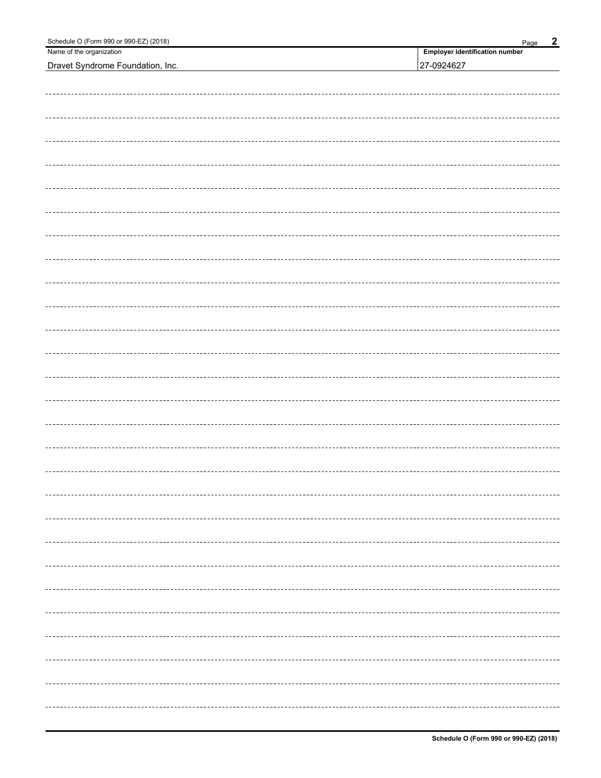| Schedule O (Form 990 or 990-EZ) (2018) | $\overline{2}$<br>Page               |
|----------------------------------------|--------------------------------------|
| Name of the organization               | Employer identification number       |
| Dravet Syndrome Foundation, Inc.       | 27-0924627                           |
|                                        |                                      |
|                                        |                                      |
|                                        |                                      |
|                                        |                                      |
|                                        |                                      |
|                                        |                                      |
|                                        |                                      |
|                                        |                                      |
|                                        |                                      |
|                                        |                                      |
|                                        |                                      |
|                                        |                                      |
|                                        |                                      |
|                                        |                                      |
|                                        |                                      |
|                                        |                                      |
|                                        |                                      |
|                                        |                                      |
|                                        |                                      |
|                                        |                                      |
|                                        |                                      |
|                                        |                                      |
|                                        |                                      |
|                                        |                                      |
|                                        |                                      |
|                                        |                                      |
|                                        |                                      |
|                                        |                                      |
|                                        |                                      |
|                                        |                                      |
|                                        |                                      |
|                                        |                                      |
|                                        |                                      |
|                                        |                                      |
|                                        |                                      |
|                                        |                                      |
|                                        | ---------                            |
|                                        |                                      |
|                                        |                                      |
|                                        |                                      |
|                                        |                                      |
|                                        |                                      |
|                                        |                                      |
|                                        |                                      |
|                                        |                                      |
|                                        |                                      |
|                                        |                                      |
|                                        | ------------------------------------ |
|                                        |                                      |
|                                        |                                      |
|                                        |                                      |
|                                        |                                      |